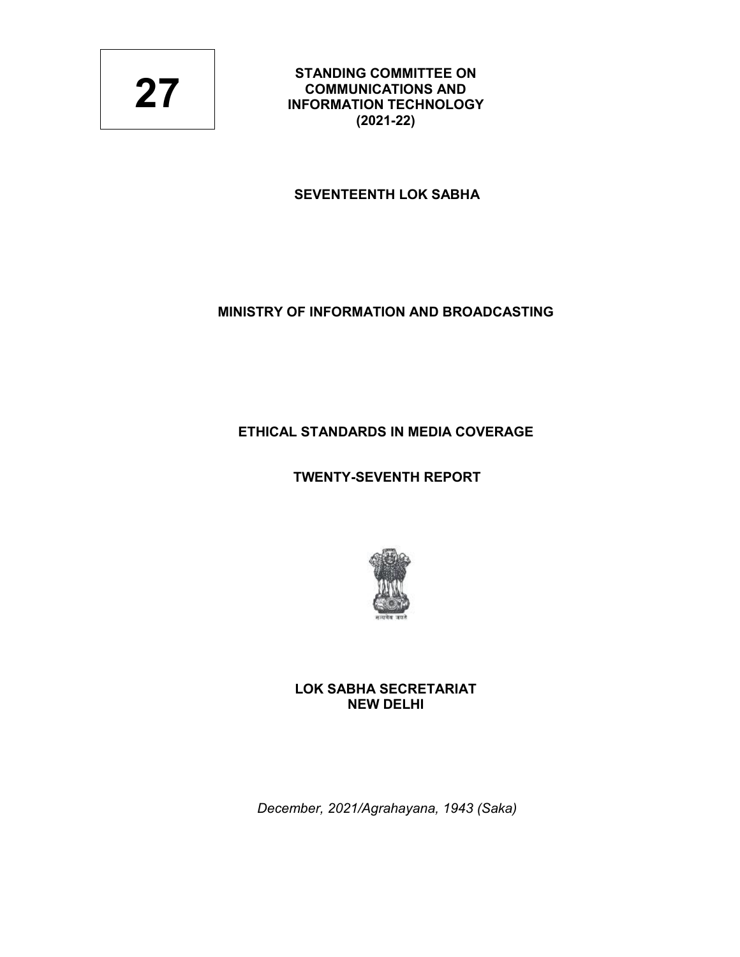**STANDING COMMITTEE ON COMMUNICATIONS AND INFORMATION TECHNOLOGY (2021-22)**

# **SEVENTEENTH LOK SABHA**

# **MINISTRY OF INFORMATION AND BROADCASTING**

# **ETHICAL STANDARDS IN MEDIA COVERAGE**

# **TWENTY-SEVENTH REPORT**



**LOK SABHA SECRETARIAT NEW DELHI**

*December, 2021/Agrahayana, 1943 (Saka)*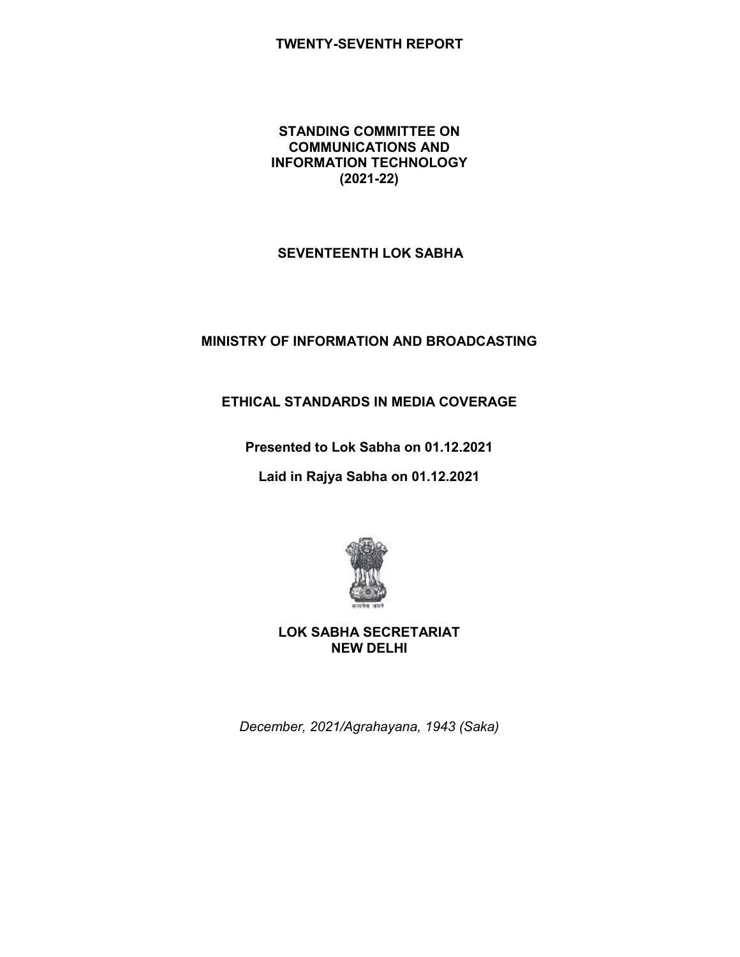### **TWENTY-SEVENTH REPORT**

#### **STANDING COMMITTEE ON COMMUNICATIONS AND INFORMATION TECHNOLOGY (2021-22)**

### **SEVENTEENTH LOK SABHA**

# **MINISTRY OF INFORMATION AND BROADCASTING**

# **ETHICAL STANDARDS IN MEDIA COVERAGE**

**Presented to Lok Sabha on 01.12.2021**

**Laid in Rajya Sabha on 01.12.2021**



**LOK SABHA SECRETARIAT NEW DELHI**

*December, 2021/Agrahayana, 1943 (Saka)*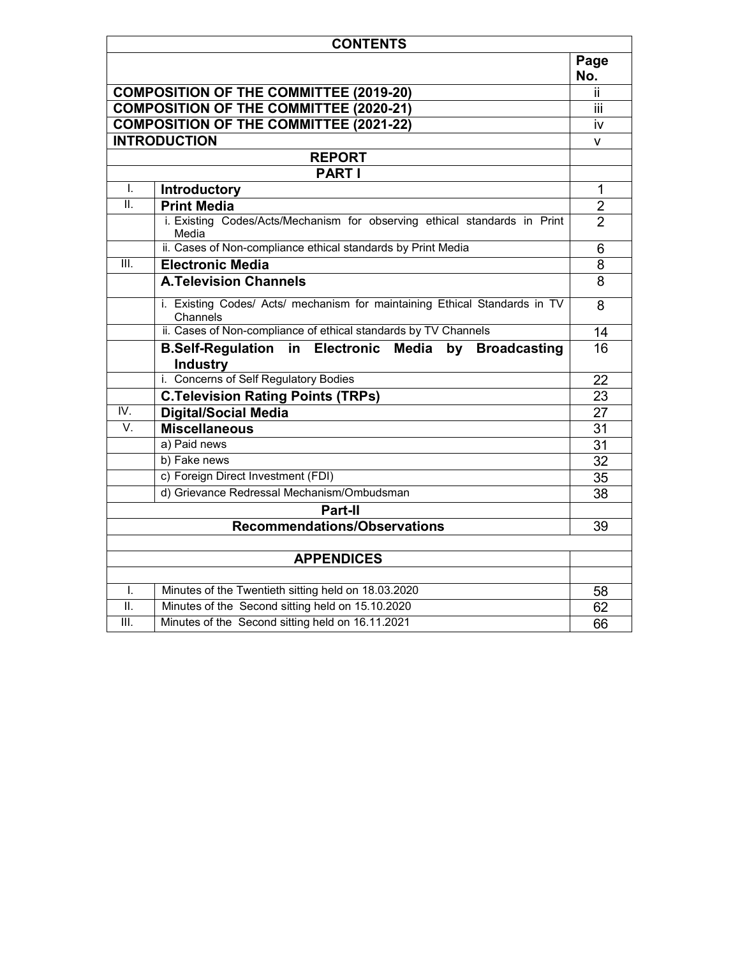| <b>CONTENTS</b>  |                                                                                        |                |  |
|------------------|----------------------------------------------------------------------------------------|----------------|--|
|                  |                                                                                        | Page<br>No.    |  |
|                  | <b>COMPOSITION OF THE COMMITTEE (2019-20)</b>                                          | ii.            |  |
|                  | <b>COMPOSITION OF THE COMMITTEE (2020-21)</b>                                          | iii            |  |
|                  | <b>COMPOSITION OF THE COMMITTEE (2021-22)</b>                                          | iv             |  |
|                  | <b>INTRODUCTION</b>                                                                    | v              |  |
|                  | <b>REPORT</b>                                                                          |                |  |
|                  | <b>PART I</b>                                                                          |                |  |
| I.               | <b>Introductory</b>                                                                    | 1              |  |
| TT.              | <b>Print Media</b>                                                                     | $\overline{2}$ |  |
|                  | i. Existing Codes/Acts/Mechanism for observing ethical standards in Print<br>Media     | $\overline{2}$ |  |
|                  | ii. Cases of Non-compliance ethical standards by Print Media                           | 6              |  |
| III.             | <b>Electronic Media</b>                                                                | 8              |  |
|                  | <b>A.Television Channels</b>                                                           | $\overline{8}$ |  |
|                  | i. Existing Codes/ Acts/ mechanism for maintaining Ethical Standards in TV<br>Channels | 8              |  |
|                  | ii. Cases of Non-compliance of ethical standards by TV Channels                        | 14             |  |
|                  | <b>B.Self-Regulation in Electronic Media</b><br>by Broadcasting<br><b>Industry</b>     | 16             |  |
|                  | i. Concerns of Self Regulatory Bodies                                                  | 22             |  |
|                  | <b>C. Television Rating Points (TRPs)</b>                                              | 23             |  |
| IV.              | <b>Digital/Social Media</b>                                                            | 27             |  |
| $\overline{V}$ . | <b>Miscellaneous</b>                                                                   | 31             |  |
|                  | a) Paid news                                                                           | 31             |  |
|                  | b) Fake news                                                                           | 32             |  |
|                  | c) Foreign Direct Investment (FDI)                                                     | 35             |  |
|                  | d) Grievance Redressal Mechanism/Ombudsman                                             | 38             |  |
|                  | Part-II                                                                                |                |  |
|                  | <b>Recommendations/Observations</b>                                                    | 39             |  |
|                  |                                                                                        |                |  |
|                  | <b>APPENDICES</b>                                                                      |                |  |
|                  |                                                                                        |                |  |
| I.               | Minutes of the Twentieth sitting held on 18.03.2020                                    | 58             |  |
| ΙΙ.              | Minutes of the Second sitting held on 15.10.2020                                       | 62             |  |
| III.             | Minutes of the Second sitting held on 16.11.2021                                       | 66             |  |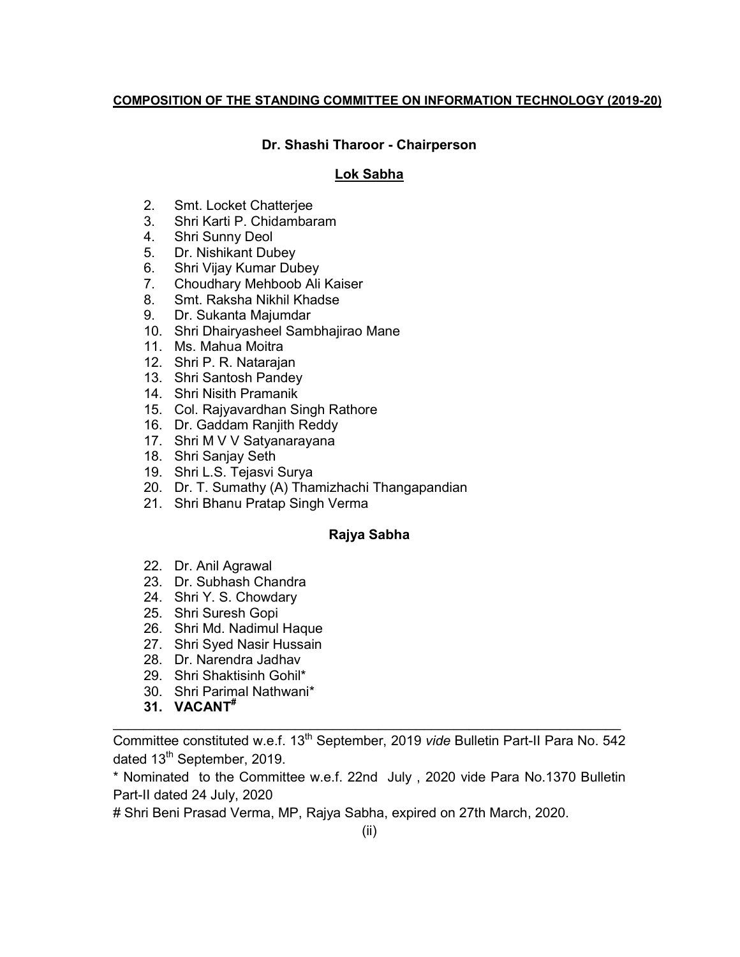#### **COMPOSITION OF THE STANDING COMMITTEE ON INFORMATION TECHNOLOGY (2019-20)**

### **Dr. Shashi Tharoor - Chairperson**

### **Lok Sabha**

- 2. Smt. Locket Chatterjee
- 3. Shri Karti P. Chidambaram
- 4. Shri Sunny Deol
- 5. Dr. Nishikant Dubey
- 6. Shri Vijay Kumar Dubey
- 7. Choudhary Mehboob Ali Kaiser
- 8. Smt. Raksha Nikhil Khadse
- 9. Dr. Sukanta Majumdar
- 10. Shri Dhairyasheel Sambhajirao Mane
- 11. Ms. Mahua Moitra
- 12. Shri P. R. Natarajan
- 13. Shri Santosh Pandey
- 14. Shri Nisith Pramanik
- 15. Col. Rajyavardhan Singh Rathore
- 16. Dr. Gaddam Ranjith Reddy
- 17. Shri M V V Satyanarayana
- 18. Shri Sanjay Seth
- 19. Shri L.S. Tejasvi Surya
- 20. Dr. T. Sumathy (A) Thamizhachi Thangapandian
- 21. Shri Bhanu Pratap Singh Verma

### **Rajya Sabha**

- 22. Dr. Anil Agrawal
- 23. Dr. Subhash Chandra
- 24. Shri Y. S. Chowdary
- 25. Shri Suresh Gopi
- 26. Shri Md. Nadimul Haque
- 27. Shri Syed Nasir Hussain
- 28. Dr. Narendra Jadhav
- 29. Shri Shaktisinh Gohil\*
- 30. Shri Parimal Nathwani\*
- **31. VACANT#**

Committee constituted w.e.f. 13<sup>th</sup> September, 2019 *vide* Bulletin Part-II Para No. 542 dated 13<sup>th</sup> September, 2019.

\_\_\_\_\_\_\_\_\_\_\_\_\_\_\_\_\_\_\_\_\_\_\_\_\_\_\_\_\_\_\_\_\_\_\_\_\_\_\_\_\_\_\_\_\_\_\_\_\_\_\_\_\_\_\_\_\_\_\_\_\_\_\_\_\_\_\_

\* Nominated to the Committee w.e.f. 22nd July , 2020 vide Para No.1370 Bulletin Part-II dated 24 July, 2020

# Shri Beni Prasad Verma, MP, Rajya Sabha, expired on 27th March, 2020.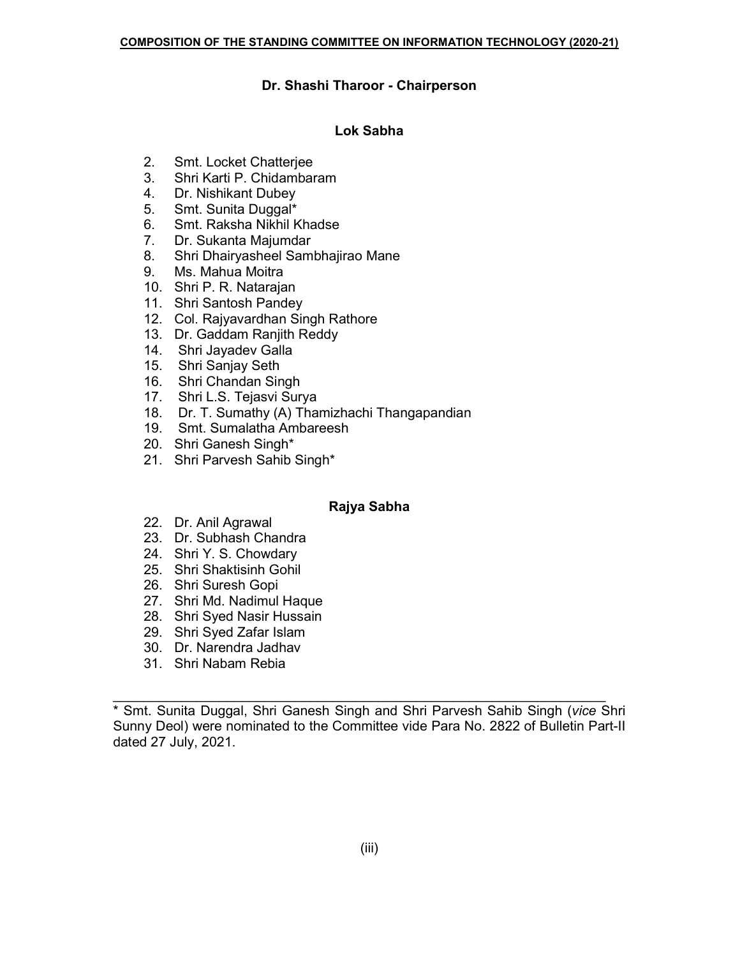#### **Dr. Shashi Tharoor - Chairperson**

#### **Lok Sabha**

- 2. Smt. Locket Chatterjee
- 3. Shri Karti P. Chidambaram
- 4. Dr. Nishikant Dubey
- 5. Smt. Sunita Duggal\*
- 6. Smt. Raksha Nikhil Khadse
- 7. Dr. Sukanta Majumdar
- 8. Shri Dhairyasheel Sambhajirao Mane
- 9. Ms. Mahua Moitra
- 10. Shri P. R. Natarajan
- 11. Shri Santosh Pandey
- 12. Col. Rajyavardhan Singh Rathore
- 13. Dr. Gaddam Ranjith Reddy
- 14. Shri Jayadev Galla
- 15. Shri Sanjay Seth
- 16. Shri Chandan Singh
- 17. Shri L.S. Tejasvi Surya
- 18. Dr. T. Sumathy (A) Thamizhachi Thangapandian
- 19. Smt. Sumalatha Ambareesh
- 20. Shri Ganesh Singh\*
- 21. Shri Parvesh Sahib Singh\*

### **Rajya Sabha**

- 22. Dr. Anil Agrawal
- 23. Dr. Subhash Chandra
- 24. Shri Y. S. Chowdary
- 25. Shri Shaktisinh Gohil
- 26. Shri Suresh Gopi
- 27. Shri Md. Nadimul Haque
- 28. Shri Syed Nasir Hussain
- 29. Shri Syed Zafar Islam
- 30. Dr. Narendra Jadhav
- 31. Shri Nabam Rebia

\_\_\_\_\_\_\_\_\_\_\_\_\_\_\_\_\_\_\_\_\_\_\_\_\_\_\_\_\_\_\_\_\_\_\_\_\_\_\_\_\_\_\_\_\_\_\_\_\_\_\_\_\_\_\_\_\_\_\_\_\_\_\_\_\_ \* Smt. Sunita Duggal, Shri Ganesh Singh and Shri Parvesh Sahib Singh (*vice* Shri Sunny Deol) were nominated to the Committee vide Para No. 2822 of Bulletin Part-II dated 27 July, 2021.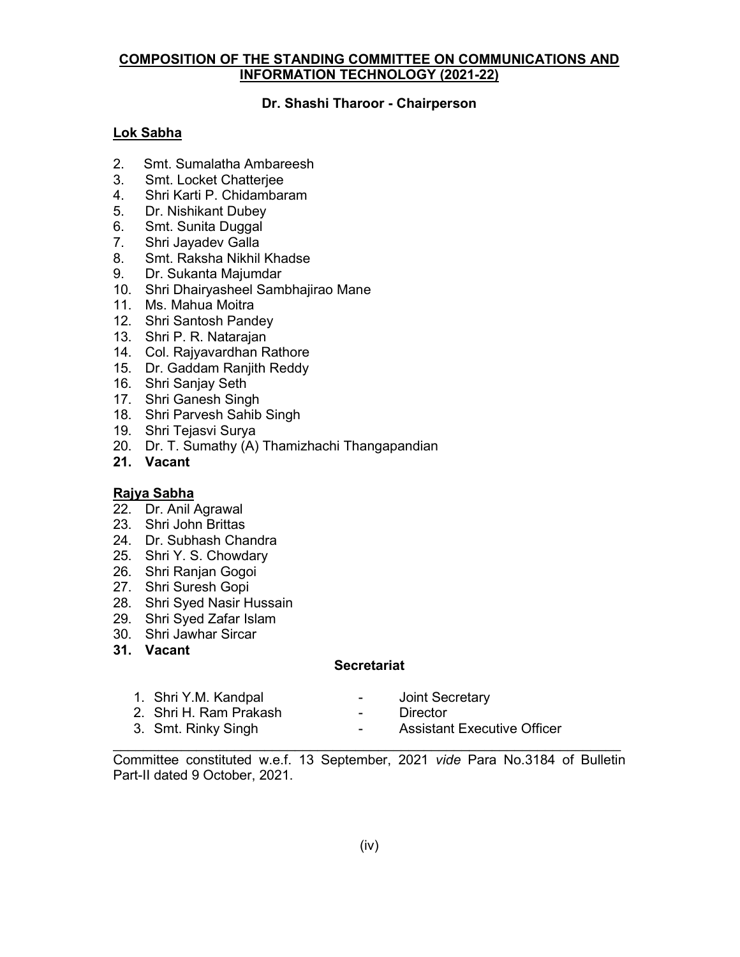### **COMPOSITION OF THE STANDING COMMITTEE ON COMMUNICATIONS AND INFORMATION TECHNOLOGY (2021-22)**

# **Dr. Shashi Tharoor - Chairperson**

# **Lok Sabha**

- 2. Smt. Sumalatha Ambareesh
- 3. Smt. Locket Chatterjee
- 4. Shri Karti P. Chidambaram
- 5. Dr. Nishikant Dubey
- 6. Smt. Sunita Duggal
- 7. Shri Jayadev Galla
- 8. Smt. Raksha Nikhil Khadse
- 9. Dr. Sukanta Majumdar
- 10. Shri Dhairyasheel Sambhajirao Mane
- 11. Ms. Mahua Moitra
- 12. Shri Santosh Pandey
- 13. Shri P. R. Natarajan
- 14. Col. Rajyavardhan Rathore
- 15. Dr. Gaddam Ranjith Reddy
- 16. Shri Sanjay Seth
- 17. Shri Ganesh Singh
- 18. Shri Parvesh Sahib Singh
- 19. Shri Tejasvi Surya
- 20. Dr. T. Sumathy (A) Thamizhachi Thangapandian
- **21. Vacant**

### **Rajya Sabha**

- 22. Dr. Anil Agrawal
- 23. Shri John Brittas
- 24. Dr. Subhash Chandra
- 25. Shri Y. S. Chowdary
- 26. Shri Ranjan Gogoi
- 27. Shri Suresh Gopi
- 28. Shri Syed Nasir Hussain
- 29. Shri Syed Zafar Islam
- 30. Shri Jawhar Sircar
- **31. Vacant**

### **Secretariat**

- 1. Shri Y.M. Kandpal  **Acceptance 1.** Shri Y.M. Kandpal
	-
- 2. Shri H. Ram Prakash  **Director**
- 
- 3. Smt. Rinky Singh The Contract Contract Assistant Executive Officer

\_\_\_\_\_\_\_\_\_\_\_\_\_\_\_\_\_\_\_\_\_\_\_\_\_\_\_\_\_\_\_\_\_\_\_\_\_\_\_\_\_\_\_\_\_\_\_\_\_\_\_\_\_\_\_\_\_\_\_\_\_\_\_\_\_\_\_ Committee constituted w.e.f. 13 September, 2021 *vide* Para No.3184 of Bulletin Part-II dated 9 October, 2021.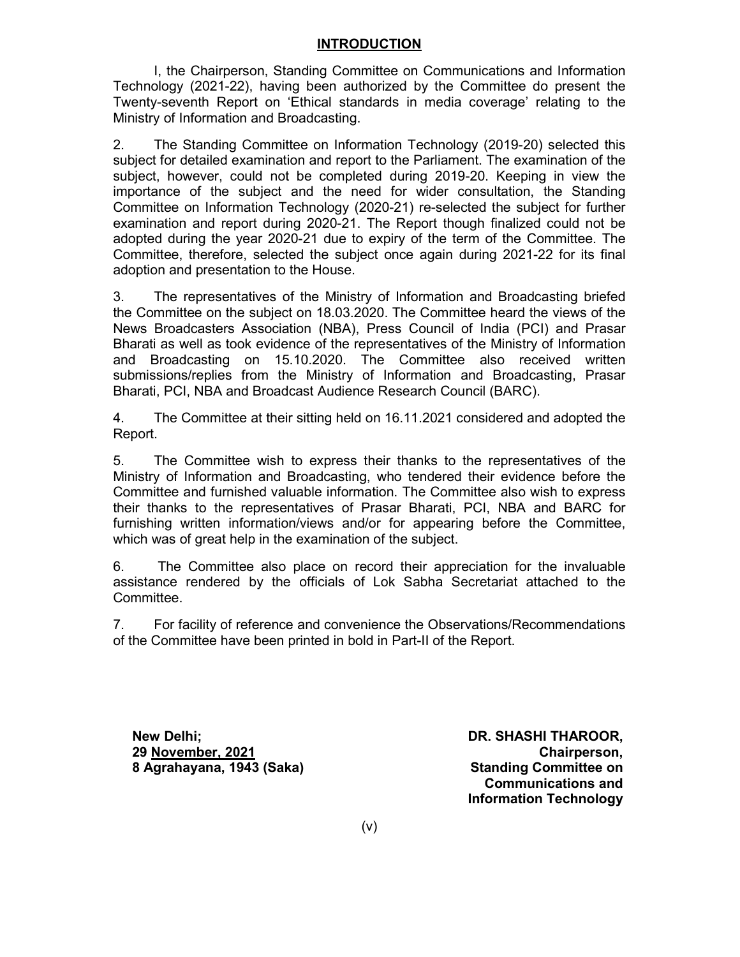### **INTRODUCTION**

I, the Chairperson, Standing Committee on Communications and Information Technology (2021-22), having been authorized by the Committee do present the Twenty-seventh Report on 'Ethical standards in media coverage' relating to the Ministry of Information and Broadcasting.

2. The Standing Committee on Information Technology (2019-20) selected this subject for detailed examination and report to the Parliament. The examination of the subject, however, could not be completed during 2019-20. Keeping in view the importance of the subject and the need for wider consultation, the Standing Committee on Information Technology (2020-21) re-selected the subject for further examination and report during 2020-21. The Report though finalized could not be adopted during the year 2020-21 due to expiry of the term of the Committee. The Committee, therefore, selected the subject once again during 2021-22 for its final adoption and presentation to the House.

3. The representatives of the Ministry of Information and Broadcasting briefed the Committee on the subject on 18.03.2020. The Committee heard the views of the News Broadcasters Association (NBA), Press Council of India (PCI) and Prasar Bharati as well as took evidence of the representatives of the Ministry of Information and Broadcasting on 15.10.2020. The Committee also received written submissions/replies from the Ministry of Information and Broadcasting, Prasar Bharati, PCI, NBA and Broadcast Audience Research Council (BARC).

4. The Committee at their sitting held on 16.11.2021 considered and adopted the Report.

5. The Committee wish to express their thanks to the representatives of the Ministry of Information and Broadcasting, who tendered their evidence before the Committee and furnished valuable information. The Committee also wish to express their thanks to the representatives of Prasar Bharati, PCI, NBA and BARC for furnishing written information/views and/or for appearing before the Committee, which was of great help in the examination of the subject.

6. The Committee also place on record their appreciation for the invaluable assistance rendered by the officials of Lok Sabha Secretariat attached to the Committee.

7. For facility of reference and convenience the Observations/Recommendations of the Committee have been printed in bold in Part-II of the Report.

**New Delhi; New Open Strategies (New York SHASHI THAROOR, 29 November, 2021 Chairperson, 8 Agrahayana, 1943 (Saka) Standing Committee on**

**Communications and Information Technology**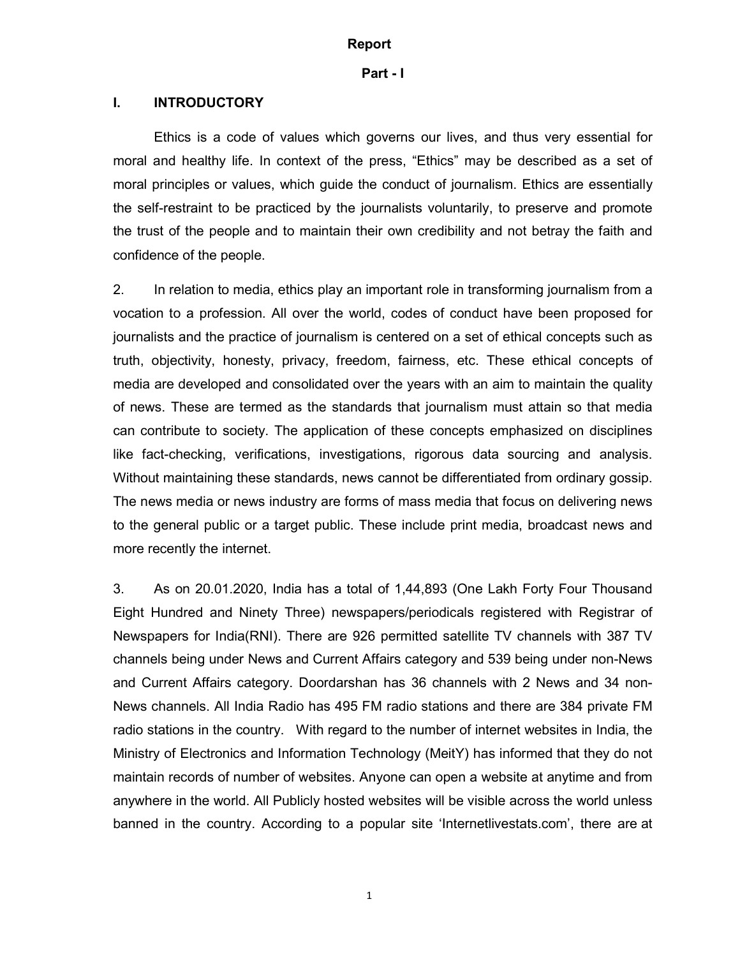#### **Report**

#### **Part - I**

#### **I. INTRODUCTORY**

Ethics is a code of values which governs our lives, and thus very essential for moral and healthy life. In context of the press, "Ethics" may be described as a set of moral principles or values, which guide the conduct of journalism. Ethics are essentially the self-restraint to be practiced by the journalists voluntarily, to preserve and promote the trust of the people and to maintain their own credibility and not betray the faith and confidence of the people.

2. In relation to media, ethics play an important role in transforming journalism from a vocation to a profession. All over the world, codes of conduct have been proposed for journalists and the practice of journalism is centered on a set of ethical concepts such as truth, objectivity, honesty, privacy, freedom, fairness, etc. These ethical concepts of media are developed and consolidated over the years with an aim to maintain the quality of news. These are termed as the standards that journalism must attain so that media can contribute to society. The application of these concepts emphasized on disciplines like fact-checking, verifications, investigations, rigorous data sourcing and analysis. Without maintaining these standards, news cannot be differentiated from ordinary gossip. The news media or news industry are forms of mass media that focus on delivering news to the general public or a target public. These include print media, broadcast news and more recently the internet.

3. As on 20.01.2020, India has a total of 1,44,893 (One Lakh Forty Four Thousand Eight Hundred and Ninety Three) newspapers/periodicals registered with Registrar of Newspapers for India(RNI). There are 926 permitted satellite TV channels with 387 TV channels being under News and Current Affairs category and 539 being under non-News and Current Affairs category. Doordarshan has 36 channels with 2 News and 34 non-News channels. All India Radio has 495 FM radio stations and there are 384 private FM radio stations in the country. With regard to the number of internet websites in India, the Ministry of Electronics and Information Technology (MeitY) has informed that they do not maintain records of number of websites. Anyone can open a website at anytime and from anywhere in the world. All Publicly hosted websites will be visible across the world unless banned in the country. According to a popular site 'Internetlivestats.com', there are at

1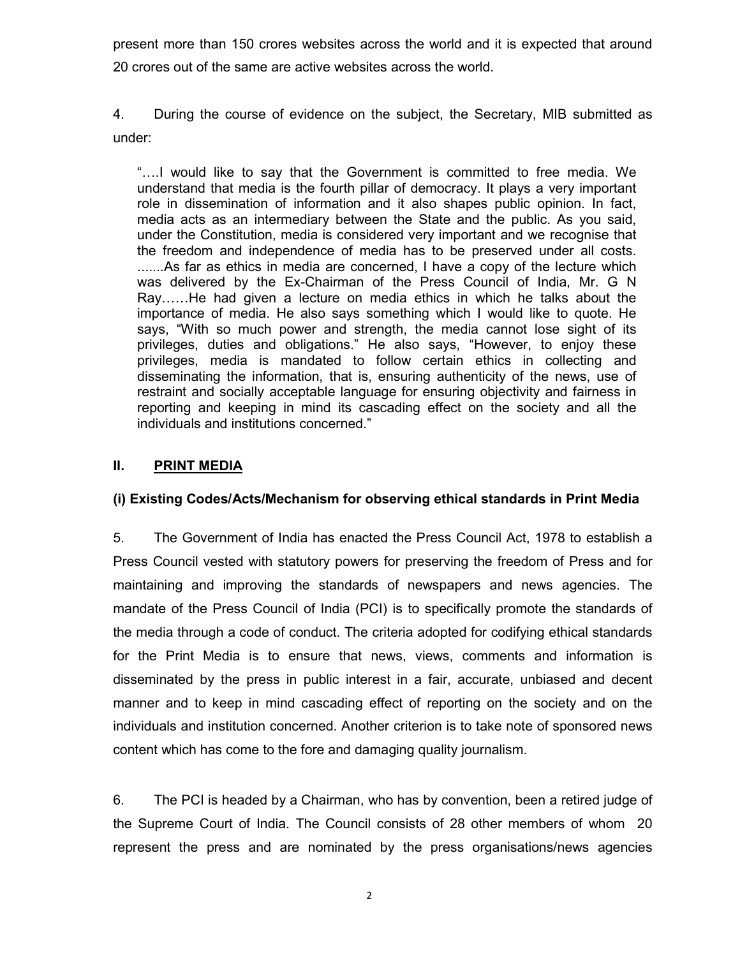present more than 150 crores websites across the world and it is expected that around 20 crores out of the same are active websites across the world.

4. During the course of evidence on the subject, the Secretary, MIB submitted as under:

"….I would like to say that the Government is committed to free media. We understand that media is the fourth pillar of democracy. It plays a very important role in dissemination of information and it also shapes public opinion. In fact, media acts as an intermediary between the State and the public. As you said, under the Constitution, media is considered very important and we recognise that the freedom and independence of media has to be preserved under all costs. .......As far as ethics in media are concerned, I have a copy of the lecture which was delivered by the Ex-Chairman of the Press Council of India, Mr. G N Ray……He had given a lecture on media ethics in which he talks about the importance of media. He also says something which I would like to quote. He says, "With so much power and strength, the media cannot lose sight of its privileges, duties and obligations." He also says, "However, to enjoy these privileges, media is mandated to follow certain ethics in collecting and disseminating the information, that is, ensuring authenticity of the news, use of restraint and socially acceptable language for ensuring objectivity and fairness in reporting and keeping in mind its cascading effect on the society and all the individuals and institutions concerned."

# **II. PRINT MEDIA**

### **(i) Existing Codes/Acts/Mechanism for observing ethical standards in Print Media**

5. The Government of India has enacted the Press Council Act, 1978 to establish a Press Council vested with statutory powers for preserving the freedom of Press and for maintaining and improving the standards of newspapers and news agencies. The mandate of the Press Council of India (PCI) is to specifically promote the standards of the media through a code of conduct. The criteria adopted for codifying ethical standards for the Print Media is to ensure that news, views, comments and information is disseminated by the press in public interest in a fair, accurate, unbiased and decent manner and to keep in mind cascading effect of reporting on the society and on the individuals and institution concerned. Another criterion is to take note of sponsored news content which has come to the fore and damaging quality journalism.

6. The PCI is headed by a Chairman, who has by convention, been a retired judge of the Supreme Court of India. The Council consists of 28 other members of whom 20 represent the press and are nominated by the press organisations/news agencies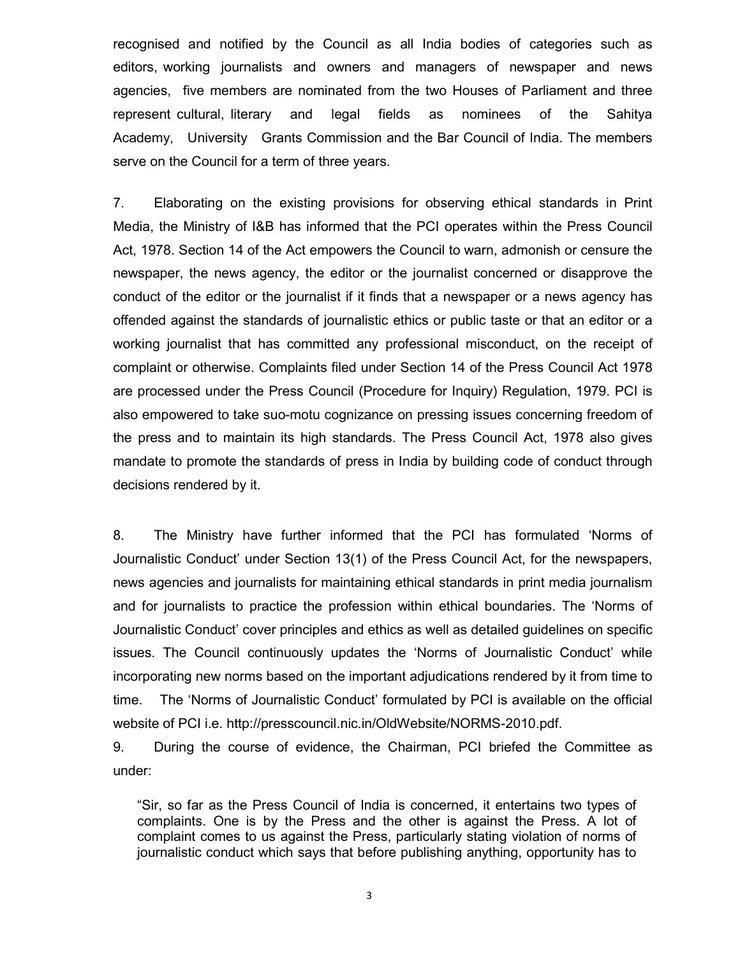recognised and notified by the Council as all India bodies of categories such as editors, working journalists and owners and managers of newspaper and news agencies, five members are nominated from the two Houses of Parliament and three represent cultural, literary and legal fields as nominees of the Sahitya Academy, University Grants Commission and the Bar Council of India. The members serve on the Council for a term of three years.

7. Elaborating on the existing provisions for observing ethical standards in Print Media, the Ministry of I&B has informed that the PCI operates within the Press Council Act, 1978. Section 14 of the Act empowers the Council to warn, admonish or censure the newspaper, the news agency, the editor or the journalist concerned or disapprove the conduct of the editor or the journalist if it finds that a newspaper or a news agency has offended against the standards of journalistic ethics or public taste or that an editor or a working journalist that has committed any professional misconduct, on the receipt of complaint or otherwise. Complaints filed under Section 14 of the Press Council Act 1978 are processed under the Press Council (Procedure for Inquiry) Regulation, 1979. PCI is also empowered to take suo-motu cognizance on pressing issues concerning freedom of the press and to maintain its high standards. The Press Council Act, 1978 also gives mandate to promote the standards of press in India by building code of conduct through decisions rendered by it.

8. The Ministry have further informed that the PCI has formulated 'Norms of Journalistic Conduct' under Section 13(1) of the Press Council Act, for the newspapers, news agencies and journalists for maintaining ethical standards in print media journalism and for journalists to practice the profession within ethical boundaries. The 'Norms of Journalistic Conduct' cover principles and ethics as well as detailed guidelines on specific issues. The Council continuously updates the 'Norms of Journalistic Conduct' while incorporating new norms based on the important adjudications rendered by it from time to time. The 'Norms of Journalistic Conduct' formulated by PCI is available on the official website of PCI i.e. http://presscouncil.nic.in/OldWebsite/NORMS-2010.pdf.

9. During the course of evidence, the Chairman, PCI briefed the Committee as under:

"Sir, so far as the Press Council of India is concerned, it entertains two types of complaints. One is by the Press and the other is against the Press. A lot of complaint comes to us against the Press, particularly stating violation of norms of journalistic conduct which says that before publishing anything, opportunity has to

3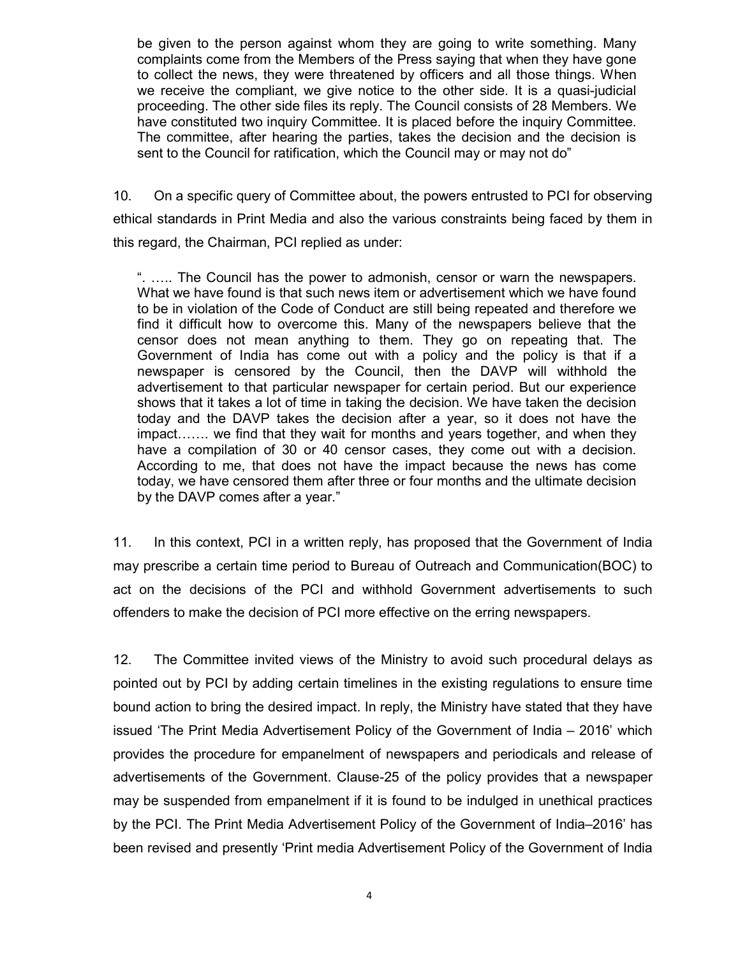be given to the person against whom they are going to write something. Many complaints come from the Members of the Press saying that when they have gone to collect the news, they were threatened by officers and all those things. When we receive the compliant, we give notice to the other side. It is a quasi-judicial proceeding. The other side files its reply. The Council consists of 28 Members. We have constituted two inquiry Committee. It is placed before the inquiry Committee. The committee, after hearing the parties, takes the decision and the decision is sent to the Council for ratification, which the Council may or may not do"

10. On a specific query of Committee about, the powers entrusted to PCI for observing ethical standards in Print Media and also the various constraints being faced by them in this regard, the Chairman, PCI replied as under:

". ….. The Council has the power to admonish, censor or warn the newspapers. What we have found is that such news item or advertisement which we have found to be in violation of the Code of Conduct are still being repeated and therefore we find it difficult how to overcome this. Many of the newspapers believe that the censor does not mean anything to them. They go on repeating that. The Government of India has come out with a policy and the policy is that if a newspaper is censored by the Council, then the DAVP will withhold the advertisement to that particular newspaper for certain period. But our experience shows that it takes a lot of time in taking the decision. We have taken the decision today and the DAVP takes the decision after a year, so it does not have the impact……. we find that they wait for months and years together, and when they have a compilation of 30 or 40 censor cases, they come out with a decision. According to me, that does not have the impact because the news has come today, we have censored them after three or four months and the ultimate decision by the DAVP comes after a year."

11. In this context, PCI in a written reply, has proposed that the Government of India may prescribe a certain time period to Bureau of Outreach and Communication(BOC) to act on the decisions of the PCI and withhold Government advertisements to such offenders to make the decision of PCI more effective on the erring newspapers.

12. The Committee invited views of the Ministry to avoid such procedural delays as pointed out by PCI by adding certain timelines in the existing regulations to ensure time bound action to bring the desired impact. In reply, the Ministry have stated that they have issued 'The Print Media Advertisement Policy of the Government of India – 2016' which provides the procedure for empanelment of newspapers and periodicals and release of advertisements of the Government. Clause-25 of the policy provides that a newspaper may be suspended from empanelment if it is found to be indulged in unethical practices by the PCI. The Print Media Advertisement Policy of the Government of India–2016' has been revised and presently 'Print media Advertisement Policy of the Government of India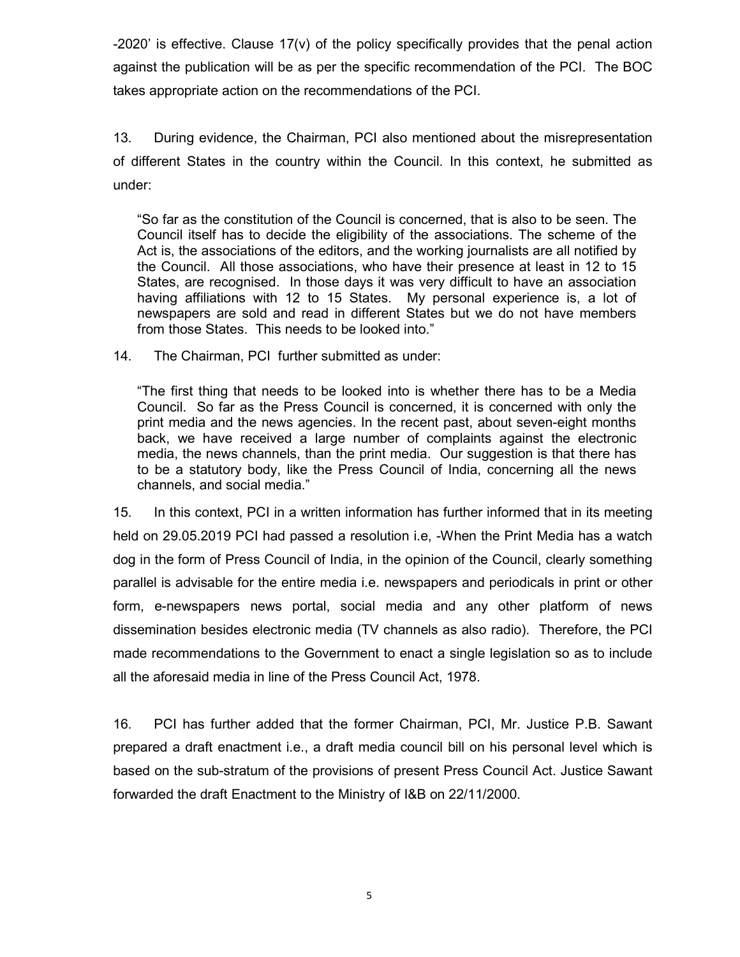-2020' is effective. Clause 17(v) of the policy specifically provides that the penal action against the publication will be as per the specific recommendation of the PCI. The BOC takes appropriate action on the recommendations of the PCI.

13. During evidence, the Chairman, PCI also mentioned about the misrepresentation of different States in the country within the Council. In this context, he submitted as under:

"So far as the constitution of the Council is concerned, that is also to be seen. The Council itself has to decide the eligibility of the associations. The scheme of the Act is, the associations of the editors, and the working journalists are all notified by the Council. All those associations, who have their presence at least in 12 to 15 States, are recognised. In those days it was very difficult to have an association having affiliations with 12 to 15 States. My personal experience is, a lot of newspapers are sold and read in different States but we do not have members from those States. This needs to be looked into."

14. The Chairman, PCI further submitted as under:

"The first thing that needs to be looked into is whether there has to be a Media Council. So far as the Press Council is concerned, it is concerned with only the print media and the news agencies. In the recent past, about seven-eight months back, we have received a large number of complaints against the electronic media, the news channels, than the print media. Our suggestion is that there has to be a statutory body, like the Press Council of India, concerning all the news channels, and social media."

15. In this context, PCI in a written information has further informed that in its meeting held on 29.05.2019 PCI had passed a resolution i.e, -When the Print Media has a watch dog in the form of Press Council of India, in the opinion of the Council, clearly something parallel is advisable for the entire media i.e. newspapers and periodicals in print or other form, e-newspapers news portal, social media and any other platform of news dissemination besides electronic media (TV channels as also radio). Therefore, the PCI made recommendations to the Government to enact a single legislation so as to include all the aforesaid media in line of the Press Council Act, 1978.

16. PCI has further added that the former Chairman, PCI, Mr. Justice P.B. Sawant prepared a draft enactment i.e., a draft media council bill on his personal level which is based on the sub-stratum of the provisions of present Press Council Act. Justice Sawant forwarded the draft Enactment to the Ministry of I&B on 22/11/2000.

5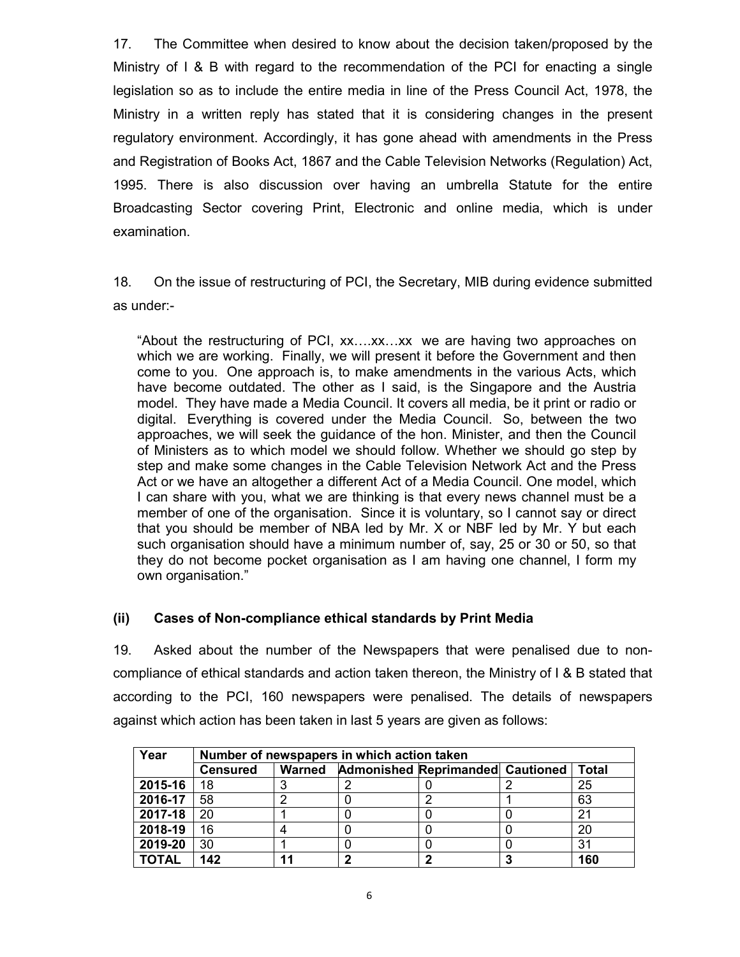17. The Committee when desired to know about the decision taken/proposed by the Ministry of I & B with regard to the recommendation of the PCI for enacting a single legislation so as to include the entire media in line of the Press Council Act, 1978, the Ministry in a written reply has stated that it is considering changes in the present regulatory environment. Accordingly, it has gone ahead with amendments in the Press and Registration of Books Act, 1867 and the Cable Television Networks (Regulation) Act, 1995. There is also discussion over having an umbrella Statute for the entire Broadcasting Sector covering Print, Electronic and online media, which is under examination.

18. On the issue of restructuring of PCI, the Secretary, MIB during evidence submitted as under:-

"About the restructuring of PCI, xx….xx…xx we are having two approaches on which we are working. Finally, we will present it before the Government and then come to you. One approach is, to make amendments in the various Acts, which have become outdated. The other as I said, is the Singapore and the Austria model. They have made a Media Council. It covers all media, be it print or radio or digital. Everything is covered under the Media Council. So, between the two approaches, we will seek the guidance of the hon. Minister, and then the Council of Ministers as to which model we should follow. Whether we should go step by step and make some changes in the Cable Television Network Act and the Press Act or we have an altogether a different Act of a Media Council. One model, which I can share with you, what we are thinking is that every news channel must be a member of one of the organisation. Since it is voluntary, so I cannot say or direct that you should be member of NBA led by Mr. X or NBF led by Mr. Y but each such organisation should have a minimum number of, say, 25 or 30 or 50, so that they do not become pocket organisation as I am having one channel, I form my own organisation."

### **(ii) Cases of Non-compliance ethical standards by Print Media**

19. Asked about the number of the Newspapers that were penalised due to noncompliance of ethical standards and action taken thereon, the Ministry of I & B stated that according to the PCI, 160 newspapers were penalised. The details of newspapers against which action has been taken in last 5 years are given as follows:

| Year         | Number of newspapers in which action taken |        |                                  |  |       |
|--------------|--------------------------------------------|--------|----------------------------------|--|-------|
|              | <b>Censured</b>                            | Warned | Admonished Reprimanded Cautioned |  | Total |
| 2015-16      | 18                                         |        |                                  |  | 25    |
| 2016-17      | 58                                         | 2      |                                  |  | 63    |
| 2017-18      | 20                                         |        |                                  |  | 21    |
| 2018-19      | 16                                         |        |                                  |  | 20    |
| 2019-20      | 30                                         |        |                                  |  | 31    |
| <b>TOTAL</b> | 142                                        | 44     |                                  |  | 160   |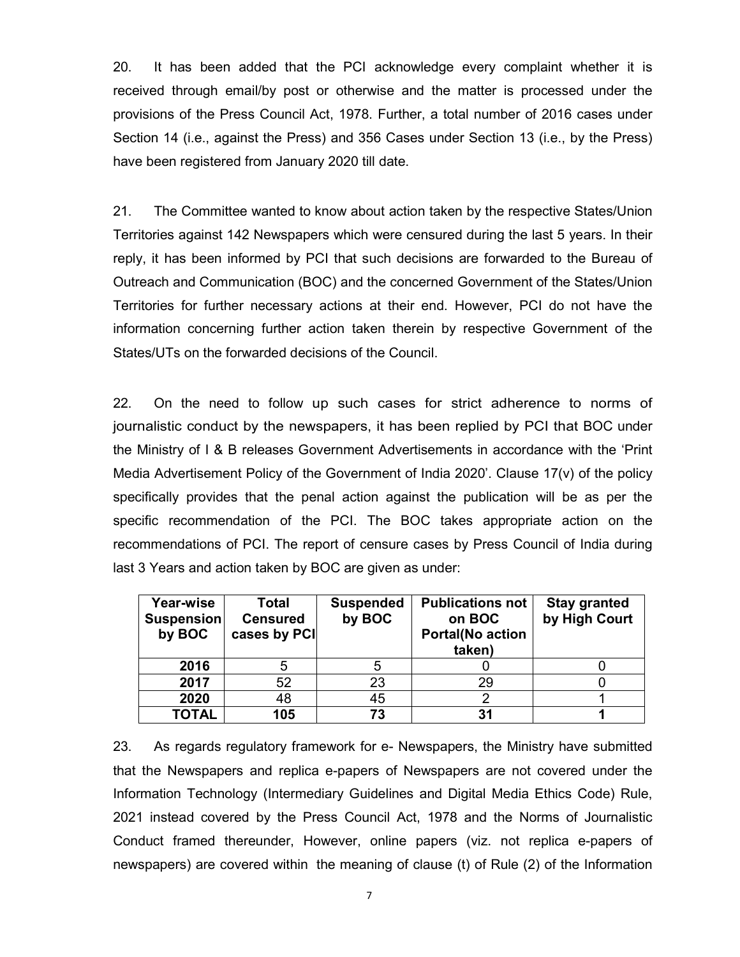20. It has been added that the PCI acknowledge every complaint whether it is received through email/by post or otherwise and the matter is processed under the provisions of the Press Council Act, 1978. Further, a total number of 2016 cases under Section 14 (i.e., against the Press) and 356 Cases under Section 13 (i.e., by the Press) have been registered from January 2020 till date.

21. The Committee wanted to know about action taken by the respective States/Union Territories against 142 Newspapers which were censured during the last 5 years. In their reply, it has been informed by PCI that such decisions are forwarded to the Bureau of Outreach and Communication (BOC) and the concerned Government of the States/Union Territories for further necessary actions at their end. However, PCI do not have the information concerning further action taken therein by respective Government of the States/UTs on the forwarded decisions of the Council.

22. On the need to follow up such cases for strict adherence to norms of journalistic conduct by the newspapers, it has been replied by PCI that BOC under the Ministry of I & B releases Government Advertisements in accordance with the 'Print Media Advertisement Policy of the Government of India 2020'. Clause 17(v) of the policy specifically provides that the penal action against the publication will be as per the specific recommendation of the PCI. The BOC takes appropriate action on the recommendations of PCI. The report of censure cases by Press Council of India during last 3 Years and action taken by BOC are given as under:

| Year-wise<br>Suspension<br>by BOC | Total<br><b>Censured</b><br>cases by PCI | <b>Suspended</b><br>by BOC | <b>Publications not</b><br>on BOC<br><b>Portal(No action</b><br>taken) | <b>Stay granted</b><br>by High Court |
|-----------------------------------|------------------------------------------|----------------------------|------------------------------------------------------------------------|--------------------------------------|
| 2016                              |                                          |                            |                                                                        |                                      |
| 2017                              | 52                                       | 23                         | 29                                                                     |                                      |
| 2020                              | 48                                       | 45                         |                                                                        |                                      |
| <b>TOTAL</b>                      | 105                                      | 73                         | 31                                                                     |                                      |

23. As regards regulatory framework for e- Newspapers, the Ministry have submitted that the Newspapers and replica e-papers of Newspapers are not covered under the Information Technology (Intermediary Guidelines and Digital Media Ethics Code) Rule, 2021 instead covered by the Press Council Act, 1978 and the Norms of Journalistic Conduct framed thereunder, However, online papers (viz. not replica e-papers of newspapers) are covered within the meaning of clause (t) of Rule (2) of the Information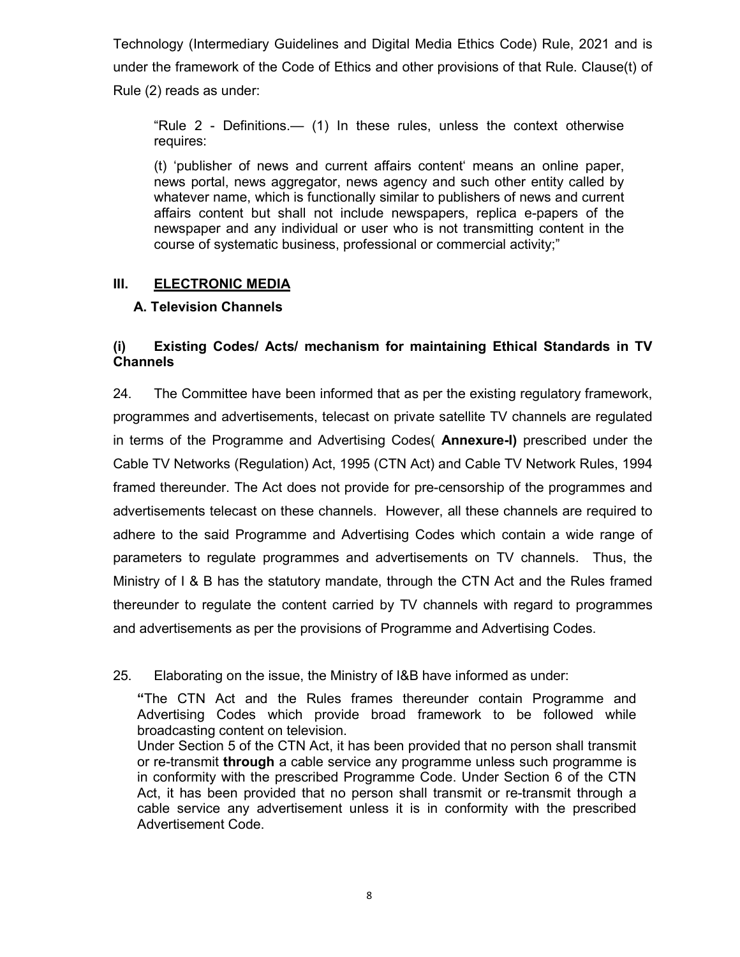Technology (Intermediary Guidelines and Digital Media Ethics Code) Rule, 2021 and is under the framework of the Code of Ethics and other provisions of that Rule. Clause(t) of Rule (2) reads as under:

"Rule 2 - Definitions.— (1) In these rules, unless the context otherwise requires:

(t) 'publisher of news and current affairs content' means an online paper, news portal, news aggregator, news agency and such other entity called by whatever name, which is functionally similar to publishers of news and current affairs content but shall not include newspapers, replica e-papers of the newspaper and any individual or user who is not transmitting content in the course of systematic business, professional or commercial activity;"

# **III. ELECTRONIC MEDIA**

# **A. Television Channels**

# **(i) Existing Codes/ Acts/ mechanism for maintaining Ethical Standards in TV Channels**

24. The Committee have been informed that as per the existing regulatory framework, programmes and advertisements, telecast on private satellite TV channels are regulated in terms of the Programme and Advertising Codes( **Annexure-I)** prescribed under the Cable TV Networks (Regulation) Act, 1995 (CTN Act) and Cable TV Network Rules, 1994 framed thereunder. The Act does not provide for pre-censorship of the programmes and advertisements telecast on these channels. However, all these channels are required to adhere to the said Programme and Advertising Codes which contain a wide range of parameters to regulate programmes and advertisements on TV channels. Thus, the Ministry of I & B has the statutory mandate, through the CTN Act and the Rules framed thereunder to regulate the content carried by TV channels with regard to programmes and advertisements as per the provisions of Programme and Advertising Codes.

25. Elaborating on the issue, the Ministry of I&B have informed as under:

**"**The CTN Act and the Rules frames thereunder contain Programme and Advertising Codes which provide broad framework to be followed while broadcasting content on television.

Under Section 5 of the CTN Act, it has been provided that no person shall transmit or re-transmit **through** a cable service any programme unless such programme is in conformity with the prescribed Programme Code. Under Section 6 of the CTN Act, it has been provided that no person shall transmit or re-transmit through a cable service any advertisement unless it is in conformity with the prescribed Advertisement Code.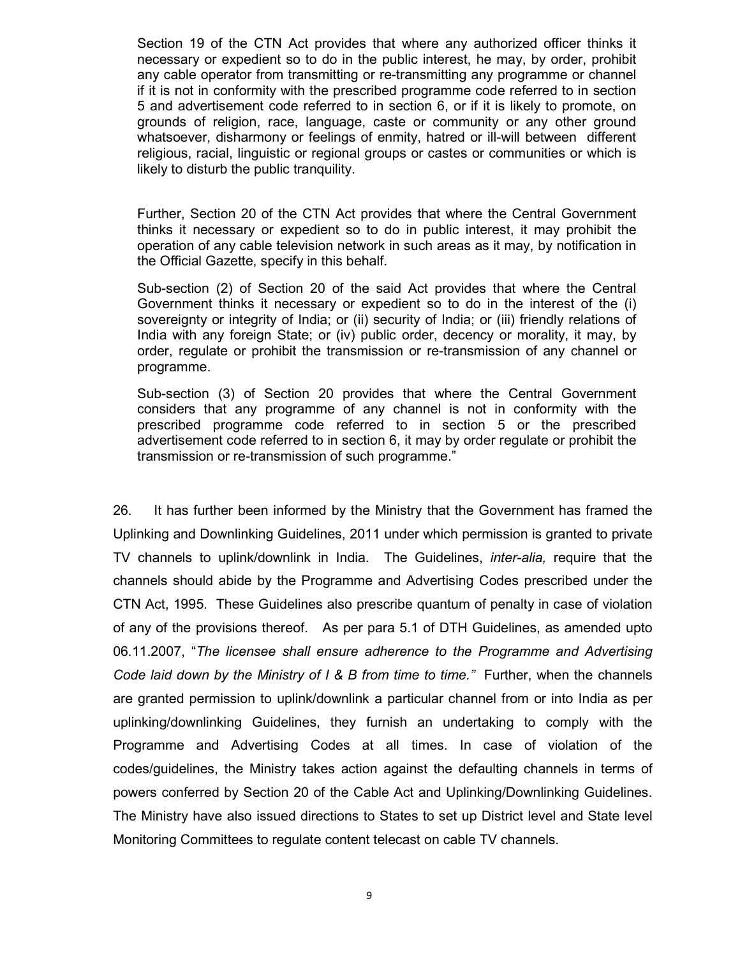Section 19 of the CTN Act provides that where any authorized officer thinks it necessary or expedient so to do in the public interest, he may, by order, prohibit any cable operator from transmitting or re-transmitting any programme or channel if it is not in conformity with the prescribed programme code referred to in section 5 and advertisement code referred to in section 6, or if it is likely to promote, on grounds of religion, race, language, caste or community or any other ground whatsoever, disharmony or feelings of enmity, hatred or ill-will between different religious, racial, linguistic or regional groups or castes or communities or which is likely to disturb the public tranquility.

Further, Section 20 of the CTN Act provides that where the Central Government thinks it necessary or expedient so to do in public interest, it may prohibit the operation of any cable television network in such areas as it may, by notification in the Official Gazette, specify in this behalf.

Sub-section (2) of Section 20 of the said Act provides that where the Central Government thinks it necessary or expedient so to do in the interest of the (i) sovereignty or integrity of India; or (ii) security of India; or (iii) friendly relations of India with any foreign State; or (iv) public order, decency or morality, it may, by order, regulate or prohibit the transmission or re-transmission of any channel or programme.

Sub-section (3) of Section 20 provides that where the Central Government considers that any programme of any channel is not in conformity with the prescribed programme code referred to in section 5 or the prescribed advertisement code referred to in section 6, it may by order regulate or prohibit the transmission or re-transmission of such programme."

26. It has further been informed by the Ministry that the Government has framed the Uplinking and Downlinking Guidelines, 2011 under which permission is granted to private TV channels to uplink/downlink in India. The Guidelines, *inter-alia,* require that the channels should abide by the Programme and Advertising Codes prescribed under the CTN Act, 1995. These Guidelines also prescribe quantum of penalty in case of violation of any of the provisions thereof. As per para 5.1 of DTH Guidelines, as amended upto 06.11.2007, "*The licensee shall ensure adherence to the Programme and Advertising Code laid down by the Ministry of I & B from time to time.*" Further, when the channels are granted permission to uplink/downlink a particular channel from or into India as per uplinking/downlinking Guidelines, they furnish an undertaking to comply with the Programme and Advertising Codes at all times. In case of violation of the codes/guidelines, the Ministry takes action against the defaulting channels in terms of powers conferred by Section 20 of the Cable Act and Uplinking/Downlinking Guidelines. The Ministry have also issued directions to States to set up District level and State level Monitoring Committees to regulate content telecast on cable TV channels.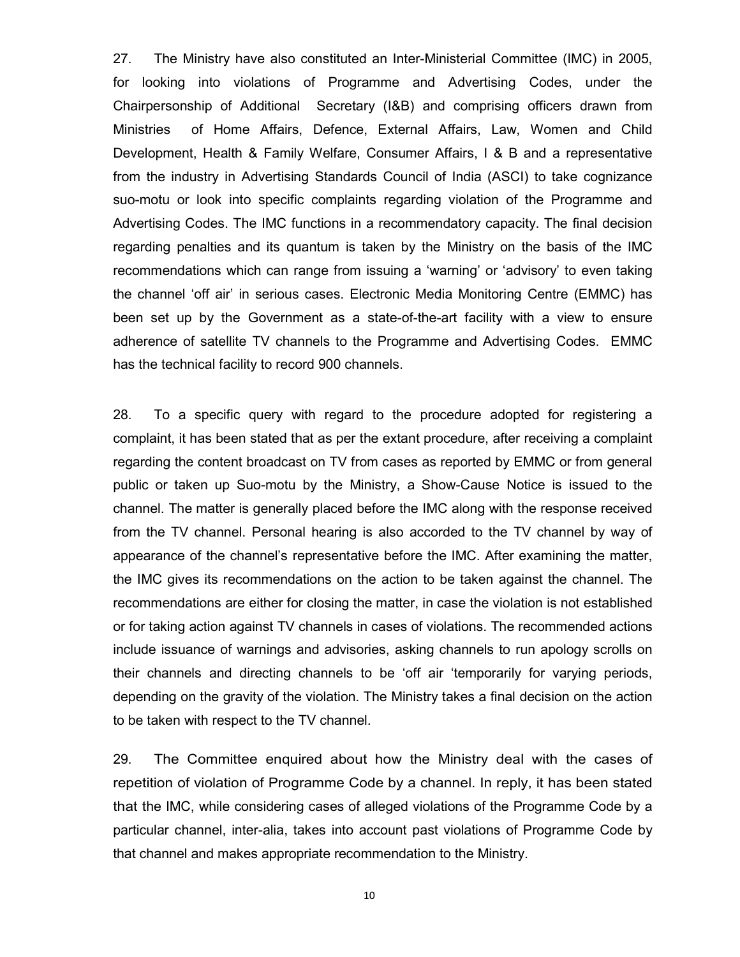27. The Ministry have also constituted an Inter-Ministerial Committee (IMC) in 2005, for looking into violations of Programme and Advertising Codes, under the Chairpersonship of Additional Secretary (I&B) and comprising officers drawn from Ministries of Home Affairs, Defence, External Affairs, Law, Women and Child Development, Health & Family Welfare, Consumer Affairs, I & B and a representative from the industry in Advertising Standards Council of India (ASCI) to take cognizance suo-motu or look into specific complaints regarding violation of the Programme and Advertising Codes. The IMC functions in a recommendatory capacity. The final decision regarding penalties and its quantum is taken by the Ministry on the basis of the IMC recommendations which can range from issuing a 'warning' or 'advisory' to even taking the channel 'off air' in serious cases. Electronic Media Monitoring Centre (EMMC) has been set up by the Government as a state-of-the-art facility with a view to ensure adherence of satellite TV channels to the Programme and Advertising Codes. EMMC has the technical facility to record 900 channels.

28. To a specific query with regard to the procedure adopted for registering a complaint, it has been stated that as per the extant procedure, after receiving a complaint regarding the content broadcast on TV from cases as reported by EMMC or from general public or taken up Suo-motu by the Ministry, a Show-Cause Notice is issued to the channel. The matter is generally placed before the IMC along with the response received from the TV channel. Personal hearing is also accorded to the TV channel by way of appearance of the channel's representative before the IMC. After examining the matter, the IMC gives its recommendations on the action to be taken against the channel. The recommendations are either for closing the matter, in case the violation is not established or for taking action against TV channels in cases of violations. The recommended actions include issuance of warnings and advisories, asking channels to run apology scrolls on their channels and directing channels to be 'off air 'temporarily for varying periods, depending on the gravity of the violation. The Ministry takes a final decision on the action to be taken with respect to the TV channel.

29. The Committee enquired about how the Ministry deal with the cases of repetition of violation of Programme Code by a channel. In reply, it has been stated that the IMC, while considering cases of alleged violations of the Programme Code by a particular channel, inter-alia, takes into account past violations of Programme Code by that channel and makes appropriate recommendation to the Ministry.

10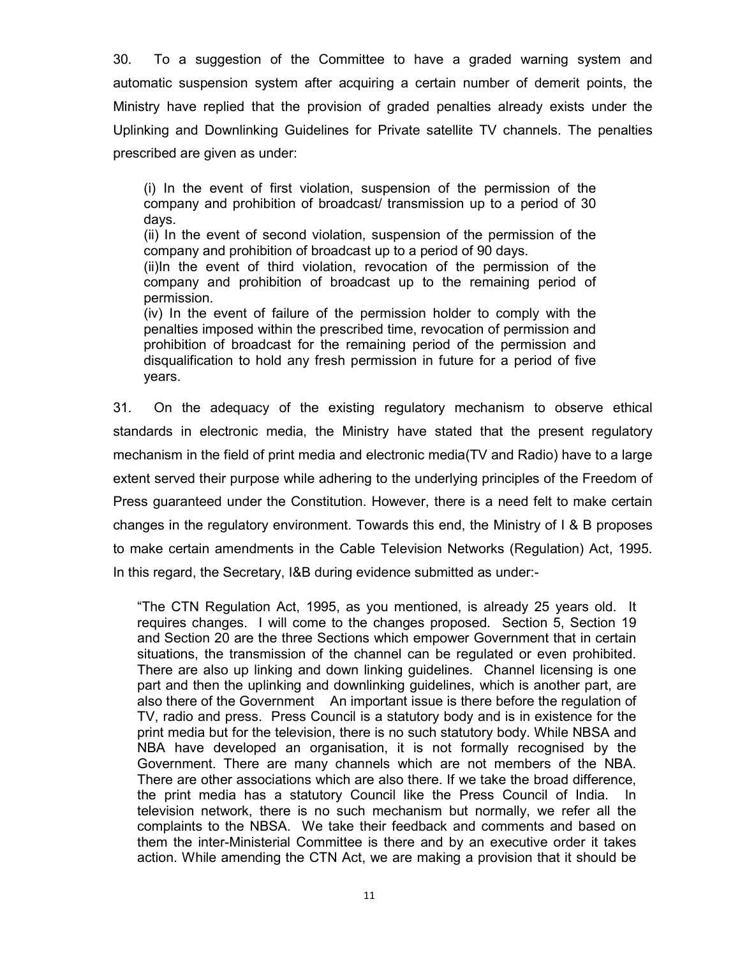30. To a suggestion of the Committee to have a graded warning system and automatic suspension system after acquiring a certain number of demerit points, the Ministry have replied that the provision of graded penalties already exists under the Uplinking and Downlinking Guidelines for Private satellite TV channels. The penalties prescribed are given as under:

(i) In the event of first violation, suspension of the permission of the company and prohibition of broadcast/ transmission up to a period of 30 days.

(ii) In the event of second violation, suspension of the permission of the company and prohibition of broadcast up to a period of 90 days.

(ii)In the event of third violation, revocation of the permission of the company and prohibition of broadcast up to the remaining period of permission.

(iv) In the event of failure of the permission holder to comply with the penalties imposed within the prescribed time, revocation of permission and prohibition of broadcast for the remaining period of the permission and disqualification to hold any fresh permission in future for a period of five years.

31. On the adequacy of the existing regulatory mechanism to observe ethical standards in electronic media, the Ministry have stated that the present regulatory mechanism in the field of print media and electronic media(TV and Radio) have to a large extent served their purpose while adhering to the underlying principles of the Freedom of Press guaranteed under the Constitution. However, there is a need felt to make certain changes in the regulatory environment. Towards this end, the Ministry of I & B proposes to make certain amendments in the Cable Television Networks (Regulation) Act, 1995. In this regard, the Secretary, I&B during evidence submitted as under:-

"The CTN Regulation Act, 1995, as you mentioned, is already 25 years old. It requires changes. I will come to the changes proposed. Section 5, Section 19 and Section 20 are the three Sections which empower Government that in certain situations, the transmission of the channel can be regulated or even prohibited. There are also up linking and down linking guidelines. Channel licensing is one part and then the uplinking and downlinking guidelines, which is another part, are also there of the Government An important issue is there before the regulation of TV, radio and press. Press Council is a statutory body and is in existence for the print media but for the television, there is no such statutory body. While NBSA and NBA have developed an organisation, it is not formally recognised by the Government. There are many channels which are not members of the NBA. There are other associations which are also there. If we take the broad difference, the print media has a statutory Council like the Press Council of India. In television network, there is no such mechanism but normally, we refer all the complaints to the NBSA. We take their feedback and comments and based on them the inter-Ministerial Committee is there and by an executive order it takes action. While amending the CTN Act, we are making a provision that it should be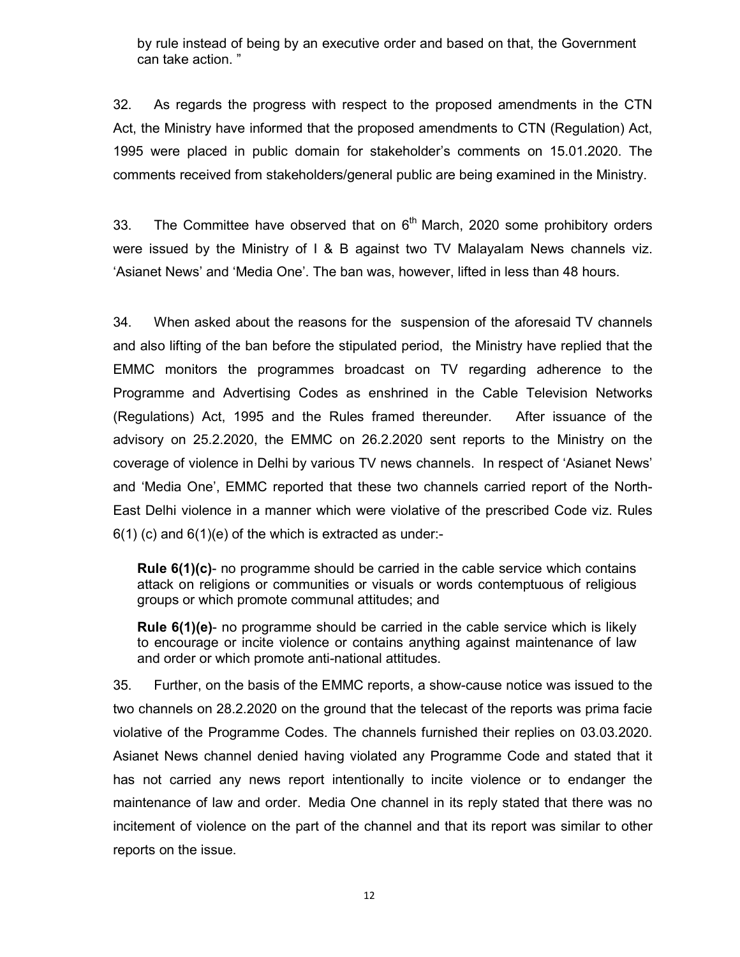by rule instead of being by an executive order and based on that, the Government can take action. "

32. As regards the progress with respect to the proposed amendments in the CTN Act, the Ministry have informed that the proposed amendments to CTN (Regulation) Act, 1995 were placed in public domain for stakeholder's comments on 15.01.2020. The comments received from stakeholders/general public are being examined in the Ministry.

33. The Committee have observed that on  $6<sup>th</sup>$  March, 2020 some prohibitory orders were issued by the Ministry of I & B against two TV Malayalam News channels viz. 'Asianet News' and 'Media One'. The ban was, however, lifted in less than 48 hours.

34. When asked about the reasons for the suspension of the aforesaid TV channels and also lifting of the ban before the stipulated period, the Ministry have replied that the EMMC monitors the programmes broadcast on TV regarding adherence to the Programme and Advertising Codes as enshrined in the Cable Television Networks (Regulations) Act, 1995 and the Rules framed thereunder. After issuance of the advisory on 25.2.2020, the EMMC on 26.2.2020 sent reports to the Ministry on the coverage of violence in Delhi by various TV news channels. In respect of 'Asianet News' and 'Media One', EMMC reported that these two channels carried report of the North-East Delhi violence in a manner which were violative of the prescribed Code viz. Rules  $6(1)$  (c) and  $6(1)$ (e) of the which is extracted as under:-

**Rule 6(1)(c)**- no programme should be carried in the cable service which contains attack on religions or communities or visuals or words contemptuous of religious groups or which promote communal attitudes; and

**Rule 6(1)(e)**- no programme should be carried in the cable service which is likely to encourage or incite violence or contains anything against maintenance of law and order or which promote anti-national attitudes.

35. Further, on the basis of the EMMC reports, a show-cause notice was issued to the two channels on 28.2.2020 on the ground that the telecast of the reports was prima facie violative of the Programme Codes. The channels furnished their replies on 03.03.2020. Asianet News channel denied having violated any Programme Code and stated that it has not carried any news report intentionally to incite violence or to endanger the maintenance of law and order. Media One channel in its reply stated that there was no incitement of violence on the part of the channel and that its report was similar to other reports on the issue.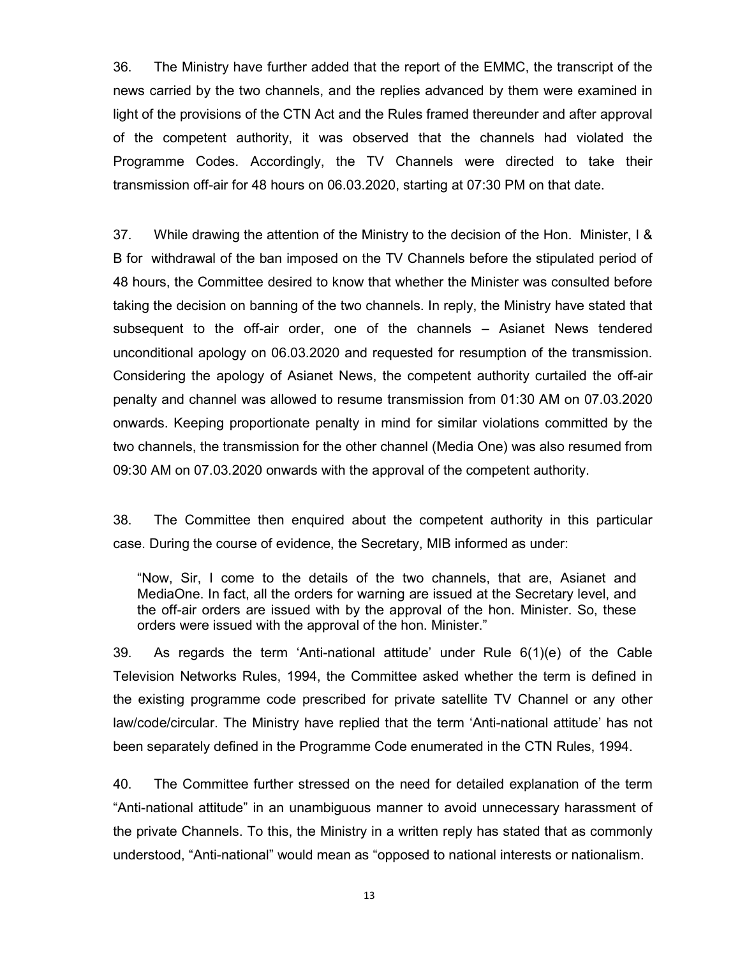36. The Ministry have further added that the report of the EMMC, the transcript of the news carried by the two channels, and the replies advanced by them were examined in light of the provisions of the CTN Act and the Rules framed thereunder and after approval of the competent authority, it was observed that the channels had violated the Programme Codes. Accordingly, the TV Channels were directed to take their transmission off-air for 48 hours on 06.03.2020, starting at 07:30 PM on that date.

37. While drawing the attention of the Ministry to the decision of the Hon. Minister, I & B for withdrawal of the ban imposed on the TV Channels before the stipulated period of 48 hours, the Committee desired to know that whether the Minister was consulted before taking the decision on banning of the two channels. In reply, the Ministry have stated that subsequent to the off-air order, one of the channels – Asianet News tendered unconditional apology on 06.03.2020 and requested for resumption of the transmission. Considering the apology of Asianet News, the competent authority curtailed the off-air penalty and channel was allowed to resume transmission from 01:30 AM on 07.03.2020 onwards. Keeping proportionate penalty in mind for similar violations committed by the two channels, the transmission for the other channel (Media One) was also resumed from 09:30 AM on 07.03.2020 onwards with the approval of the competent authority.

38. The Committee then enquired about the competent authority in this particular case. During the course of evidence, the Secretary, MIB informed as under:

"Now, Sir, I come to the details of the two channels, that are, Asianet and MediaOne. In fact, all the orders for warning are issued at the Secretary level, and the off-air orders are issued with by the approval of the hon. Minister. So, these orders were issued with the approval of the hon. Minister."

39. As regards the term 'Anti-national attitude' under Rule 6(1)(e) of the Cable Television Networks Rules, 1994, the Committee asked whether the term is defined in the existing programme code prescribed for private satellite TV Channel or any other law/code/circular. The Ministry have replied that the term 'Anti-national attitude' has not been separately defined in the Programme Code enumerated in the CTN Rules, 1994.

40. The Committee further stressed on the need for detailed explanation of the term "Anti-national attitude" in an unambiguous manner to avoid unnecessary harassment of the private Channels. To this, the Ministry in a written reply has stated that as commonly understood, "Anti-national" would mean as "opposed to national interests or nationalism.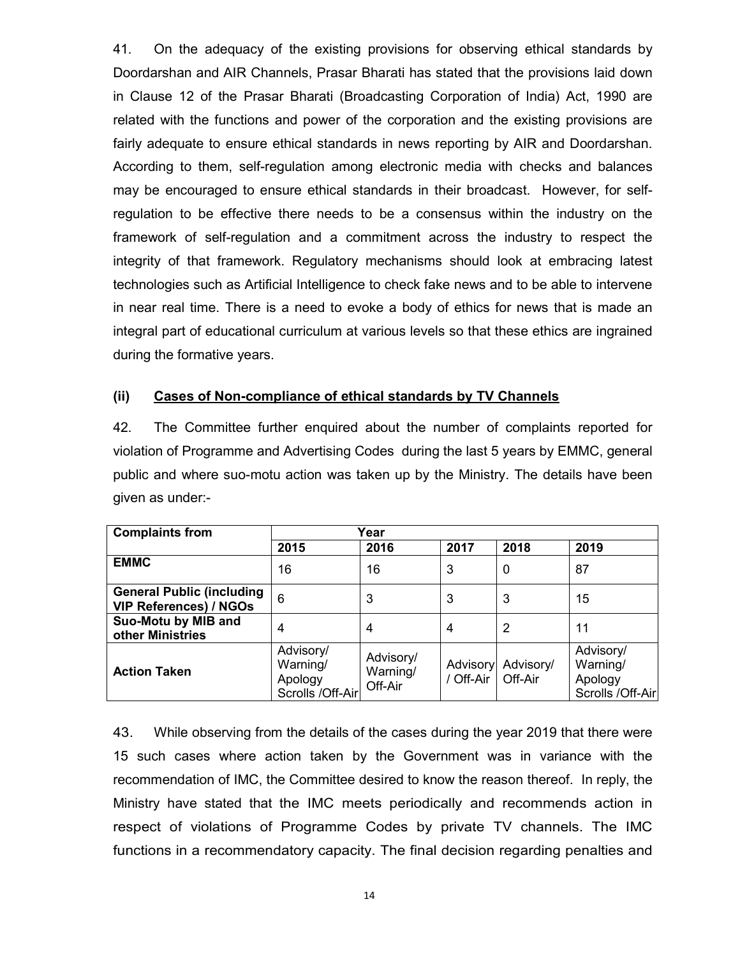41. On the adequacy of the existing provisions for observing ethical standards by Doordarshan and AIR Channels, Prasar Bharati has stated that the provisions laid down in Clause 12 of the Prasar Bharati (Broadcasting Corporation of India) Act, 1990 are related with the functions and power of the corporation and the existing provisions are fairly adequate to ensure ethical standards in news reporting by AIR and Doordarshan. According to them, self-regulation among electronic media with checks and balances may be encouraged to ensure ethical standards in their broadcast. However, for selfregulation to be effective there needs to be a consensus within the industry on the framework of self-regulation and a commitment across the industry to respect the integrity of that framework. Regulatory mechanisms should look at embracing latest technologies such as Artificial Intelligence to check fake news and to be able to intervene in near real time. There is a need to evoke a body of ethics for news that is made an integral part of educational curriculum at various levels so that these ethics are ingrained during the formative years.

#### **(ii) Cases of Non-compliance of ethical standards by TV Channels**

42. The Committee further enquired about the number of complaints reported for violation of Programme and Advertising Codes during the last 5 years by EMMC, general public and where suo-motu action was taken up by the Ministry. The details have been given as under:-

| <b>Complaints from</b>                                            | Year                                                 |                                  |                       |                      |                                                      |
|-------------------------------------------------------------------|------------------------------------------------------|----------------------------------|-----------------------|----------------------|------------------------------------------------------|
|                                                                   | 2015                                                 | 2016                             | 2017                  | 2018                 | 2019                                                 |
| <b>EMMC</b>                                                       | 16                                                   | 16                               | 3                     | $\mathbf 0$          | 87                                                   |
| <b>General Public (including</b><br><b>VIP References) / NGOs</b> | 6                                                    | 3                                | 3                     | 3                    | 15                                                   |
| Suo-Motu by MIB and<br>other Ministries                           | 4                                                    | 4                                | 4                     | 2                    | 11                                                   |
| <b>Action Taken</b>                                               | Advisory/<br>Warning/<br>Apology<br>Scrolls /Off-Air | Advisory/<br>Warning/<br>Off-Air | Advisory<br>/ Off-Air | Advisory/<br>Off-Air | Advisory/<br>Warning/<br>Apology<br>Scrolls /Off-Air |

43. While observing from the details of the cases during the year 2019 that there were 15 such cases where action taken by the Government was in variance with the recommendation of IMC, the Committee desired to know the reason thereof. In reply, the Ministry have stated that the IMC meets periodically and recommends action in respect of violations of Programme Codes by private TV channels. The IMC functions in a recommendatory capacity. The final decision regarding penalties and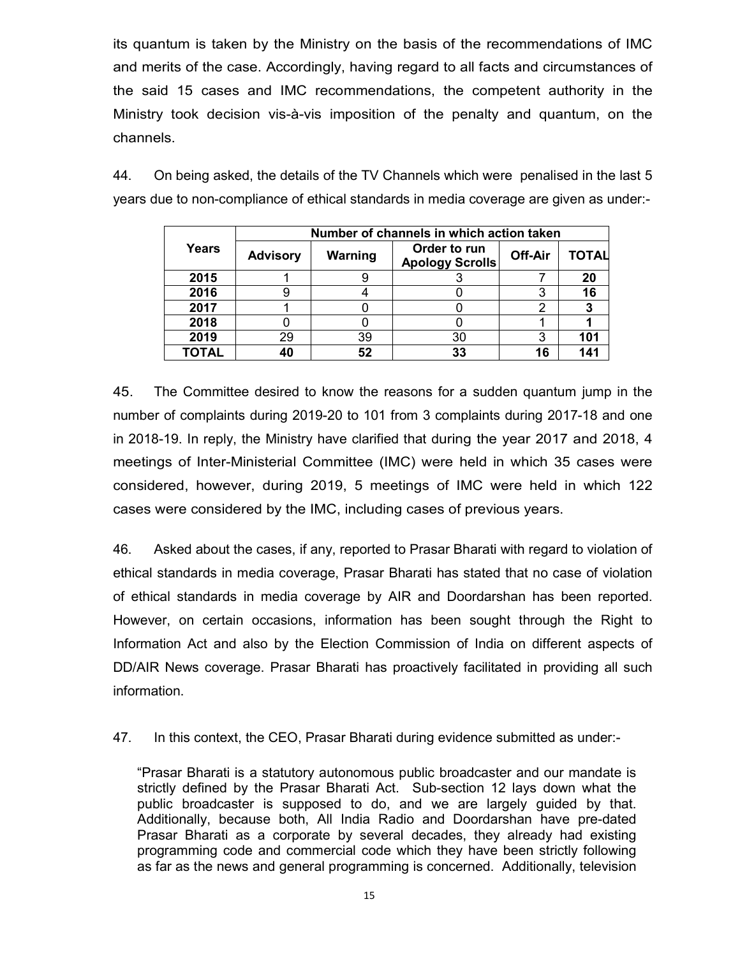its quantum is taken by the Ministry on the basis of the recommendations of IMC and merits of the case. Accordingly, having regard to all facts and circumstances of the said 15 cases and IMC recommendations, the competent authority in the Ministry took decision vis-à-vis imposition of the penalty and quantum, on the channels.

44. On being asked, the details of the TV Channels which were penalised in the last 5 years due to non-compliance of ethical standards in media coverage are given as under:-

|              | Number of channels in which action taken |         |                                        |         |              |  |  |
|--------------|------------------------------------------|---------|----------------------------------------|---------|--------------|--|--|
| Years        | <b>Advisory</b>                          | Warning | Order to run<br><b>Apology Scrolls</b> | Off-Air | <b>TOTAL</b> |  |  |
| 2015         |                                          | ч       |                                        |         | 20           |  |  |
| 2016         |                                          |         |                                        |         | 16           |  |  |
| 2017         |                                          |         |                                        | റ       |              |  |  |
| 2018         |                                          |         |                                        |         |              |  |  |
| 2019         | 29                                       | 39      | 30                                     | 3       | 101          |  |  |
| <b>TOTAL</b> | 40                                       | 52      | 33                                     | 16      | 141          |  |  |

45. The Committee desired to know the reasons for a sudden quantum jump in the number of complaints during 2019-20 to 101 from 3 complaints during 2017-18 and one in 2018-19. In reply, the Ministry have clarified that during the year 2017 and 2018, 4 meetings of Inter-Ministerial Committee (IMC) were held in which 35 cases were considered, however, during 2019, 5 meetings of IMC were held in which 122 cases were considered by the IMC, including cases of previous years.

46. Asked about the cases, if any, reported to Prasar Bharati with regard to violation of ethical standards in media coverage, Prasar Bharati has stated that no case of violation of ethical standards in media coverage by AIR and Doordarshan has been reported. However, on certain occasions, information has been sought through the Right to Information Act and also by the Election Commission of India on different aspects of DD/AIR News coverage. Prasar Bharati has proactively facilitated in providing all such information.

47. In this context, the CEO, Prasar Bharati during evidence submitted as under:-

"Prasar Bharati is a statutory autonomous public broadcaster and our mandate is strictly defined by the Prasar Bharati Act. Sub-section 12 lays down what the public broadcaster is supposed to do, and we are largely guided by that. Additionally, because both, All India Radio and Doordarshan have pre-dated Prasar Bharati as a corporate by several decades, they already had existing programming code and commercial code which they have been strictly following as far as the news and general programming is concerned. Additionally, television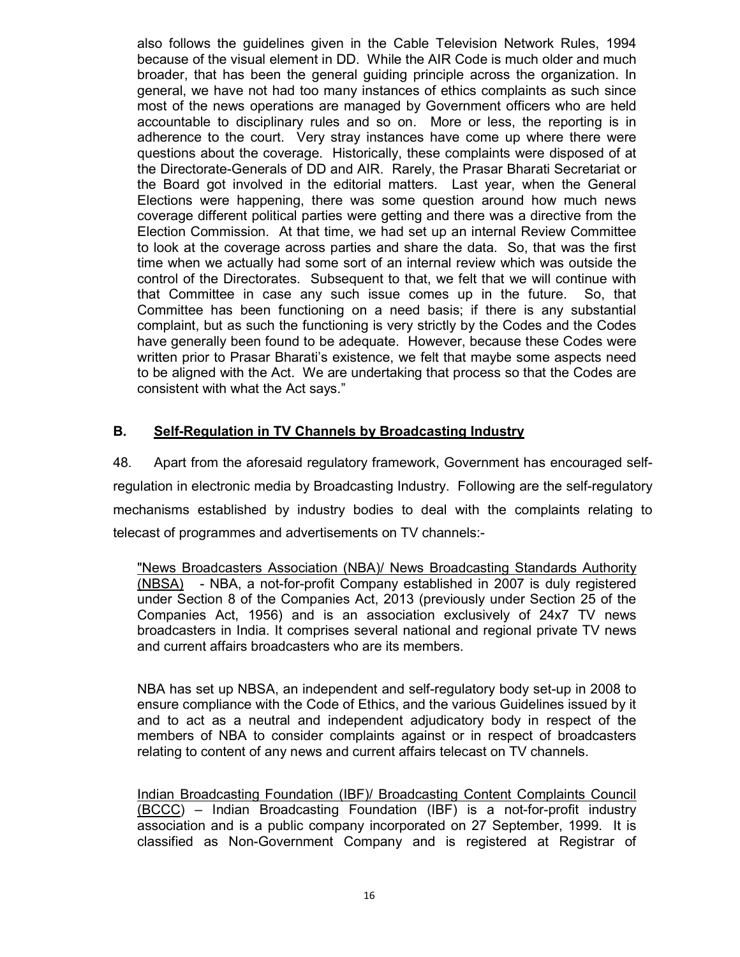also follows the guidelines given in the Cable Television Network Rules, 1994 because of the visual element in DD. While the AIR Code is much older and much broader, that has been the general guiding principle across the organization. In general, we have not had too many instances of ethics complaints as such since most of the news operations are managed by Government officers who are held accountable to disciplinary rules and so on. More or less, the reporting is in adherence to the court. Very stray instances have come up where there were questions about the coverage. Historically, these complaints were disposed of at the Directorate-Generals of DD and AIR. Rarely, the Prasar Bharati Secretariat or the Board got involved in the editorial matters. Last year, when the General Elections were happening, there was some question around how much news coverage different political parties were getting and there was a directive from the Election Commission. At that time, we had set up an internal Review Committee to look at the coverage across parties and share the data. So, that was the first time when we actually had some sort of an internal review which was outside the control of the Directorates. Subsequent to that, we felt that we will continue with that Committee in case any such issue comes up in the future. So, that Committee has been functioning on a need basis; if there is any substantial complaint, but as such the functioning is very strictly by the Codes and the Codes have generally been found to be adequate. However, because these Codes were written prior to Prasar Bharati's existence, we felt that maybe some aspects need to be aligned with the Act. We are undertaking that process so that the Codes are consistent with what the Act says."

# **B. Self-Regulation in TV Channels by Broadcasting Industry**

48. Apart from the aforesaid regulatory framework, Government has encouraged selfregulation in electronic media by Broadcasting Industry. Following are the self-regulatory mechanisms established by industry bodies to deal with the complaints relating to telecast of programmes and advertisements on TV channels:-

"News Broadcasters Association (NBA)/ News Broadcasting Standards Authority (NBSA) - NBA, a not-for-profit Company established in 2007 is duly registered under Section 8 of the Companies Act, 2013 (previously under Section 25 of the Companies Act, 1956) and is an association exclusively of 24x7 TV news broadcasters in India. It comprises several national and regional private TV news and current affairs broadcasters who are its members.

NBA has set up NBSA, an independent and self-regulatory body set-up in 2008 to ensure compliance with the Code of Ethics, and the various Guidelines issued by it and to act as a neutral and independent adjudicatory body in respect of the members of NBA to consider complaints against or in respect of broadcasters relating to content of any news and current affairs telecast on TV channels.

Indian Broadcasting Foundation (IBF)/ Broadcasting Content Complaints Council (BCCC) – Indian Broadcasting Foundation (IBF) is a not-for-profit industry association and is a public company incorporated on 27 September, 1999. It is classified as Non-Government Company and is registered at Registrar of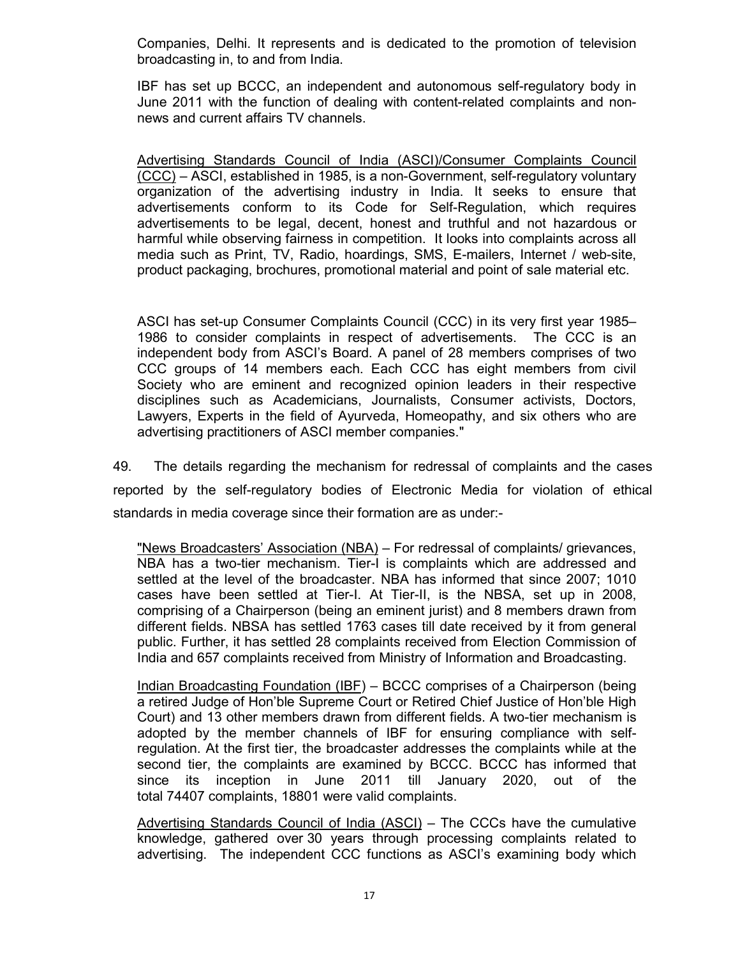Companies, Delhi. It represents and is dedicated to the promotion of television broadcasting in, to and from India.

IBF has set up BCCC, an independent and autonomous self-regulatory body in June 2011 with the function of dealing with content-related complaints and nonnews and current affairs TV channels.

Advertising Standards Council of India (ASCI)/Consumer Complaints Council (CCC) – ASCI, established in 1985, is a non-Government, self-regulatory voluntary organization of the advertising industry in India. It seeks to ensure that advertisements co[nform to its C](https://en.wikipedia.org/wiki/Advertising_industry)ode for Self-Regulation, which requires advertisements to be legal, decent, honest and truthful and not hazardous or harmful while observing fairness in competition. It looks into complaints across all media such as Print, TV, Radio, hoardings, SMS, E-mailers, Internet / web-site, product packaging, brochures, promotional material and point of sale material etc.

ASCI has set-up Consumer Complaints Council (CCC) in its very first year 1985– 1986 to consider complaints in respect of advertisements. The CCC is an independent body from ASCI's Board. A panel of 28 members comprises of two CCC groups of 14 members each. Each CCC has eight members from civil Society who are eminent and recognized opinion leaders in their respective disciplines such as Academicians, Journalists, Consumer activists, Doctors, Lawyers, Experts in the field of Ayurveda, Homeopathy, and six others who are advertising practitioners of ASCI member companies."

49. The details regarding the mechanism for redressal of complaints and the cases reported by the self-regulatory bodies of Electronic Media for violation of ethical standards in media coverage since their formation are as under:-

"News Broadcasters' Association (NBA) – For redressal of complaints/ grievances, NBA has a two-tier mechanism. Tier-I is complaints which are addressed and settled at the level of the broadcaster. NBA has informed that since 2007; 1010 cases have been settled at Tier-I. At Tier-II, is the NBSA, set up in 2008, comprising of a Chairperson (being an eminent jurist) and 8 members drawn from different fields. NBSA has settled 1763 cases till date received by it from general public. Further, it has settled 28 complaints received from Election Commission of India and 657 complaints received from Ministry of Information and Broadcasting.

Indian Broadcasting Foundation (IBF) – BCCC comprises of a Chairperson (being a retired Judge of Hon'ble Supreme Court or Retired Chief Justice of Hon'ble High Court) and 13 other members drawn from different fields. A two-tier mechanism is adopted by the member channels of IBF for ensuring compliance with selfregulation. At the first tier, the broadcaster addresses the complaints while at the second tier, the complaints are examined by BCCC. BCCC has informed that since its inception in June 2011 till January 2020, out of the total 74407 complaints, 18801 were valid complaints.

Advertising Standards Council of India (ASCI) – The CCCs have the cumulative knowledge, gathered over 30 years through processing complaints related to advertising. The independent CCC functions as ASCI's examining body which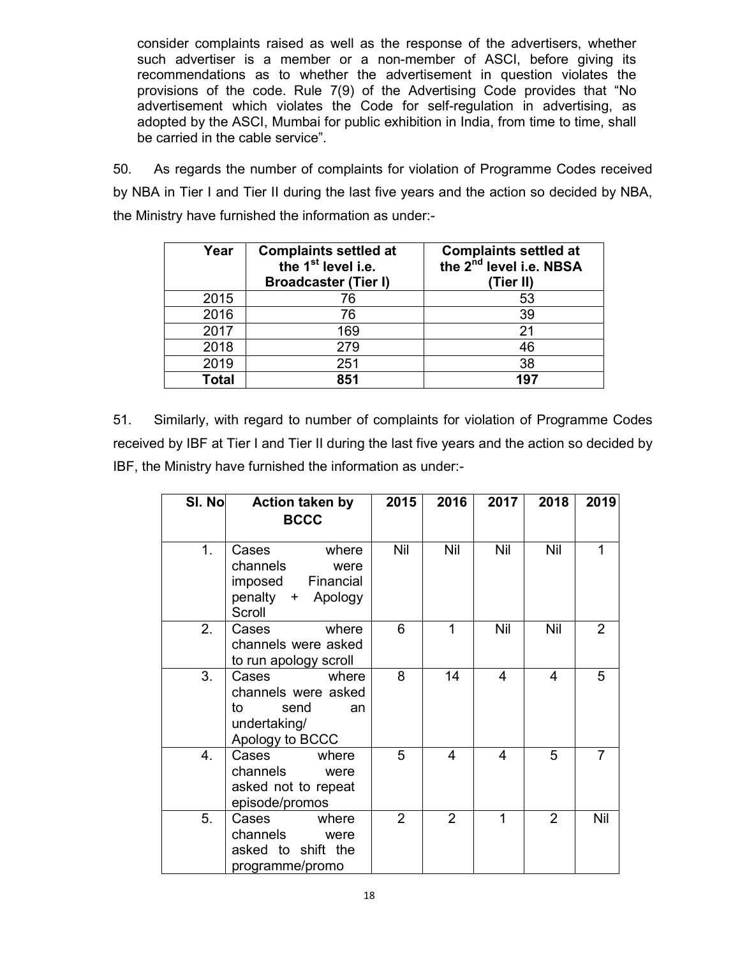consider complaints raised as well as the response of the advertisers, whether such advertiser is a member or a non-member of ASCI, before giving its recommendations as to whether the advertisement in question violates the provisions of the code. Rule 7(9) of the Advertising Code provides that "No advertisement which violates the Code for self-regulation in advertising, as adopted by the ASCI, Mumbai for public exhibition in India, from time to time, shall be carried in the cable service".

50. As regards the number of complaints for violation of Programme Codes received by NBA in Tier I and Tier II during the last five years and the action so decided by NBA, the Ministry have furnished the information as under:-

| Year         | <b>Complaints settled at</b><br>the 1 <sup>st</sup> level i.e.<br><b>Broadcaster (Tier I)</b> | <b>Complaints settled at</b><br>the 2 <sup>nd</sup> level i.e. NBSA<br>(Tier II) |
|--------------|-----------------------------------------------------------------------------------------------|----------------------------------------------------------------------------------|
| 2015         | 76                                                                                            | 53                                                                               |
| 2016         | 76                                                                                            | 39                                                                               |
| 2017         | 169                                                                                           | 21                                                                               |
| 2018         | 279                                                                                           | 46                                                                               |
| 2019         | 251                                                                                           | 38                                                                               |
| <b>Total</b> | 851                                                                                           | 197                                                                              |

51. Similarly, with regard to number of complaints for violation of Programme Codes received by IBF at Tier I and Tier II during the last five years and the action so decided by IBF, the Ministry have furnished the information as under:-

| SI. No | <b>Action taken by</b><br><b>BCCC</b>                                                        | 2015           | 2016           | 2017           | 2018           | 2019           |
|--------|----------------------------------------------------------------------------------------------|----------------|----------------|----------------|----------------|----------------|
| 1.     | Cases<br>where<br>channels<br>were<br>imposed<br>Financial<br>penalty +<br>Apology<br>Scroll | Nil            | Nil            | Nil            | Nil            | 1              |
| 2.     | Cases<br>where<br>channels were asked<br>to run apology scroll                               | 6              | 1              | Nil            | Nil            | $\overline{2}$ |
| 3.     | Cases<br>where<br>channels were asked<br>to<br>send<br>an<br>undertaking/<br>Apology to BCCC | 8              | 14             | $\overline{4}$ | $\overline{4}$ | 5              |
| 4.     | Cases<br>where<br>channels<br>were<br>asked not to repeat<br>episode/promos                  | 5              | 4              | 4              | 5              | 7              |
| 5.     | Cases<br>where<br>channels<br>were<br>asked to shift the<br>programme/promo                  | $\overline{2}$ | $\overline{2}$ | 1              | $\overline{2}$ | Nil            |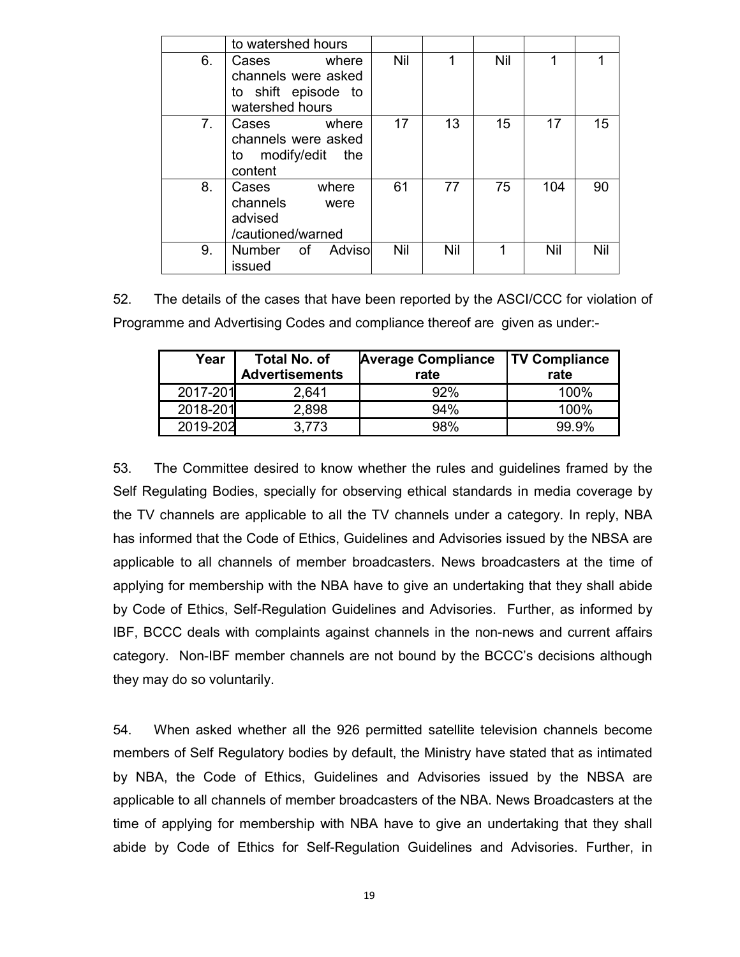|    | to watershed hours                                                              |     |     |     |     |     |
|----|---------------------------------------------------------------------------------|-----|-----|-----|-----|-----|
| 6. | where<br>Cases<br>channels were asked<br>to shift episode to<br>watershed hours | Nil |     | Nil |     |     |
| 7. | where<br>Cases<br>channels were asked<br>to modify/edit the<br>content          | 17  | 13  | 15  | 17  | 15  |
| 8. | Cases<br>where<br>channels<br>were<br>advised<br>/cautioned/warned              | 61  | 77  | 75  | 104 | 90  |
| 9. | Number of Adviso<br>issued                                                      | Nil | Nil |     | Nil | Nil |

52. The details of the cases that have been reported by the ASCI/CCC for violation of Programme and Advertising Codes and compliance thereof are given as under:-

| Year     | <b>Total No. of</b><br><b>Advertisements</b> | <b>Average Compliance</b><br>rate | <b>TV Compliance</b><br>rate |
|----------|----------------------------------------------|-----------------------------------|------------------------------|
| 2017-201 | 2.641                                        | 92%                               | 100%                         |
| 2018-201 | 2,898                                        | 94%                               | 100%                         |
| 2019-202 | 3.773                                        | 98%                               | 99.9%                        |

53. The Committee desired to know whether the rules and guidelines framed by the Self Regulating Bodies, specially for observing ethical standards in media coverage by the TV channels are applicable to all the TV channels under a category. In reply, NBA has informed that the Code of Ethics, Guidelines and Advisories issued by the NBSA are applicable to all channels of member broadcasters. News broadcasters at the time of applying for membership with the NBA have to give an undertaking that they shall abide by Code of Ethics, Self-Regulation Guidelines and Advisories. Further, as informed by IBF, BCCC deals with complaints against channels in the non-news and current affairs category. Non-IBF member channels are not bound by the BCCC's decisions although they may do so voluntarily.

54. When asked whether all the 926 permitted satellite television channels become members of Self Regulatory bodies by default, the Ministry have stated that as intimated by NBA, the Code of Ethics, Guidelines and Advisories issued by the NBSA are applicable to all channels of member broadcasters of the NBA. News Broadcasters at the time of applying for membership with NBA have to give an undertaking that they shall abide by Code of Ethics for Self-Regulation Guidelines and Advisories. Further, in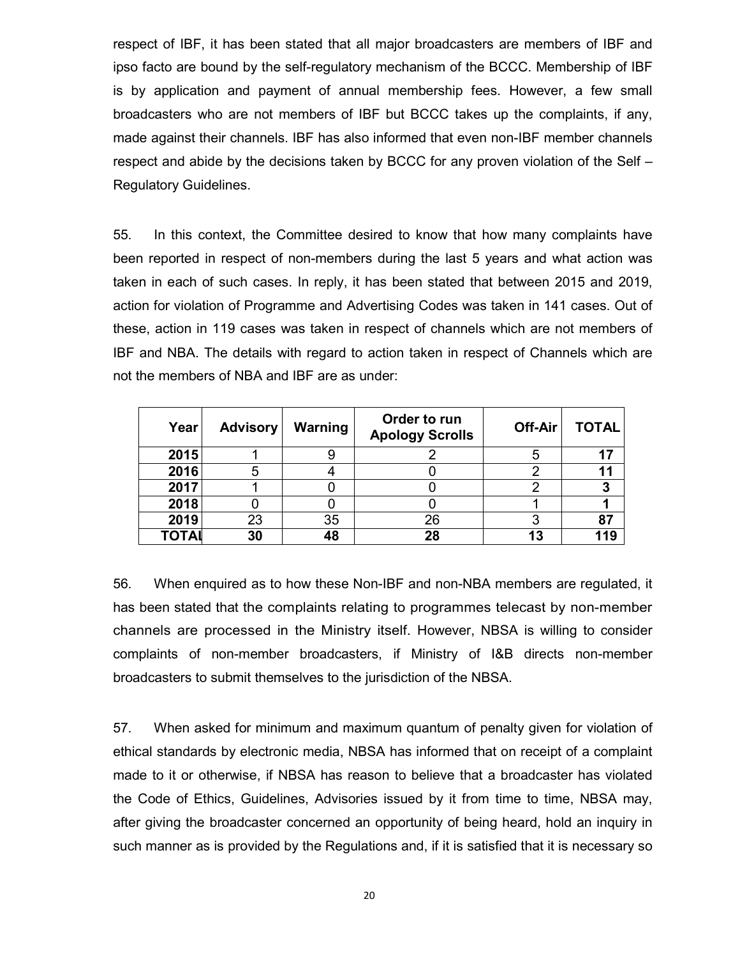respect of IBF, it has been stated that all major broadcasters are members of IBF and ipso facto are bound by the self-regulatory mechanism of the BCCC. Membership of IBF is by application and payment of annual membership fees. However, a few small broadcasters who are not members of IBF but BCCC takes up the complaints, if any, made against their channels. IBF has also informed that even non-IBF member channels respect and abide by the decisions taken by BCCC for any proven violation of the Self – Regulatory Guidelines.

55. In this context, the Committee desired to know that how many complaints have been reported in respect of non-members during the last 5 years and what action was taken in each of such cases. In reply, it has been stated that between 2015 and 2019, action for violation of Programme and Advertising Codes was taken in 141 cases. Out of these, action in 119 cases was taken in respect of channels which are not members of IBF and NBA. The details with regard to action taken in respect of Channels which are not the members of NBA and IBF are as under:

| Year  | <b>Advisory</b> | Warning | Order to run<br><b>Apology Scrolls</b> | Off-Air | <b>TOTAL</b> |
|-------|-----------------|---------|----------------------------------------|---------|--------------|
| 2015  |                 |         |                                        | 5       | 17           |
| 2016  |                 |         |                                        |         | 11           |
| 2017  |                 |         |                                        |         |              |
| 2018  |                 |         |                                        |         |              |
| 2019  | 23              | 35      | 26                                     |         | 87           |
| ΤΟΤΑΙ | 30              | 48      | 28                                     | 13      | 119          |

56. When enquired as to how these Non-IBF and non-NBA members are regulated, it has been stated that the complaints relating to programmes telecast by non-member channels are processed in the Ministry itself. However, NBSA is willing to consider complaints of non-member broadcasters, if Ministry of I&B directs non-member broadcasters to submit themselves to the jurisdiction of the NBSA.

57. When asked for minimum and maximum quantum of penalty given for violation of ethical standards by electronic media, NBSA has informed that on receipt of a complaint made to it or otherwise, if NBSA has reason to believe that a broadcaster has violated the Code of Ethics, Guidelines, Advisories issued by it from time to time, NBSA may, after giving the broadcaster concerned an opportunity of being heard, hold an inquiry in such manner as is provided by the Regulations and, if it is satisfied that it is necessary so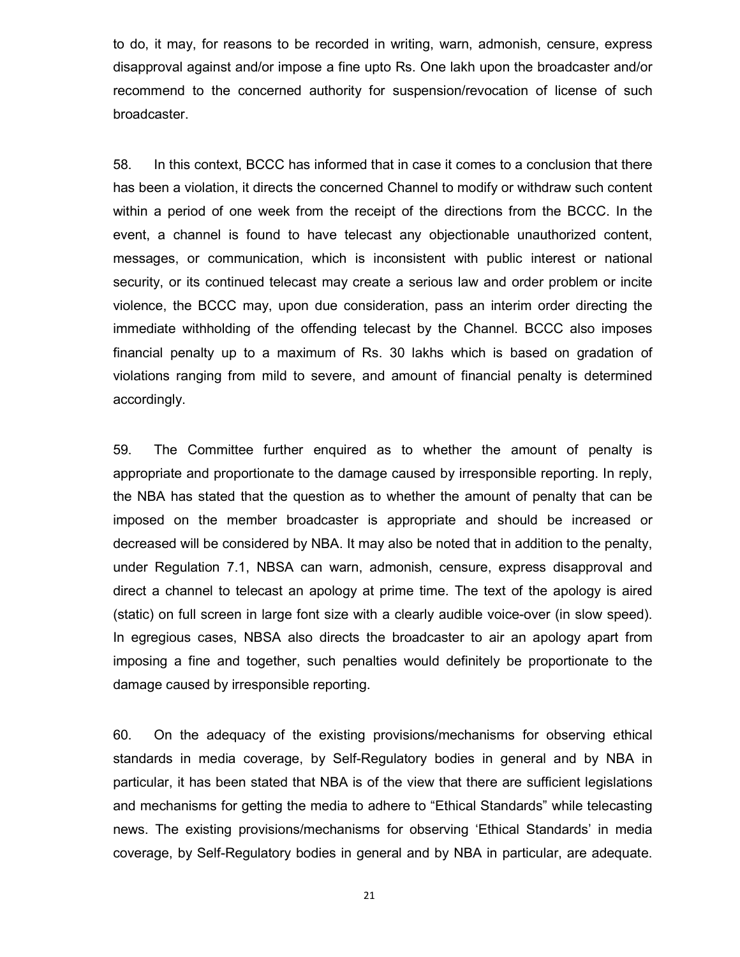to do, it may, for reasons to be recorded in writing, warn, admonish, censure, express disapproval against and/or impose a fine upto Rs. One lakh upon the broadcaster and/or recommend to the concerned authority for suspension/revocation of license of such broadcaster.

58. In this context, BCCC has informed that in case it comes to a conclusion that there has been a violation, it directs the concerned Channel to modify or withdraw such content within a period of one week from the receipt of the directions from the BCCC. In the event, a channel is found to have telecast any objectionable unauthorized content, messages, or communication, which is inconsistent with public interest or national security, or its continued telecast may create a serious law and order problem or incite violence, the BCCC may, upon due consideration, pass an interim order directing the immediate withholding of the offending telecast by the Channel. BCCC also imposes financial penalty up to a maximum of Rs. 30 lakhs which is based on gradation of violations ranging from mild to severe, and amount of financial penalty is determined accordingly.

59. The Committee further enquired as to whether the amount of penalty is appropriate and proportionate to the damage caused by irresponsible reporting. In reply, the NBA has stated that the question as to whether the amount of penalty that can be imposed on the member broadcaster is appropriate and should be increased or decreased will be considered by NBA. It may also be noted that in addition to the penalty, under Regulation 7.1, NBSA can warn, admonish, censure, express disapproval and direct a channel to telecast an apology at prime time. The text of the apology is aired (static) on full screen in large font size with a clearly audible voice-over (in slow speed). In egregious cases, NBSA also directs the broadcaster to air an apology apart from imposing a fine and together, such penalties would definitely be proportionate to the damage caused by irresponsible reporting.

60. On the adequacy of the existing provisions/mechanisms for observing ethical standards in media coverage, by Self-Regulatory bodies in general and by NBA in particular, it has been stated that NBA is of the view that there are sufficient legislations and mechanisms for getting the media to adhere to "Ethical Standards" while telecasting news. The existing provisions/mechanisms for observing 'Ethical Standards' in media coverage, by Self-Regulatory bodies in general and by NBA in particular, are adequate.

21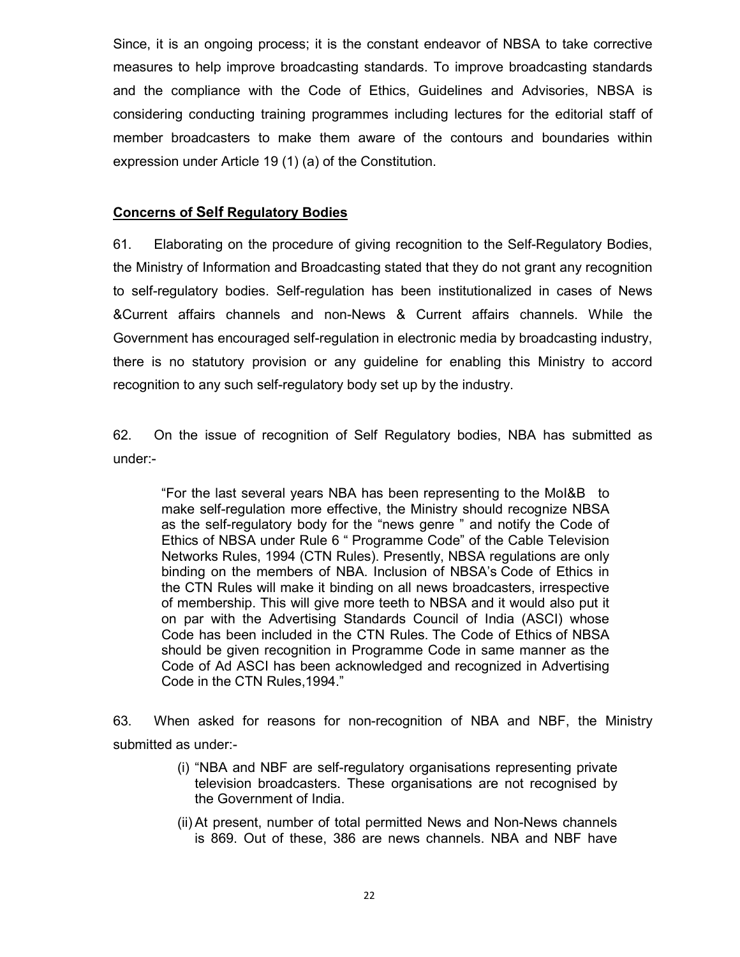Since, it is an ongoing process; it is the constant endeavor of NBSA to take corrective measures to help improve broadcasting standards. To improve broadcasting standards and the compliance with the Code of Ethics, Guidelines and Advisories, NBSA is considering conducting training programmes including lectures for the editorial staff of member broadcasters to make them aware of the contours and boundaries within expression under Article 19 (1) (a) of the Constitution.

# **Concerns of Self Regulatory Bodies**

61. Elaborating on the procedure of giving recognition to the Self-Regulatory Bodies, the Ministry of Information and Broadcasting stated that they do not grant any recognition to self-regulatory bodies. Self-regulation has been institutionalized in cases of News &Current affairs channels and non-News & Current affairs channels. While the Government has encouraged self-regulation in electronic media by broadcasting industry, there is no statutory provision or any guideline for enabling this Ministry to accord recognition to any such self-regulatory body set up by the industry.

62. On the issue of recognition of Self Regulatory bodies, NBA has submitted as under:-

"For the last several years NBA has been representing to the MoI&B to make self-regulation more effective, the Ministry should recognize NBSA as the self-regulatory body for the "news genre " and notify the Code of Ethics of NBSA under Rule 6 " Programme Code" of the Cable Television Networks Rules, 1994 (CTN Rules). Presently, NBSA regulations are only binding on the members of NBA. Inclusion of NBSA's Code of Ethics in the CTN Rules will make it binding on all news broadcasters, irrespective of membership. This will give more teeth to NBSA and it would also put it on par with the Advertising Standards Council of India (ASCI) whose Code has been included in the CTN Rules. The Code of Ethics of NBSA should be given recognition in Programme Code in same manner as the Code of Ad ASCI has been acknowledged and recognized in Advertising Code in the CTN Rules,1994."

63. When asked for reasons for non-recognition of NBA and NBF, the Ministry submitted as under:-

- (i) "NBA and NBF are self-regulatory organisations representing private television broadcasters. These organisations are not recognised by the Government of India.
- (ii) At present, number of total permitted News and Non-News channels is 869. Out of these, 386 are news channels. NBA and NBF have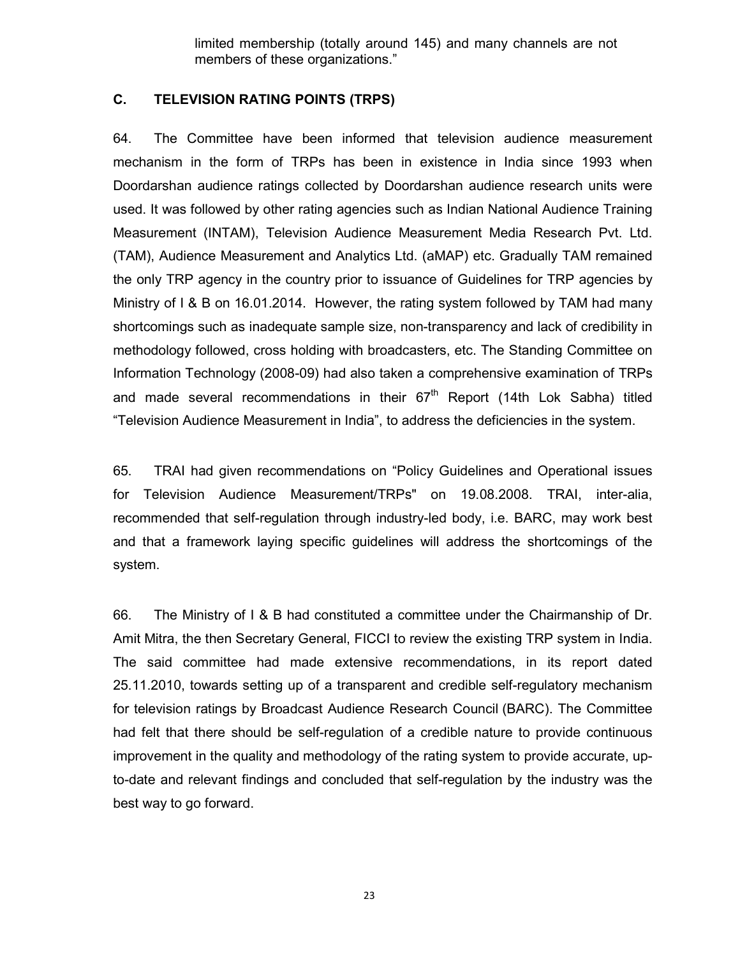limited membership (totally around 145) and many channels are not members of these organizations."

### **C. TELEVISION RATING POINTS (TRPS)**

64. The Committee have been informed that television audience measurement mechanism in the form of TRPs has been in existence in India since 1993 when Doordarshan audience ratings collected by Doordarshan audience research units were used. It was followed by other rating agencies such as Indian National Audience Training Measurement (INTAM), Television Audience Measurement Media Research Pvt. Ltd. (TAM), Audience Measurement and Analytics Ltd. (aMAP) etc. Gradually TAM remained the only TRP agency in the country prior to issuance of Guidelines for TRP agencies by Ministry of I & B on 16.01.2014. However, the rating system followed by TAM had many shortcomings such as inadequate sample size, non-transparency and lack of credibility in methodology followed, cross holding with broadcasters, etc. The Standing Committee on Information Technology (2008-09) had also taken a comprehensive examination of TRPs and made several recommendations in their  $67<sup>th</sup>$  Report (14th Lok Sabha) titled "Television Audience Measurement in India", to address the deficiencies in the system.

65. TRAI had given recommendations on "Policy Guidelines and Operational issues for Television Audience Measurement/TRPs" on 19.08.2008. TRAI, inter-alia, recommended that self-regulation through industry-led body, i.e. BARC, may work best and that a framework laying specific guidelines will address the shortcomings of the system.

66. The Ministry of I & B had constituted a committee under the Chairmanship of Dr. Amit Mitra, the then Secretary General, FICCI to review the existing TRP system in India. The said committee had made extensive recommendations, in its report dated 25.11.2010, towards setting up of a transparent and credible self-regulatory mechanism for television ratings by Broadcast Audience Research Council (BARC). The Committee had felt that there should be self-regulation of a credible nature to provide continuous improvement in the quality and methodology of the rating system to provide accurate, upto-date and relevant findings and concluded that self-regulation by the industry was the best way to go forward.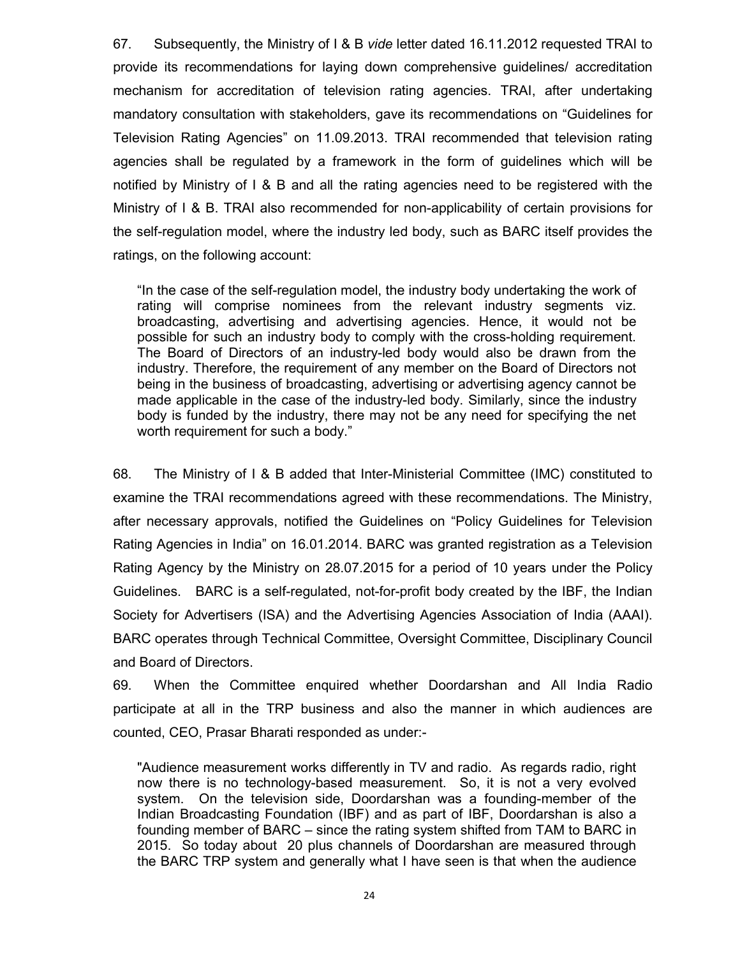67. Subsequently, the Ministry of I & B *vide* letter dated 16.11.2012 requested TRAI to provide its recommendations for laying down comprehensive guidelines/ accreditation mechanism for accreditation of television rating agencies. TRAI, after undertaking mandatory consultation with stakeholders, gave its recommendations on "Guidelines for Television Rating Agencies" on 11.09.2013. TRAI recommended that television rating agencies shall be regulated by a framework in the form of guidelines which will be notified by Ministry of I & B and all the rating agencies need to be registered with the Ministry of I & B. TRAI also recommended for non-applicability of certain provisions for the self-regulation model, where the industry led body, such as BARC itself provides the ratings, on the following account:

"In the case of the self-regulation model, the industry body undertaking the work of rating will comprise nominees from the relevant industry segments viz. broadcasting, advertising and advertising agencies. Hence, it would not be possible for such an industry body to comply with the cross-holding requirement. The Board of Directors of an industry-led body would also be drawn from the industry. Therefore, the requirement of any member on the Board of Directors not being in the business of broadcasting, advertising or advertising agency cannot be made applicable in the case of the industry-led body. Similarly, since the industry body is funded by the industry, there may not be any need for specifying the net worth requirement for such a body."

68. The Ministry of I & B added that Inter-Ministerial Committee (IMC) constituted to examine the TRAI recommendations agreed with these recommendations. The Ministry, after necessary approvals, notified the Guidelines on "Policy Guidelines for Television Rating Agencies in India" on 16.01.2014. BARC was granted registration as a Television Rating Agency by the Ministry on 28.07.2015 for a period of 10 years under the Policy Guidelines. BARC is a self-regulated, not-for-profit body created by the IBF, the Indian Society for Advertisers (ISA) and the Advertising Agencies Association of India (AAAI). BARC operates through Technical Committee, Oversight Committee, Disciplinary Council and Board of Directors.

69. When the Committee enquired whether Doordarshan and All India Radio participate at all in the TRP business and also the manner in which audiences are counted, CEO, Prasar Bharati responded as under:-

"Audience measurement works differently in TV and radio. As regards radio, right now there is no technology-based measurement. So, it is not a very evolved system. On the television side, Doordarshan was a founding-member of the Indian Broadcasting Foundation (IBF) and as part of IBF, Doordarshan is also a founding member of BARC – since the rating system shifted from TAM to BARC in 2015. So today about 20 plus channels of Doordarshan are measured through the BARC TRP system and generally what I have seen is that when the audience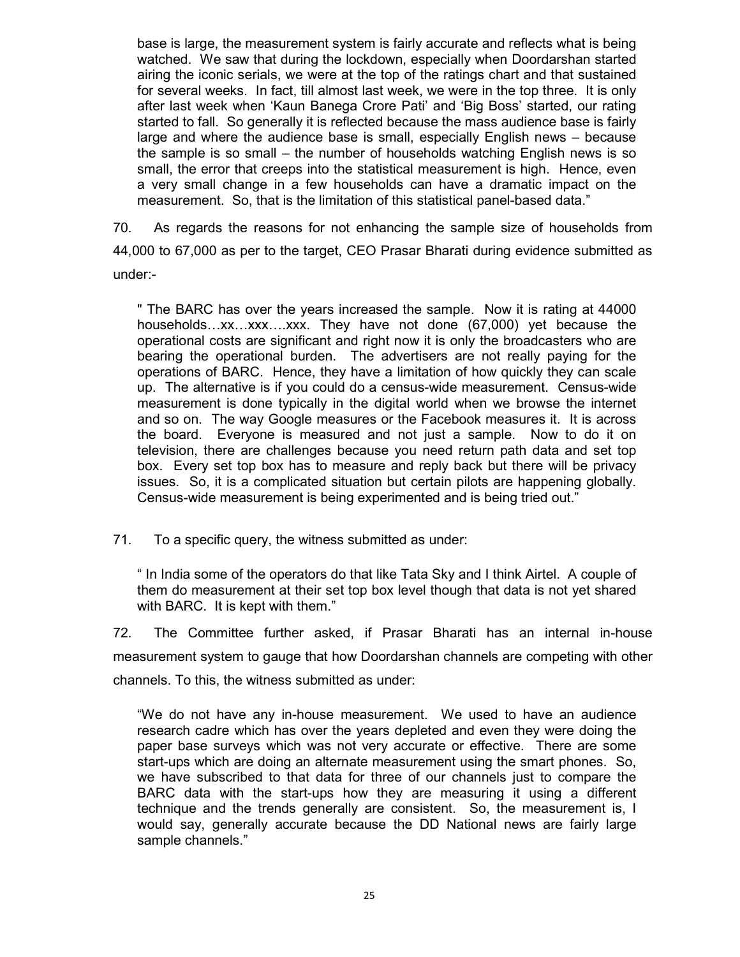base is large, the measurement system is fairly accurate and reflects what is being watched. We saw that during the lockdown, especially when Doordarshan started airing the iconic serials, we were at the top of the ratings chart and that sustained for several weeks. In fact, till almost last week, we were in the top three. It is only after last week when 'Kaun Banega Crore Pati' and 'Big Boss' started, our rating started to fall. So generally it is reflected because the mass audience base is fairly large and where the audience base is small, especially English news – because the sample is so small – the number of households watching English news is so small, the error that creeps into the statistical measurement is high. Hence, even a very small change in a few households can have a dramatic impact on the measurement. So, that is the limitation of this statistical panel-based data."

70. As regards the reasons for not enhancing the sample size of households from 44,000 to 67,000 as per to the target, CEO Prasar Bharati during evidence submitted as under:-

" The BARC has over the years increased the sample. Now it is rating at 44000 households…xx…xxx….xxx. They have not done (67,000) yet because the operational costs are significant and right now it is only the broadcasters who are bearing the operational burden. The advertisers are not really paying for the operations of BARC. Hence, they have a limitation of how quickly they can scale up. The alternative is if you could do a census-wide measurement. Census-wide measurement is done typically in the digital world when we browse the internet and so on. The way Google measures or the Facebook measures it. It is across the board. Everyone is measured and not just a sample. Now to do it on television, there are challenges because you need return path data and set top box. Every set top box has to measure and reply back but there will be privacy issues. So, it is a complicated situation but certain pilots are happening globally. Census-wide measurement is being experimented and is being tried out."

71. To a specific query, the witness submitted as under:

" In India some of the operators do that like Tata Sky and I think Airtel. A couple of them do measurement at their set top box level though that data is not yet shared with BARC. It is kept with them."

72. The Committee further asked, if Prasar Bharati has an internal in-house measurement system to gauge that how Doordarshan channels are competing with other channels. To this, the witness submitted as under:

"We do not have any in-house measurement. We used to have an audience research cadre which has over the years depleted and even they were doing the paper base surveys which was not very accurate or effective. There are some start-ups which are doing an alternate measurement using the smart phones. So, we have subscribed to that data for three of our channels just to compare the BARC data with the start-ups how they are measuring it using a different technique and the trends generally are consistent. So, the measurement is, I would say, generally accurate because the DD National news are fairly large sample channels."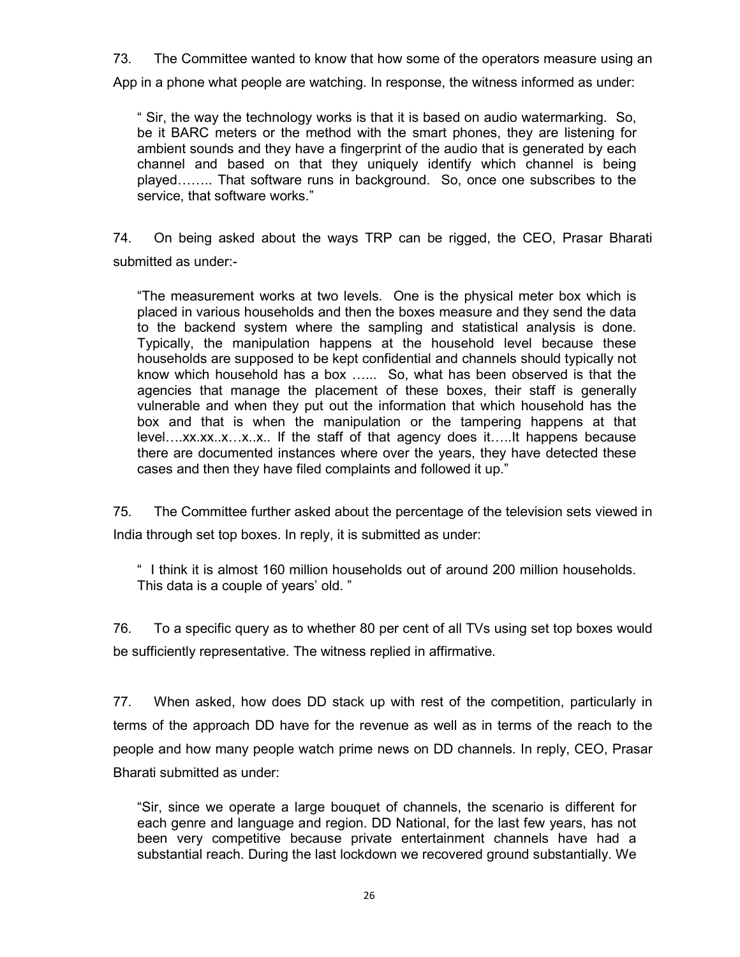73. The Committee wanted to know that how some of the operators measure using an

App in a phone what people are watching. In response, the witness informed as under:

" Sir, the way the technology works is that it is based on audio watermarking. So, be it BARC meters or the method with the smart phones, they are listening for ambient sounds and they have a fingerprint of the audio that is generated by each channel and based on that they uniquely identify which channel is being played…….. That software runs in background. So, once one subscribes to the service, that software works."

74. On being asked about the ways TRP can be rigged, the CEO, Prasar Bharati submitted as under:-

"The measurement works at two levels. One is the physical meter box which is placed in various households and then the boxes measure and they send the data to the backend system where the sampling and statistical analysis is done. Typically, the manipulation happens at the household level because these households are supposed to be kept confidential and channels should typically not know which household has a box …... So, what has been observed is that the agencies that manage the placement of these boxes, their staff is generally vulnerable and when they put out the information that which household has the box and that is when the manipulation or the tampering happens at that level….xx.xx..x…x..x.. If the staff of that agency does it…..It happens because there are documented instances where over the years, they have detected these cases and then they have filed complaints and followed it up."

75. The Committee further asked about the percentage of the television sets viewed in India through set top boxes. In reply, it is submitted as under:

" I think it is almost 160 million households out of around 200 million households. This data is a couple of years' old. "

76. To a specific query as to whether 80 per cent of all TVs using set top boxes would be sufficiently representative. The witness replied in affirmative.

77. When asked, how does DD stack up with rest of the competition, particularly in terms of the approach DD have for the revenue as well as in terms of the reach to the people and how many people watch prime news on DD channels. In reply, CEO, Prasar Bharati submitted as under:

"Sir, since we operate a large bouquet of channels, the scenario is different for each genre and language and region. DD National, for the last few years, has not been very competitive because private entertainment channels have had a substantial reach. During the last lockdown we recovered ground substantially. We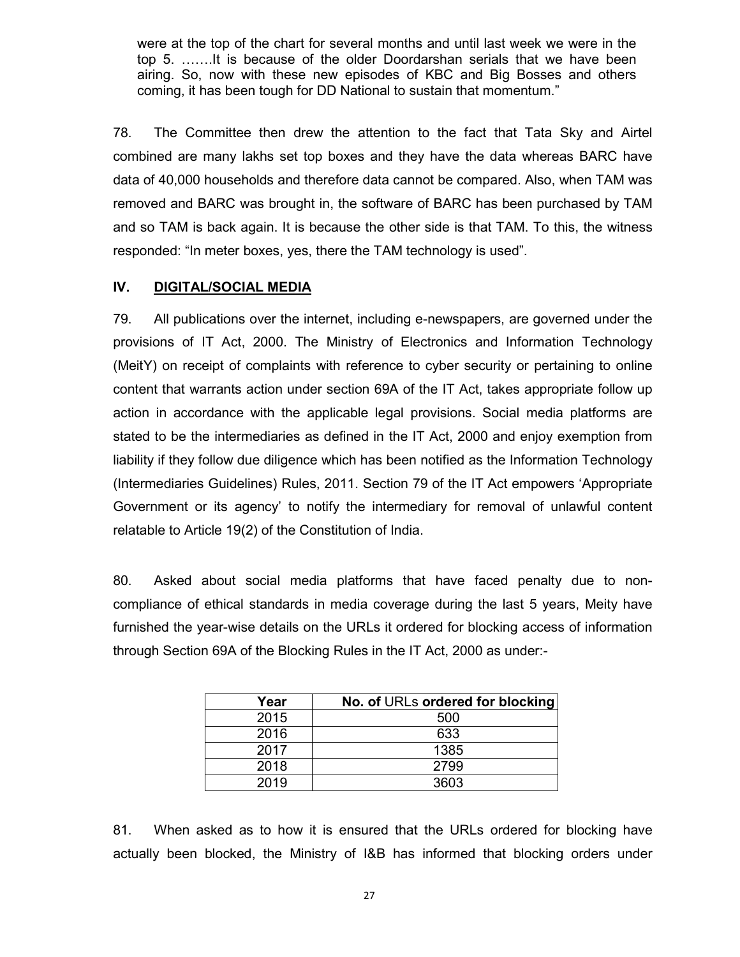were at the top of the chart for several months and until last week we were in the top 5. …….It is because of the older Doordarshan serials that we have been airing. So, now with these new episodes of KBC and Big Bosses and others coming, it has been tough for DD National to sustain that momentum."

78. The Committee then drew the attention to the fact that Tata Sky and Airtel combined are many lakhs set top boxes and they have the data whereas BARC have data of 40,000 households and therefore data cannot be compared. Also, when TAM was removed and BARC was brought in, the software of BARC has been purchased by TAM and so TAM is back again. It is because the other side is that TAM. To this, the witness responded: "In meter boxes, yes, there the TAM technology is used".

### **IV. DIGITAL/SOCIAL MEDIA**

79. All publications over the internet, including e-newspapers, are governed under the provisions of IT Act, 2000. The Ministry of Electronics and Information Technology (MeitY) on receipt of complaints with reference to cyber security or pertaining to online content that warrants action under section 69A of the IT Act, takes appropriate follow up action in accordance with the applicable legal provisions. Social media platforms are stated to be the intermediaries as defined in the IT Act, 2000 and enjoy exemption from liability if they follow due diligence which has been notified as the Information Technology (Intermediaries Guidelines) Rules, 2011. Section 79 of the IT Act empowers 'Appropriate Government or its agency' to notify the intermediary for removal of unlawful content relatable to Article 19(2) of the Constitution of India.

80. Asked about social media platforms that have faced penalty due to noncompliance of ethical standards in media coverage during the last 5 years, Meity have furnished the year-wise details on the URLs it ordered for blocking access of information through Section 69A of the Blocking Rules in the IT Act, 2000 as under:-

| Year | No. of URLs ordered for blocking |
|------|----------------------------------|
| 2015 | 500                              |
| 2016 | 633                              |
| 2017 | 1385                             |
| 2018 | 2799                             |
| 2019 | 3603                             |

81. When asked as to how it is ensured that the URLs ordered for blocking have actually been blocked, the Ministry of I&B has informed that blocking orders under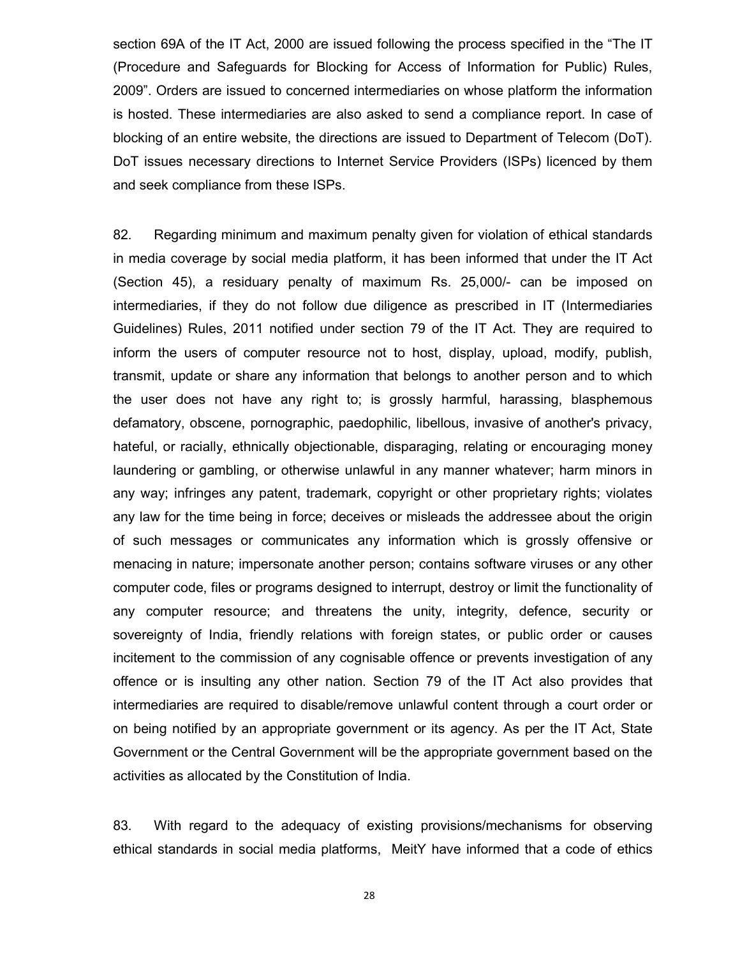section 69A of the IT Act, 2000 are issued following the process specified in the "The IT (Procedure and Safeguards for Blocking for Access of Information for Public) Rules, 2009". Orders are issued to concerned intermediaries on whose platform the information is hosted. These intermediaries are also asked to send a compliance report. In case of blocking of an entire website, the directions are issued to Department of Telecom (DoT). DoT issues necessary directions to Internet Service Providers (ISPs) licenced by them and seek compliance from these ISPs.

82. Regarding minimum and maximum penalty given for violation of ethical standards in media coverage by social media platform, it has been informed that under the IT Act (Section 45), a residuary penalty of maximum Rs. 25,000/- can be imposed on intermediaries, if they do not follow due diligence as prescribed in IT (Intermediaries Guidelines) Rules, 2011 notified under section 79 of the IT Act. They are required to inform the users of computer resource not to host, display, upload, modify, publish, transmit, update or share any information that belongs to another person and to which the user does not have any right to; is grossly harmful, harassing, blasphemous defamatory, obscene, pornographic, paedophilic, libellous, invasive of another's privacy, hateful, or racially, ethnically objectionable, disparaging, relating or encouraging money laundering or gambling, or otherwise unlawful in any manner whatever; harm minors in any way; infringes any patent, trademark, copyright or other proprietary rights; violates any law for the time being in force; deceives or misleads the addressee about the origin of such messages or communicates any information which is grossly offensive or menacing in nature; impersonate another person; contains software viruses or any other computer code, files or programs designed to interrupt, destroy or limit the functionality of any computer resource; and threatens the unity, integrity, defence, security or sovereignty of India, friendly relations with foreign states, or public order or causes incitement to the commission of any cognisable offence or prevents investigation of any offence or is insulting any other nation. Section 79 of the IT Act also provides that intermediaries are required to disable/remove unlawful content through a court order or on being notified by an appropriate government or its agency. As per the IT Act, State Government or the Central Government will be the appropriate government based on the activities as allocated by the Constitution of India.

83. With regard to the adequacy of existing provisions/mechanisms for observing ethical standards in social media platforms, MeitY have informed that a code of ethics

28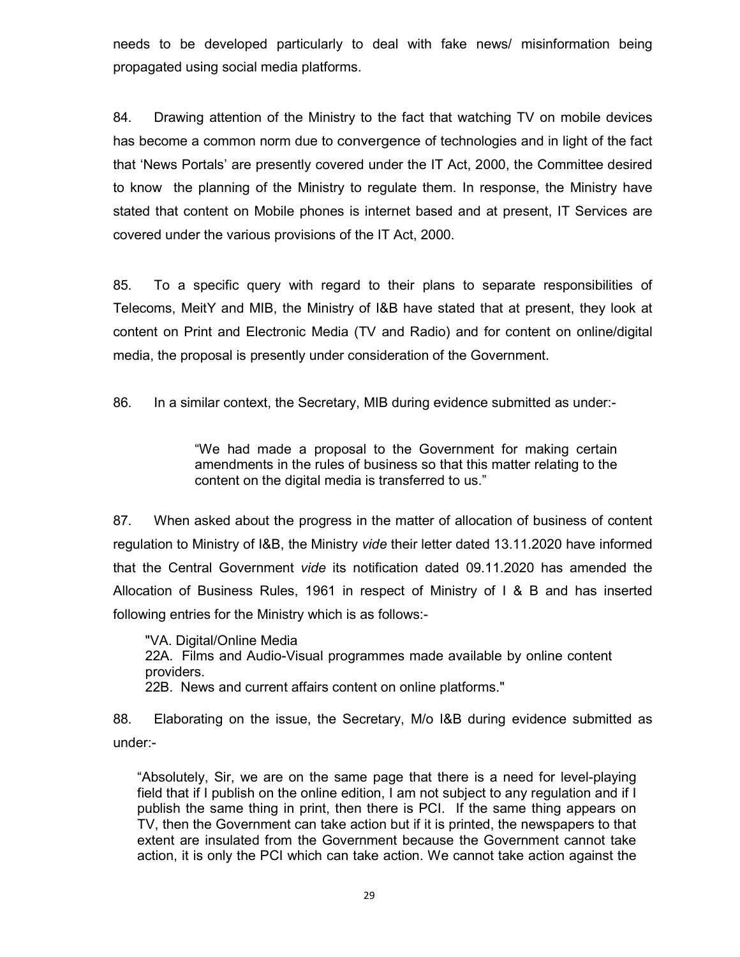needs to be developed particularly to deal with fake news/ misinformation being propagated using social media platforms.

84. Drawing attention of the Ministry to the fact that watching TV on mobile devices has become a common norm due to convergence of technologies and in light of the fact that 'News Portals' are presently covered under the IT Act, 2000, the Committee desired to know the planning of the Ministry to regulate them. In response, the Ministry have stated that content on Mobile phones is internet based and at present, IT Services are covered under the various provisions of the IT Act, 2000.

85. To a specific query with regard to their plans to separate responsibilities of Telecoms, MeitY and MIB, the Ministry of I&B have stated that at present, they look at content on Print and Electronic Media (TV and Radio) and for content on online/digital media, the proposal is presently under consideration of the Government.

86. In a similar context, the Secretary, MIB during evidence submitted as under:-

"We had made a proposal to the Government for making certain amendments in the rules of business so that this matter relating to the content on the digital media is transferred to us."

87. When asked about the progress in the matter of allocation of business of content regulation to Ministry of I&B, the Ministry *vide* their letter dated 13.11.2020 have informed that the Central Government *vide* its notification dated 09.11.2020 has amended the Allocation of Business Rules, 1961 in respect of Ministry of I & B and has inserted following entries for the Ministry which is as follows:-

"VA. Digital/Online Media 22A. Films and Audio-Visual programmes made available by online content providers. 22B. News and current affairs content on online platforms."

88. Elaborating on the issue, the Secretary, M/o I&B during evidence submitted as under:-

"Absolutely, Sir, we are on the same page that there is a need for level-playing field that if I publish on the online edition, I am not subject to any regulation and if I publish the same thing in print, then there is PCI. If the same thing appears on TV, then the Government can take action but if it is printed, the newspapers to that extent are insulated from the Government because the Government cannot take action, it is only the PCI which can take action. We cannot take action against the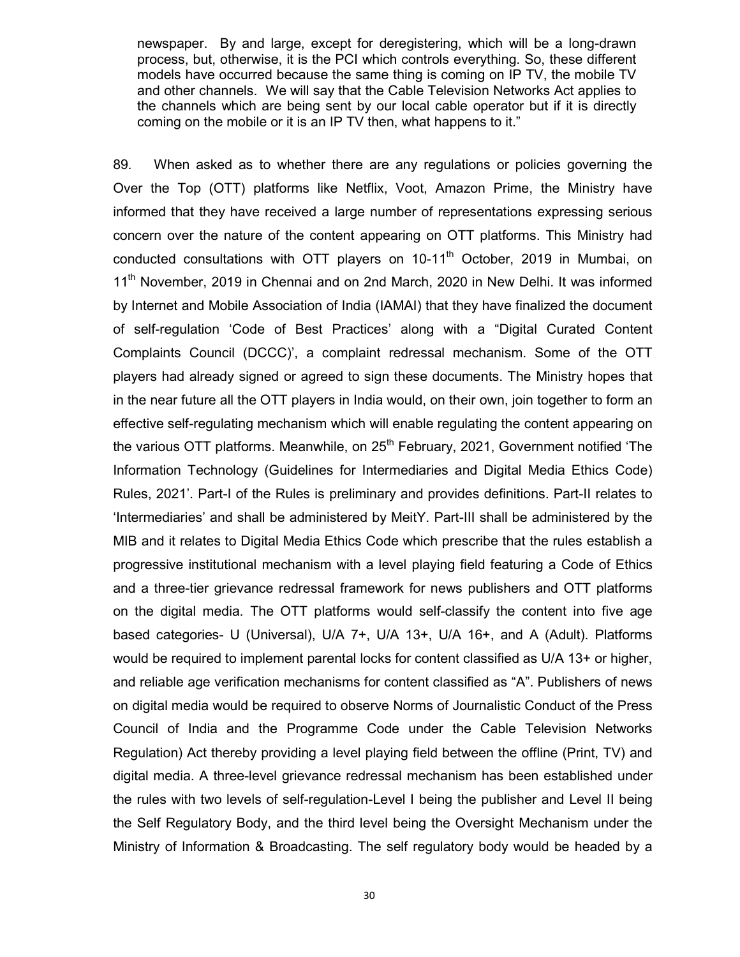newspaper. By and large, except for deregistering, which will be a long-drawn process, but, otherwise, it is the PCI which controls everything. So, these different models have occurred because the same thing is coming on IP TV, the mobile TV and other channels. We will say that the Cable Television Networks Act applies to the channels which are being sent by our local cable operator but if it is directly coming on the mobile or it is an IP TV then, what happens to it."

89. When asked as to whether there are any regulations or policies governing the Over the Top (OTT) platforms like Netflix, Voot, Amazon Prime, the Ministry have informed that they have received a large number of representations expressing serious concern over the nature of the content appearing on OTT platforms. This Ministry had conducted consultations with OTT players on  $10-11<sup>th</sup>$  October, 2019 in Mumbai, on 11<sup>th</sup> November, 2019 in Chennai and on 2nd March, 2020 in New Delhi. It was informed by Internet and Mobile Association of India (IAMAI) that they have finalized the document of self-regulation 'Code of Best Practices' along with a "Digital Curated Content Complaints Council (DCCC)', a complaint redressal mechanism. Some of the OTT players had already signed or agreed to sign these documents. The Ministry hopes that in the near future all the OTT players in India would, on their own, join together to form an effective self-regulating mechanism which will enable regulating the content appearing on the various OTT platforms. Meanwhile, on  $25<sup>th</sup>$  February, 2021, Government notified 'The Information Technology (Guidelines for Intermediaries and Digital Media Ethics Code) Rules, 2021'. Part-I of the Rules is preliminary and provides definitions. Part-II relates to 'Intermediaries' and shall be administered by MeitY. Part-III shall be administered by the MIB and it relates to Digital Media Ethics Code which prescribe that the rules establish a progressive institutional mechanism with a level playing field featuring a Code of Ethics and a three-tier grievance redressal framework for news publishers and OTT platforms on the digital media. The OTT platforms would self-classify the content into five age based categories- U (Universal), U/A 7+, U/A 13+, U/A 16+, and A (Adult). Platforms would be required to implement parental locks for content classified as U/A 13+ or higher, and reliable age verification mechanisms for content classified as "A". Publishers of news on digital media would be required to observe Norms of Journalistic Conduct of the Press Council of India and the Programme Code under the Cable Television Networks Regulation) Act thereby providing a level playing field between the offline (Print, TV) and digital media. A three-level grievance redressal mechanism has been established under the rules with two levels of self-regulation-Level I being the publisher and Level II being the Self Regulatory Body, and the third level being the Oversight Mechanism under the Ministry of Information & Broadcasting. The self regulatory body would be headed by a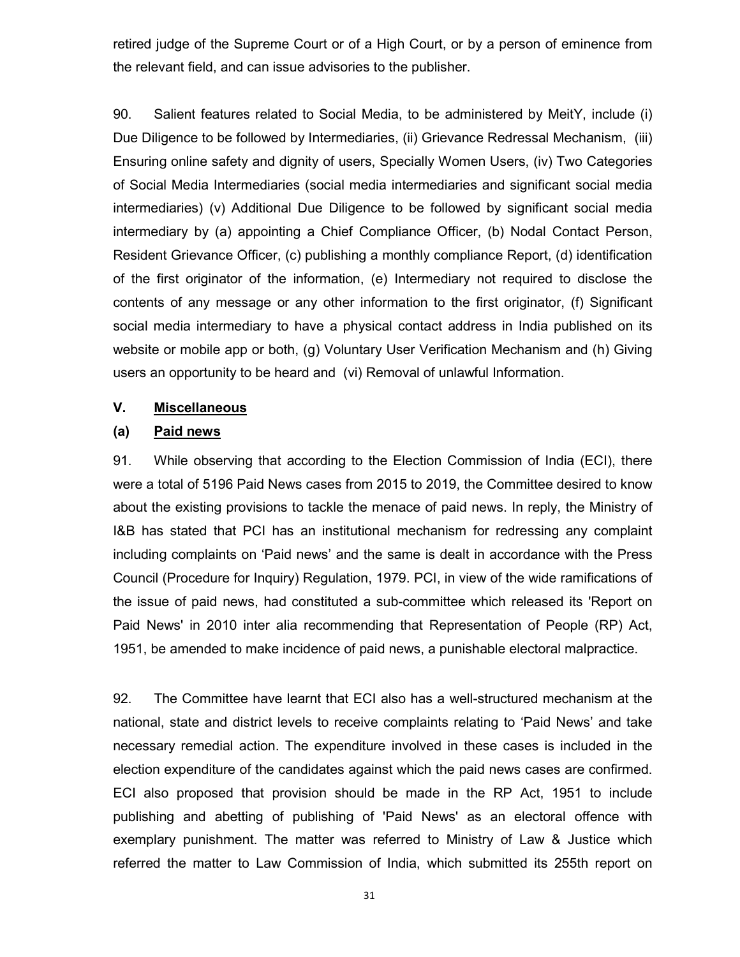retired judge of the Supreme Court or of a High Court, or by a person of eminence from the relevant field, and can issue advisories to the publisher.

90. Salient features related to Social Media, to be administered by MeitY, include (i) Due Diligence to be followed by Intermediaries, (ii) Grievance Redressal Mechanism, (iii) Ensuring online safety and dignity of users, Specially Women Users, (iv) Two Categories of Social Media Intermediaries (social media intermediaries and significant social media intermediaries) (v) Additional Due Diligence to be followed by significant social media intermediary by (a) appointing a Chief Compliance Officer, (b) Nodal Contact Person, Resident Grievance Officer, (c) publishing a monthly compliance Report, (d) identification of the first originator of the information, (e) Intermediary not required to disclose the contents of any message or any other information to the first originator, (f) Significant social media intermediary to have a physical contact address in India published on its website or mobile app or both, (g) Voluntary User Verification Mechanism and (h) Giving users an opportunity to be heard and (vi) Removal of unlawful Information.

## **V. Miscellaneous**

## **(a) Paid news**

91. While observing that according to the Election Commission of India (ECI), there were a total of 5196 Paid News cases from 2015 to 2019, the Committee desired to know about the existing provisions to tackle the menace of paid news. In reply, the Ministry of I&B has stated that PCI has an institutional mechanism for redressing any complaint including complaints on 'Paid news' and the same is dealt in accordance with the Press Council (Procedure for Inquiry) Regulation, 1979. PCI, in view of the wide ramifications of the issue of paid news, had constituted a sub-committee which released its 'Report on Paid News' in 2010 inter alia recommending that Representation of People (RP) Act, 1951, be amended to make incidence of paid news, a punishable electoral malpractice.

92. The Committee have learnt that ECI also has a well-structured mechanism at the national, state and district levels to receive complaints relating to 'Paid News' and take necessary remedial action. The expenditure involved in these cases is included in the election expenditure of the candidates against which the paid news cases are confirmed. ECI also proposed that provision should be made in the RP Act, 1951 to include publishing and abetting of publishing of 'Paid News' as an electoral offence with exemplary punishment. The matter was referred to Ministry of Law & Justice which referred the matter to Law Commission of India, which submitted its 255th report on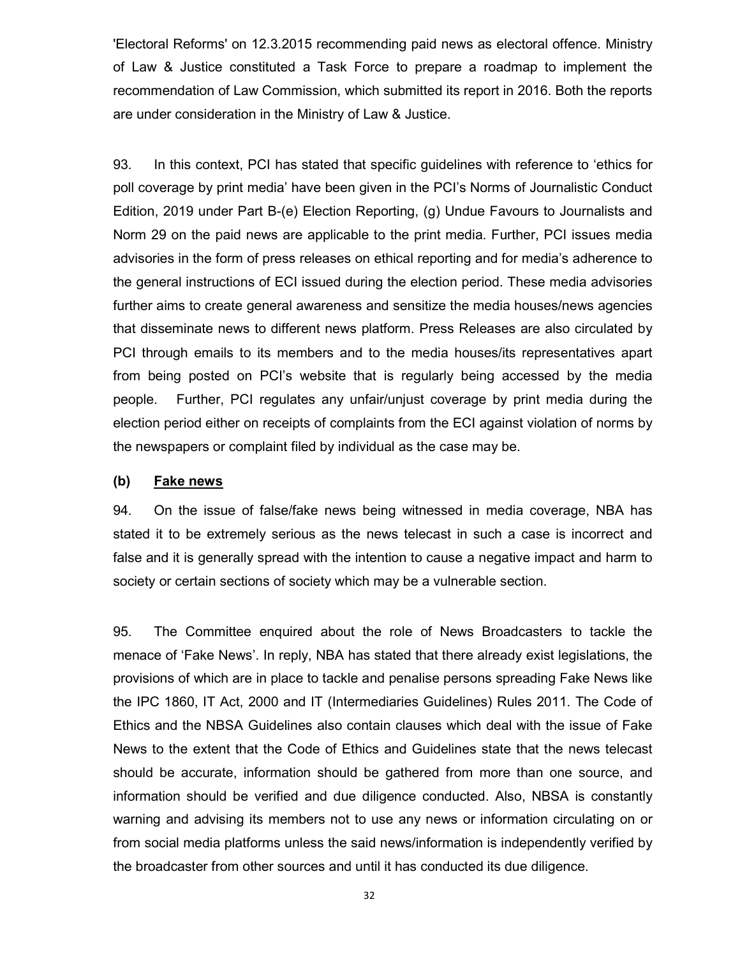'Electoral Reforms' on 12.3.2015 recommending paid news as electoral offence. Ministry of Law & Justice constituted a Task Force to prepare a roadmap to implement the recommendation of Law Commission, which submitted its report in 2016. Both the reports are under consideration in the Ministry of Law & Justice.

93. In this context, PCI has stated that specific guidelines with reference to 'ethics for poll coverage by print media' have been given in the PCI's Norms of Journalistic Conduct Edition, 2019 under Part B-(e) Election Reporting, (g) Undue Favours to Journalists and Norm 29 on the paid news are applicable to the print media. Further, PCI issues media advisories in the form of press releases on ethical reporting and for media's adherence to the general instructions of ECI issued during the election period. These media advisories further aims to create general awareness and sensitize the media houses/news agencies that disseminate news to different news platform. Press Releases are also circulated by PCI through emails to its members and to the media houses/its representatives apart from being posted on PCI's website that is regularly being accessed by the media people. Further, PCI regulates any unfair/unjust coverage by print media during the election period either on receipts of complaints from the ECI against violation of norms by the newspapers or complaint filed by individual as the case may be.

### **(b) Fake news**

94. On the issue of false/fake news being witnessed in media coverage, NBA has stated it to be extremely serious as the news telecast in such a case is incorrect and false and it is generally spread with the intention to cause a negative impact and harm to society or certain sections of society which may be a vulnerable section.

95. The Committee enquired about the role of News Broadcasters to tackle the menace of 'Fake News'. In reply, NBA has stated that there already exist legislations, the provisions of which are in place to tackle and penalise persons spreading Fake News like the IPC 1860, IT Act, 2000 and IT (Intermediaries Guidelines) Rules 2011. The Code of Ethics and the NBSA Guidelines also contain clauses which deal with the issue of Fake News to the extent that the Code of Ethics and Guidelines state that the news telecast should be accurate, information should be gathered from more than one source, and information should be verified and due diligence conducted. Also, NBSA is constantly warning and advising its members not to use any news or information circulating on or from social media platforms unless the said news/information is independently verified by the broadcaster from other sources and until it has conducted its due diligence.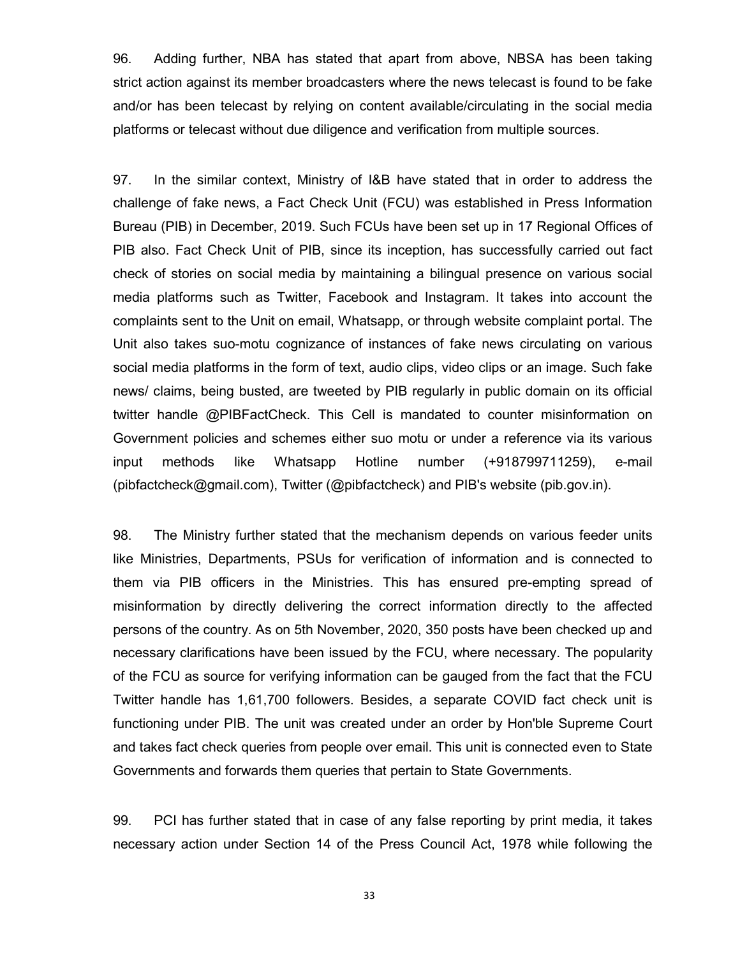96. Adding further, NBA has stated that apart from above, NBSA has been taking strict action against its member broadcasters where the news telecast is found to be fake and/or has been telecast by relying on content available/circulating in the social media platforms or telecast without due diligence and verification from multiple sources.

97. In the similar context, Ministry of I&B have stated that in order to address the challenge of fake news, a Fact Check Unit (FCU) was established in Press Information Bureau (PIB) in December, 2019. Such FCUs have been set up in 17 Regional Offices of PIB also. Fact Check Unit of PIB, since its inception, has successfully carried out fact check of stories on social media by maintaining a bilingual presence on various social media platforms such as Twitter, Facebook and Instagram. It takes into account the complaints sent to the Unit on email, Whatsapp, or through website complaint portal. The Unit also takes suo-motu cognizance of instances of fake news circulating on various social media platforms in the form of text, audio clips, video clips or an image. Such fake news/ claims, being busted, are tweeted by PIB regularly in public domain on its official twitter handle @PIBFactCheck. This Cell is mandated to counter misinformation on Government policies and schemes either suo motu or under a reference via its various input methods like Whatsapp Hotline number (+918799711259), e-mail (pibfactcheck@gmail.com), Twitter (@pibfactcheck) and PIB's website (pib.gov.in).

98. The Ministry further stated that the mechanism depends on various feeder units like Ministries, Departments, PSUs for verification of information and is connected to them via PIB officers in the Ministries. This has ensured pre-empting spread of misinformation by directly delivering the correct information directly to the affected persons of the country. As on 5th November, 2020, 350 posts have been checked up and necessary clarifications have been issued by the FCU, where necessary. The popularity of the FCU as source for verifying information can be gauged from the fact that the FCU Twitter handle has 1,61,700 followers. Besides, a separate COVID fact check unit is functioning under PIB. The unit was created under an order by Hon'ble Supreme Court and takes fact check queries from people over email. This unit is connected even to State Governments and forwards them queries that pertain to State Governments.

99. PCI has further stated that in case of any false reporting by print media, it takes necessary action under Section 14 of the Press Council Act, 1978 while following the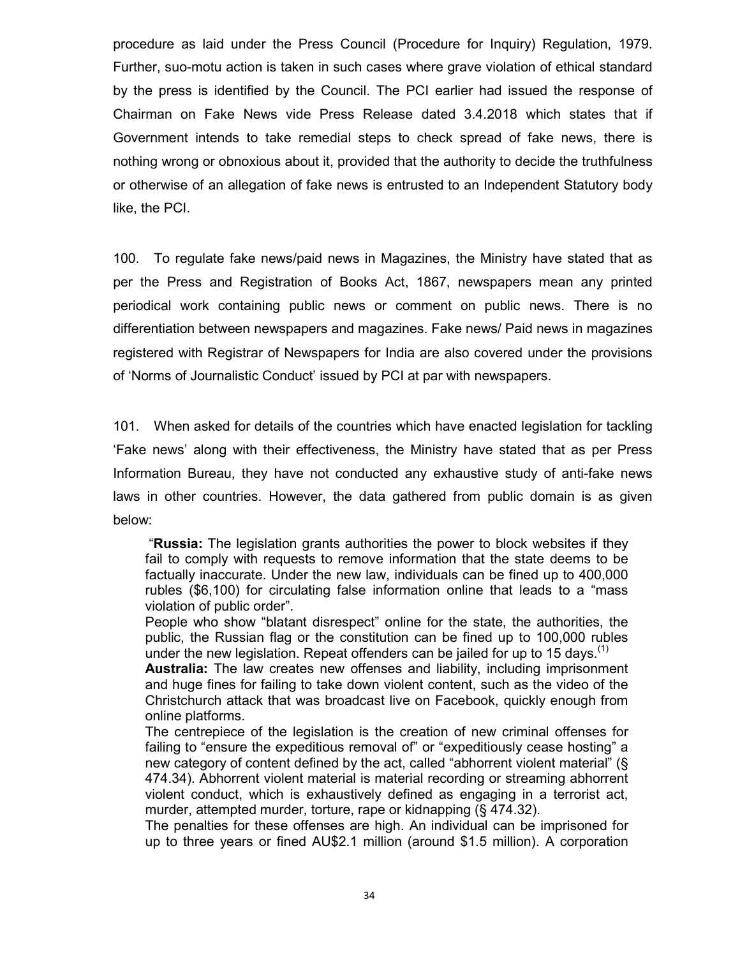procedure as laid under the Press Council (Procedure for Inquiry) Regulation, 1979. Further, suo-motu action is taken in such cases where grave violation of ethical standard by the press is identified by the Council. The PCI earlier had issued the response of Chairman on Fake News vide Press Release dated 3.4.2018 which states that if Government intends to take remedial steps to check spread of fake news, there is nothing wrong or obnoxious about it, provided that the authority to decide the truthfulness or otherwise of an allegation of fake news is entrusted to an Independent Statutory body like, the PCI.

100. To regulate fake news/paid news in Magazines, the Ministry have stated that as per the Press and Registration of Books Act, 1867, newspapers mean any printed periodical work containing public news or comment on public news. There is no differentiation between newspapers and magazines. Fake news/ Paid news in magazines registered with Registrar of Newspapers for India are also covered under the provisions of 'Norms of Journalistic Conduct' issued by PCI at par with newspapers.

101. When asked for details of the countries which have enacted legislation for tackling 'Fake news' along with their effectiveness, the Ministry have stated that as per Press Information Bureau, they have not conducted any exhaustive study of anti-fake news laws in other countries. However, the data gathered from public domain is as given below:

"**Russia:** The legislation grants authorities the power to block websites if they fail to comply with requests to remove information that the state deems to be factually inaccurate. Under the new law, individuals can be fined up to 400,000 rubles (\$6,100) for circulating false information online that leads to a "mass violation of public order".

People who show "blatant disrespect" online for the state, the authorities, the public, the Russian flag or the constitution can be fined up to 100,000 rubles under the new legislation. Repeat offenders can be jailed for up to 15 days.<sup>(1)</sup>

**Australia:** The law creates new offenses and liability, including imprisonment and huge fines for failing to take down violent content, such as the video of the Christchurch attack that was broadcast live on Facebook, quickly enough from online platforms.

The centrepiece of the legislation is the creation of new criminal offenses for failing to "ensure the expeditious removal of" or "expeditiously cease hosting" a new category of content defined by the act, called "abhorrent violent material" (§ 474.34). Abhorrent violent material is material recording or streaming abhorrent violent conduct, which is exhaustively defined as engaging in a terrorist act, murder, attempted murder, torture, rape or kidnapping (§ 474.32).

The penalties for these offenses are high. An individual can be imprisoned for up to three years or fined AU\$2.1 million (around \$1.5 million). A corporation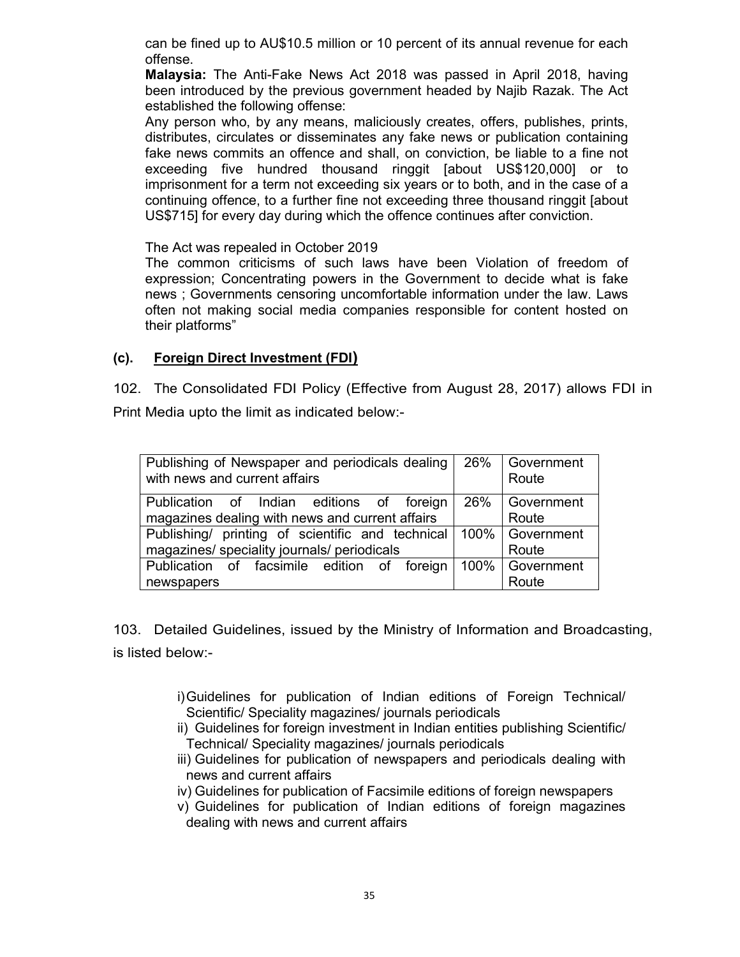can be fined up to AU\$10.5 million or 10 percent of its annual revenue for each offense.

**Malaysia:** The Anti-Fake News Act 2018 was passed in April 2018, having been introduced by the previous government headed by Najib Razak. The Act established the following offense:

Any person who, by any means, maliciously creates, offers, publishes, prints, distributes, circulates or disseminates any fake news or publication containing fake news commits an offence and shall, on conviction, be liable to a fine not exceeding five hundred thousand ringgit [about US\$120,000] or to imprisonment for a term not exceeding six years or to both, and in the case of a continuing offence, to a further fine not exceeding three thousand ringgit [about US\$715] for every day during which the offence continues after conviction.

The Act was repealed in October 2019

The common criticisms of such laws have been Violation of freedom of expression; Concentrating powers in the Government to decide what is fake news ; Governments censoring uncomfortable information under the law. Laws often not making social media companies responsible for content hosted on their platforms"

## **(c). Foreign Direct Investment (FDI)**

102. The Consolidated FDI Policy (Effective from August 28, 2017) allows FDI in Print Media upto the limit as indicated below:-

| Publishing of Newspaper and periodicals dealing<br>with news and current affairs | 26%     | Government<br>Route |
|----------------------------------------------------------------------------------|---------|---------------------|
| Publication of Indian editions of foreign                                        | 26%     | Government          |
| magazines dealing with news and current affairs                                  |         | Route               |
| Publishing/ printing of scientific and technical                                 | 100%    | Government          |
| magazines/ speciality journals/ periodicals                                      |         | Route               |
| Publication of facsimile edition of foreign                                      | $100\%$ | Government          |
| newspapers                                                                       |         | Route               |

103. Detailed Guidelines, issued by the Ministry of Information and Broadcasting, is listed below:-

- i)Guidelines for publication of Indian editions of Foreign Technical/ Scientific/ Speciality magazines/ journals periodicals
- ii) Guidelines for foreign investment in Indian entities publishing Scientific/ Technical/ Speciality magazines/ journals periodicals
- iii) Guidelines for publication of newspapers and periodicals dealing with news and current affairs
- iv) Guidelines for publication of Facsimile editions of foreign newspapers
- v) Guidelines for publication of Indian editions of foreign magazines dealing with news and current affairs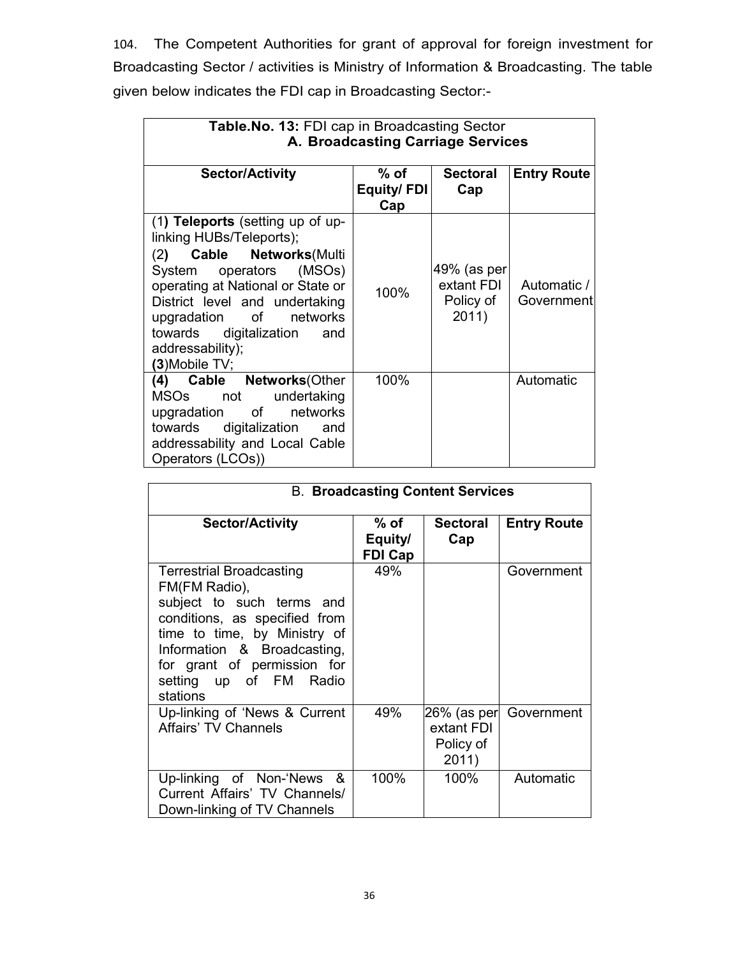104. The Competent Authorities for grant of approval for foreign investment for Broadcasting Sector / activities is Ministry of Information & Broadcasting. The table given below indicates the FDI cap in Broadcasting Sector:-

| Table. No. 13: FDI cap in Broadcasting Sector<br>A. Broadcasting Carriage Services                                                                                                                                                                                                                 |                                 |                                                 |                           |
|----------------------------------------------------------------------------------------------------------------------------------------------------------------------------------------------------------------------------------------------------------------------------------------------------|---------------------------------|-------------------------------------------------|---------------------------|
| <b>Sector/Activity</b>                                                                                                                                                                                                                                                                             | $%$ of $%$<br>Equity/FDI<br>Cap | <b>Sectoral</b><br>Cap                          | <b>Entry Route</b>        |
| $(1)$ Teleports (setting up of up-<br>linking HUBs/Teleports);<br>(2) Cable Networks (Multi<br>System operators (MSOs)<br>operating at National or State or<br>District level and undertaking<br>upgradation of networks<br>towards<br>digitalization<br>and<br>addressability);<br>(3) Mobile TV; | 100%                            | 49% (as per<br>extant FDI<br>Policy of<br>2011) | Automatic /<br>Government |
| (4) Cable Networks(Other<br>undertaking<br>MSOs not<br>upgradation of networks<br>digitalization<br>towards<br>and<br>addressability and Local Cable<br>Operators (LCOs))                                                                                                                          | 100%                            |                                                 | Automatic                 |

| <b>B. Broadcasting Content Services</b>                                                                                                                                                                                                            |                                   |                                                 |                    |
|----------------------------------------------------------------------------------------------------------------------------------------------------------------------------------------------------------------------------------------------------|-----------------------------------|-------------------------------------------------|--------------------|
| <b>Sector/Activity</b>                                                                                                                                                                                                                             | % of<br>Equity/<br><b>FDI Cap</b> | <b>Sectoral</b><br>Cap                          | <b>Entry Route</b> |
| <b>Terrestrial Broadcasting</b><br>FM(FM Radio),<br>subject to such terms and<br>conditions, as specified from<br>time to time, by Ministry of<br>Information & Broadcasting,<br>for grant of permission for<br>setting up of FM Radio<br>stations | 49%                               |                                                 | Government         |
| Up-linking of 'News & Current<br><b>Affairs' TV Channels</b>                                                                                                                                                                                       | 49%                               | 26% (as per<br>extant FDI<br>Policy of<br>2011) | Government         |
| Up-linking of Non-'News &<br>Current Affairs' TV Channels/<br>Down-linking of TV Channels                                                                                                                                                          | 100%                              | 100%                                            | Automatic          |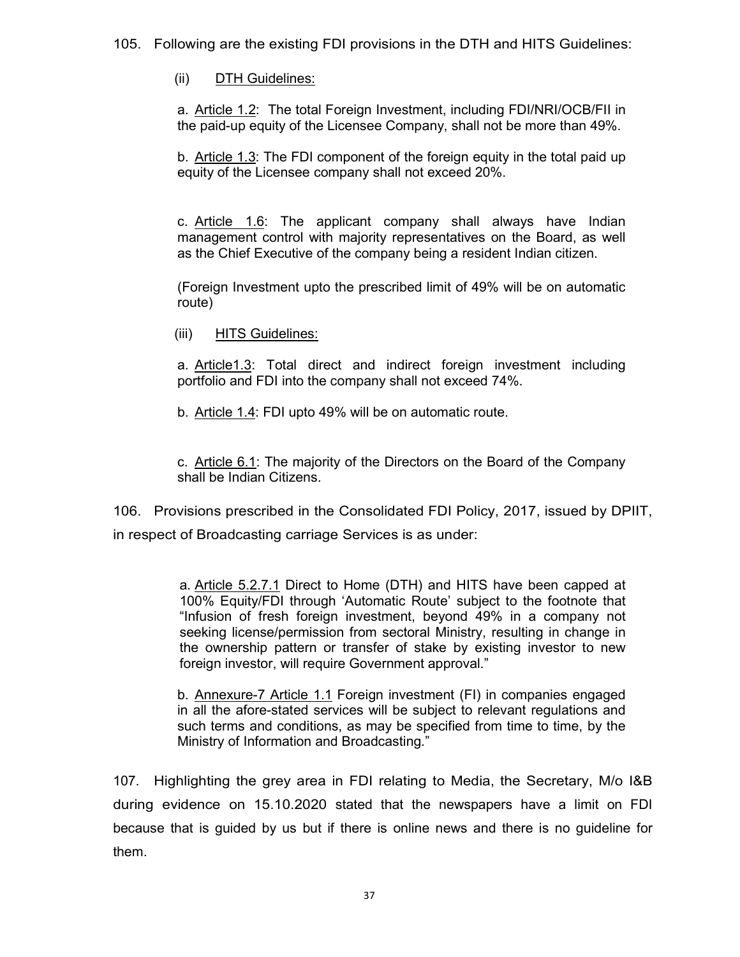105. Following are the existing FDI provisions in the DTH and HITS Guidelines:

(ii) DTH Guidelines:

a. Article 1.2: The total Foreign Investment, including FDI/NRI/OCB/FII in the paid-up equity of the Licensee Company, shall not be more than 49%.

b. Article 1.3: The FDI component of the foreign equity in the total paid up equity of the Licensee company shall not exceed 20%.

c. Article 1.6: The applicant company shall always have Indian management control with majority representatives on the Board, as well as the Chief Executive of the company being a resident Indian citizen.

(Foreign Investment upto the prescribed limit of 49% will be on automatic route)

(iii) HITS Guidelines:

a. Article1.3: Total direct and indirect foreign investment including portfolio and FDI into the company shall not exceed 74%.

b. Article 1.4: FDI upto 49% will be on automatic route.

c. Article 6.1: The majority of the Directors on the Board of the Company shall be Indian Citizens.

106. Provisions prescribed in the Consolidated FDI Policy, 2017, issued by DPIIT, in respect of Broadcasting carriage Services is as under:

> a. Article 5.2.7.1 Direct to Home (DTH) and HITS have been capped at 100% Equity/FDI through 'Automatic Route' subject to the footnote that "Infusion of fresh foreign investment, beyond 49% in a company not seeking license/permission from sectoral Ministry, resulting in change in the ownership pattern or transfer of stake by existing investor to new foreign investor, will require Government approval."

> b. Annexure-7 Article 1.1 Foreign investment (FI) in companies engaged in all the afore-stated services will be subject to relevant regulations and such terms and conditions, as may be specified from time to time, by the Ministry of Information and Broadcasting."

107. Highlighting the grey area in FDI relating to Media, the Secretary, M/o I&B during evidence on 15.10.2020 stated that the newspapers have a limit on FDI because that is guided by us but if there is online news and there is no guideline for them.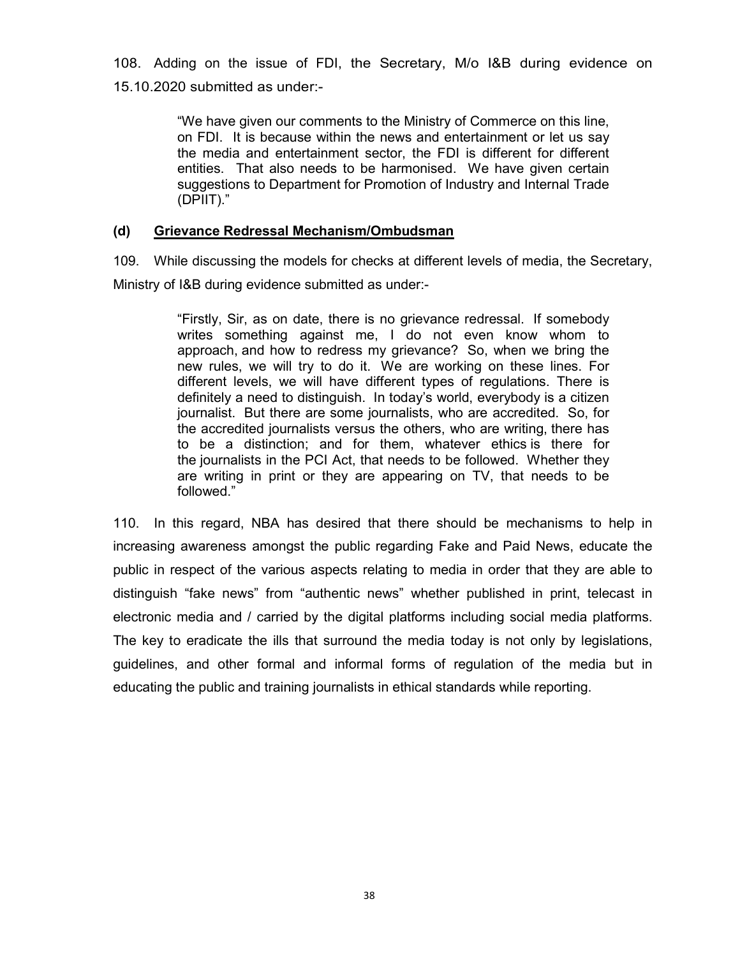108. Adding on the issue of FDI, the Secretary, M/o I&B during evidence on 15.10.2020 submitted as under:-

> "We have given our comments to the Ministry of Commerce on this line, on FDI. It is because within the news and entertainment or let us say the media and entertainment sector, the FDI is different for different entities. That also needs to be harmonised. We have given certain suggestions to Department for Promotion of Industry and Internal Trade (DPIIT)."

## **(d) Grievance Redressal Mechanism/Ombudsman**

109. While discussing the models for checks at different levels of media, the Secretary, Ministry of I&B during evidence submitted as under:-

> "Firstly, Sir, as on date, there is no grievance redressal. If somebody writes something against me, I do not even know whom to approach, and how to redress my grievance? So, when we bring the new rules, we will try to do it. We are working on these lines. For different levels, we will have different types of regulations. There is definitely a need to distinguish. In today's world, everybody is a citizen journalist. But there are some journalists, who are accredited. So, for the accredited journalists versus the others, who are writing, there has to be a distinction; and for them, whatever ethics is there for the journalists in the PCI Act, that needs to be followed. Whether they are writing in print or they are appearing on TV, that needs to be followed."

110. In this regard, NBA has desired that there should be mechanisms to help in increasing awareness amongst the public regarding Fake and Paid News, educate the public in respect of the various aspects relating to media in order that they are able to distinguish "fake news" from "authentic news" whether published in print, telecast in electronic media and / carried by the digital platforms including social media platforms. The key to eradicate the ills that surround the media today is not only by legislations, guidelines, and other formal and informal forms of regulation of the media but in educating the public and training journalists in ethical standards while reporting.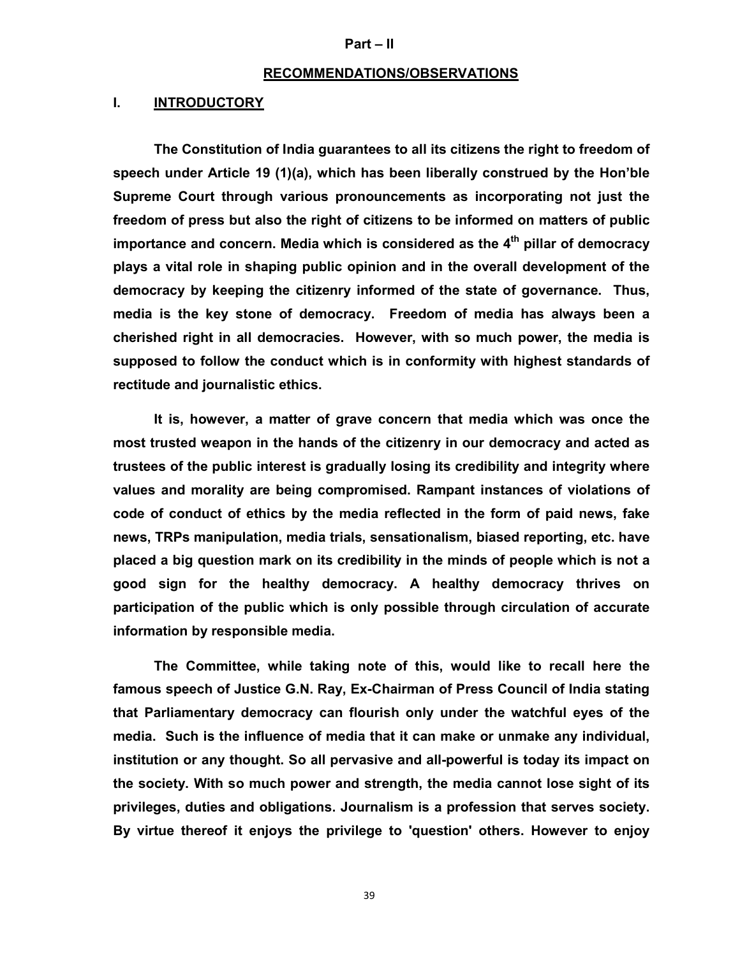#### **Part – II**

#### **RECOMMENDATIONS/OBSERVATIONS**

#### **I. INTRODUCTORY**

**The Constitution of India guarantees to all its citizens the right to freedom of speech under Article 19 (1)(a), which has been liberally construed by the Hon'ble Supreme Court through various pronouncements as incorporating not just the freedom of press but also the right of citizens to be informed on matters of public importance and concern. Media which is considered as the 4th pillar of democracy plays a vital role in shaping public opinion and in the overall development of the democracy by keeping the citizenry informed of the state of governance. Thus, media is the key stone of democracy. Freedom of media has always been a cherished right in all democracies. However, with so much power, the media is supposed to follow the conduct which is in conformity with highest standards of rectitude and journalistic ethics.** 

**It is, however, a matter of grave concern that media which was once the most trusted weapon in the hands of the citizenry in our democracy and acted as trustees of the public interest is gradually losing its credibility and integrity where values and morality are being compromised. Rampant instances of violations of code of conduct of ethics by the media reflected in the form of paid news, fake news, TRPs manipulation, media trials, sensationalism, biased reporting, etc. have placed a big question mark on its credibility in the minds of people which is not a good sign for the healthy democracy. A healthy democracy thrives on participation of the public which is only possible through circulation of accurate information by responsible media.** 

**The Committee, while taking note of this, would like to recall here the famous speech of Justice G.N. Ray, Ex-Chairman of Press Council of India stating that Parliamentary democracy can flourish only under the watchful eyes of the media. Such is the influence of media that it can make or unmake any individual, institution or any thought. So all pervasive and all-powerful is today its impact on the society. With so much power and strength, the media cannot lose sight of its privileges, duties and obligations. Journalism is a profession that serves society. By virtue thereof it enjoys the privilege to 'question' others. However to enjoy**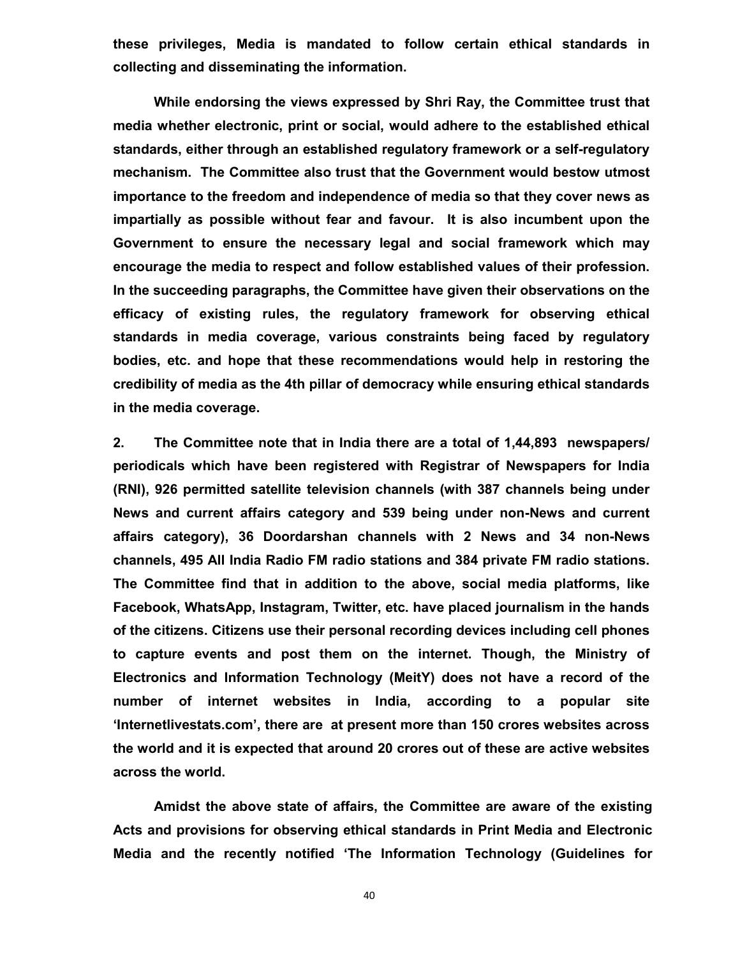**these privileges, Media is mandated to follow certain ethical standards in collecting and disseminating the information.** 

**While endorsing the views expressed by Shri Ray, the Committee trust that media whether electronic, print or social, would adhere to the established ethical standards, either through an established regulatory framework or a self-regulatory mechanism. The Committee also trust that the Government would bestow utmost importance to the freedom and independence of media so that they cover news as impartially as possible without fear and favour. It is also incumbent upon the Government to ensure the necessary legal and social framework which may encourage the media to respect and follow established values of their profession. In the succeeding paragraphs, the Committee have given their observations on the efficacy of existing rules, the regulatory framework for observing ethical standards in media coverage, various constraints being faced by regulatory bodies, etc. and hope that these recommendations would help in restoring the credibility of media as the 4th pillar of democracy while ensuring ethical standards in the media coverage.** 

**2. The Committee note that in India there are a total of 1,44,893 newspapers/ periodicals which have been registered with Registrar of Newspapers for India (RNI), 926 permitted satellite television channels (with 387 channels being under News and current affairs category and 539 being under non-News and current affairs category), 36 Doordarshan channels with 2 News and 34 non-News channels, 495 All India Radio FM radio stations and 384 private FM radio stations. The Committee find that in addition to the above, social media platforms, like Facebook, WhatsApp, Instagram, Twitter, etc. have placed journalism in the hands of the citizens. Citizens use their personal recording devices including cell phones to capture events and post them on the internet. Though, the Ministry of Electronics and Information Technology (MeitY) does not have a record of the number of internet websites in India, according to a popular site 'Internetlivestats.com', there are at present more than 150 crores websites across the world and it is expected that around 20 crores out of these are active websites across the world.**

**Amidst the above state of affairs, the Committee are aware of the existing Acts and provisions for observing ethical standards in Print Media and Electronic Media and the recently notified 'The Information Technology (Guidelines for**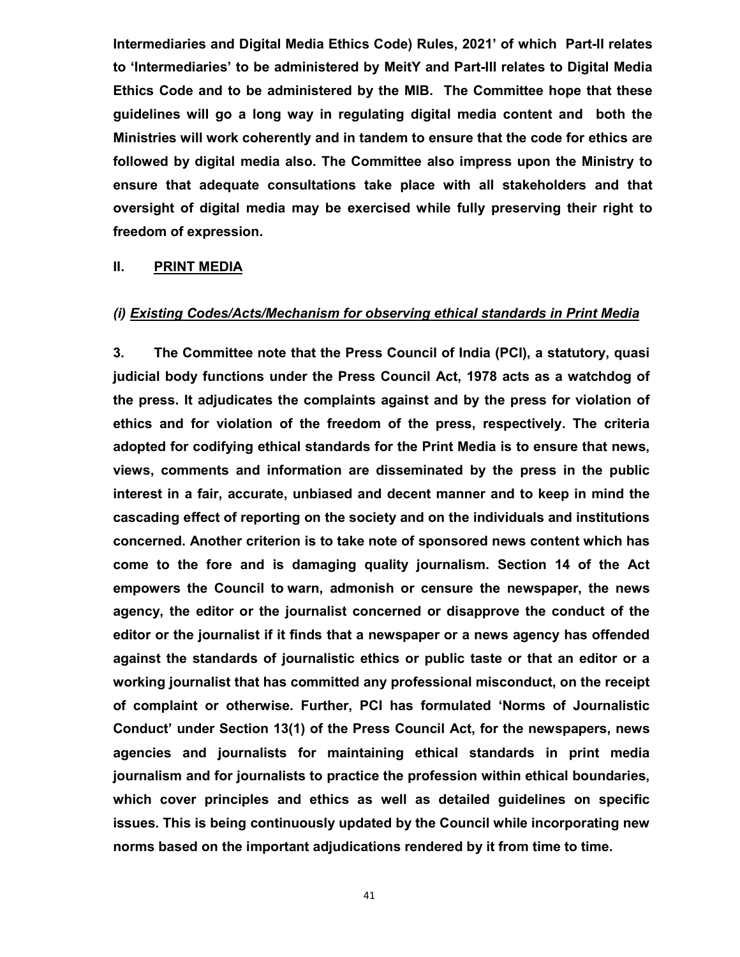**Intermediaries and Digital Media Ethics Code) Rules, 2021' of which Part-II relates to 'Intermediaries' to be administered by MeitY and Part-III relates to Digital Media Ethics Code and to be administered by the MIB. The Committee hope that these guidelines will go a long way in regulating digital media content and both the Ministries will work coherently and in tandem to ensure that the code for ethics are followed by digital media also. The Committee also impress upon the Ministry to ensure that adequate consultations take place with all stakeholders and that oversight of digital media may be exercised while fully preserving their right to freedom of expression.**

## **II. PRINT MEDIA**

### *(i) Existing Codes/Acts/Mechanism for observing ethical standards in Print Media*

**3. The Committee note that the Press Council of India (PCI), a statutory, quasi judicial body functions under the Press Council Act, 1978 acts as a watchdog of the press. It adjudicates the complaints against and by the press for violation of ethics and for violation of the freedom of the press, respectively. The criteria adopted for codifying ethical standards for the Print Media is to ensure that news, views, comments and information are disseminated by the press in the public interest in a fair, accurate, unbiased and decent manner and to keep in mind the cascading effect of reporting on the society and on the individuals and institutions concerned. Another criterion is to take note of sponsored news content which has come to the fore and is damaging quality journalism. Section 14 of the Act empowers the Council to warn, admonish or censure the newspaper, the news agency, the editor or the journalist concerned or disapprove the conduct of the editor or the journalist if it finds that a newspaper or a news agency has offended against the standards of journalistic ethics or public taste or that an editor or a working journalist that has committed any professional misconduct, on the receipt of complaint or otherwise. Further, PCI has formulated 'Norms of Journalistic Conduct' under Section 13(1) of the Press Council Act, for the newspapers, news agencies and journalists for maintaining ethical standards in print media journalism and for journalists to practice the profession within ethical boundaries, which cover principles and ethics as well as detailed guidelines on specific issues. This is being continuously updated by the Council while incorporating new norms based on the important adjudications rendered by it from time to time.**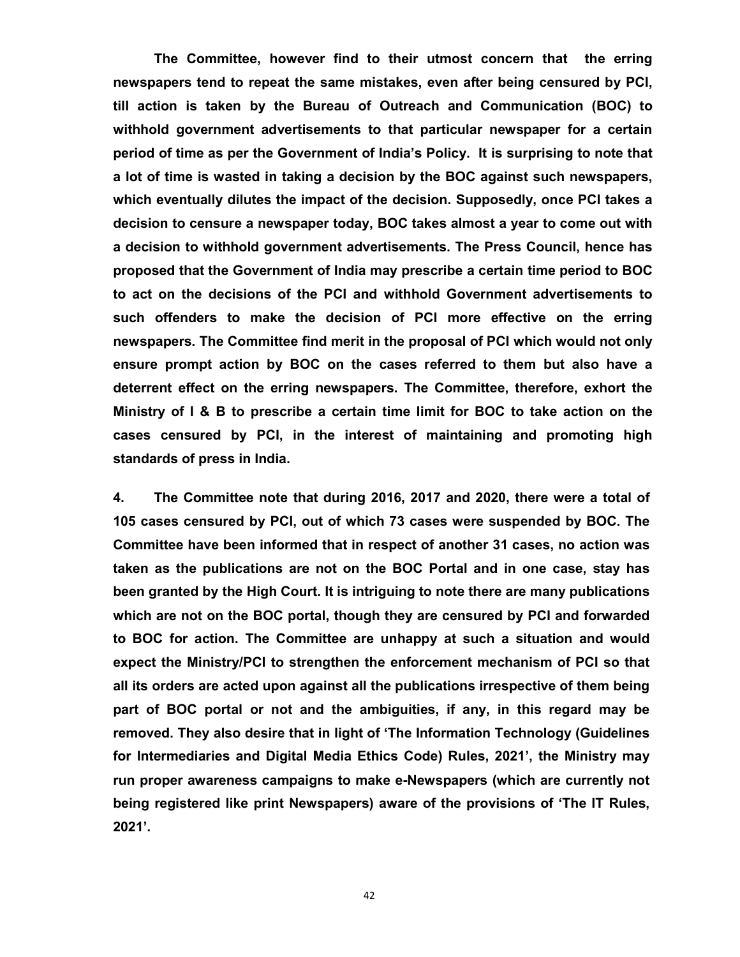**The Committee, however find to their utmost concern that the erring newspapers tend to repeat the same mistakes, even after being censured by PCI, till action is taken by the Bureau of Outreach and Communication (BOC) to withhold government advertisements to that particular newspaper for a certain period of time as per the Government of India's Policy. It is surprising to note that a lot of time is wasted in taking a decision by the BOC against such newspapers, which eventually dilutes the impact of the decision. Supposedly, once PCI takes a decision to censure a newspaper today, BOC takes almost a year to come out with a decision to withhold government advertisements. The Press Council, hence has proposed that the Government of India may prescribe a certain time period to BOC to act on the decisions of the PCI and withhold Government advertisements to such offenders to make the decision of PCI more effective on the erring newspapers. The Committee find merit in the proposal of PCI which would not only ensure prompt action by BOC on the cases referred to them but also have a deterrent effect on the erring newspapers. The Committee, therefore, exhort the Ministry of I & B to prescribe a certain time limit for BOC to take action on the cases censured by PCI, in the interest of maintaining and promoting high standards of press in India.** 

**4. The Committee note that during 2016, 2017 and 2020, there were a total of 105 cases censured by PCI, out of which 73 cases were suspended by BOC. The Committee have been informed that in respect of another 31 cases, no action was taken as the publications are not on the BOC Portal and in one case, stay has been granted by the High Court. It is intriguing to note there are many publications which are not on the BOC portal, though they are censured by PCI and forwarded to BOC for action. The Committee are unhappy at such a situation and would expect the Ministry/PCI to strengthen the enforcement mechanism of PCI so that all its orders are acted upon against all the publications irrespective of them being part of BOC portal or not and the ambiguities, if any, in this regard may be removed. They also desire that in light of 'The Information Technology (Guidelines for Intermediaries and Digital Media Ethics Code) Rules, 2021', the Ministry may run proper awareness campaigns to make e-Newspapers (which are currently not being registered like print Newspapers) aware of the provisions of 'The IT Rules, 2021'.**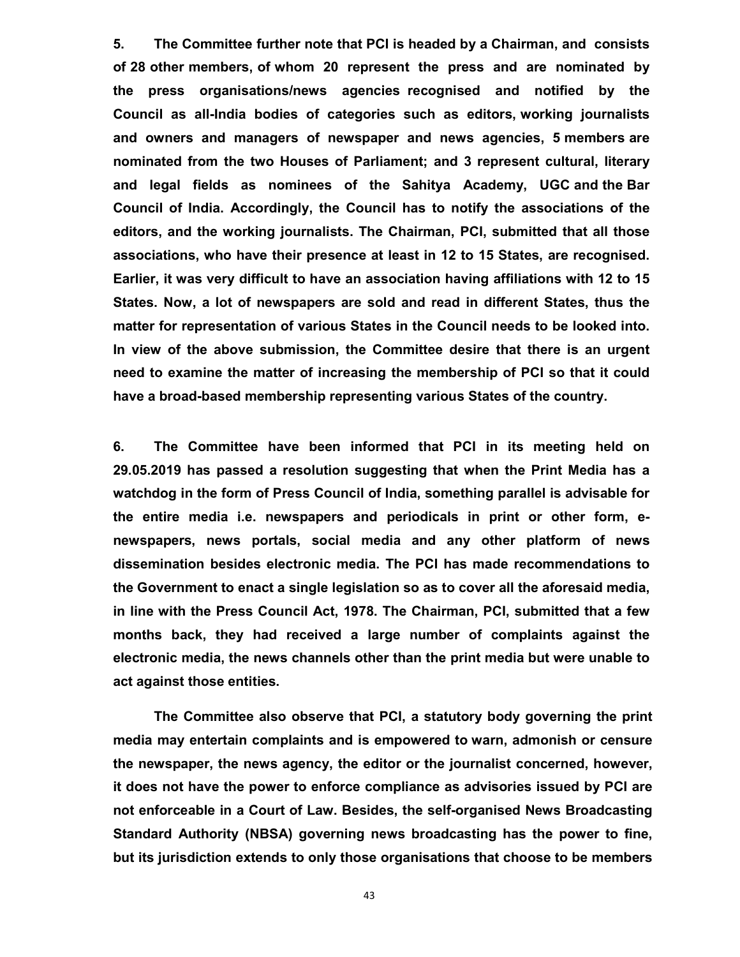**5. The Committee further note that PCI is headed by a Chairman, and consists of 28 other members, of whom 20 represent the press and are nominated by the press organisations/news agencies recognised and notified by the Council as all-India bodies of categories such as editors, working journalists and owners and managers of newspaper and news agencies, 5 members are nominated from the two Houses of Parliament; and 3 represent cultural, literary and legal fields as nominees of the Sahitya Academy, UGC and the Bar Council of India. Accordingly, the Council has to notify the associations of the editors, and the working journalists. The Chairman, PCI, submitted that all those associations, who have their presence at least in 12 to 15 States, are recognised. Earlier, it was very difficult to have an association having affiliations with 12 to 15 States. Now, a lot of newspapers are sold and read in different States, thus the matter for representation of various States in the Council needs to be looked into. In view of the above submission, the Committee desire that there is an urgent need to examine the matter of increasing the membership of PCI so that it could have a broad-based membership representing various States of the country.**

**6. The Committee have been informed that PCI in its meeting held on 29.05.2019 has passed a resolution suggesting that when the Print Media has a watchdog in the form of Press Council of India, something parallel is advisable for the entire media i.e. newspapers and periodicals in print or other form, enewspapers, news portals, social media and any other platform of news dissemination besides electronic media. The PCI has made recommendations to the Government to enact a single legislation so as to cover all the aforesaid media, in line with the Press Council Act, 1978. The Chairman, PCI, submitted that a few months back, they had received a large number of complaints against the electronic media, the news channels other than the print media but were unable to act against those entities.**

**The Committee also observe that PCI, a statutory body governing the print media may entertain complaints and is empowered to warn, admonish or censure the newspaper, the news agency, the editor or the journalist concerned, however, it does not have the power to enforce compliance as advisories issued by PCI are not enforceable in a Court of Law. Besides, the self-organised News Broadcasting Standard Authority (NBSA) governing news broadcasting has the power to fine, but its jurisdiction extends to only those organisations that choose to be members**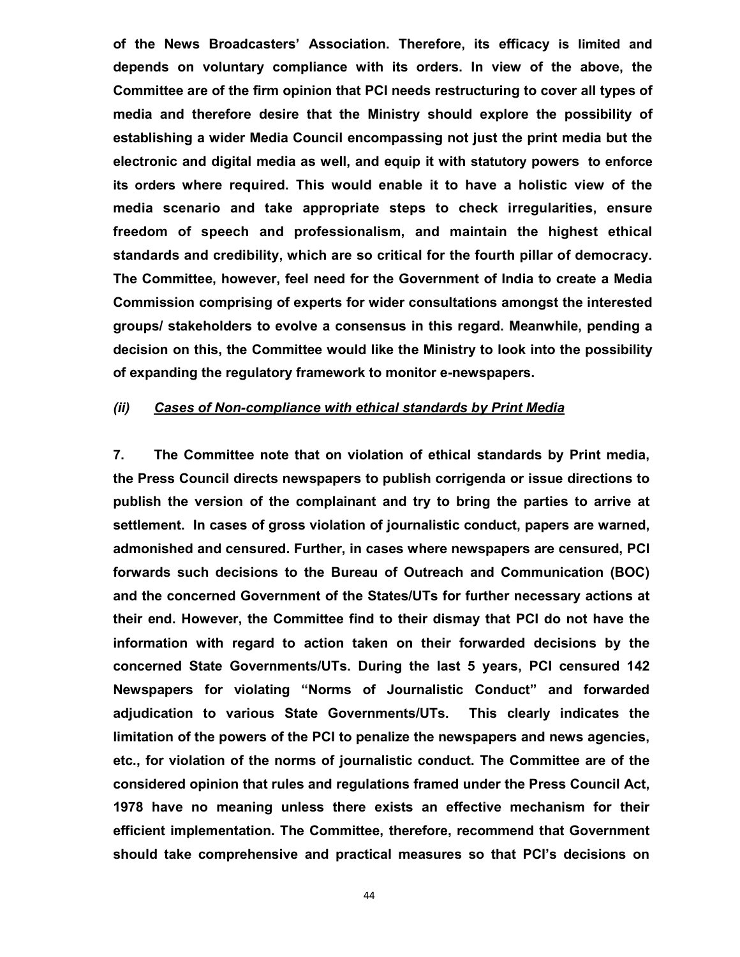**of the News Broadcasters' Association. Therefore, its efficacy is limited and depends on voluntary compliance with its orders. In view of the above, the Committee are of the firm opinion that PCI needs restructuring to cover all types of media and therefore desire that the Ministry should explore the possibility of establishing a wider Media Council encompassing not just the print media but the electronic and digital media as well, and equip it with statutory powers to enforce its orders where required. This would enable it to have a holistic view of the media scenario and take appropriate steps to check irregularities, ensure freedom of speech and professionalism, and maintain the highest ethical standards and credibility, which are so critical for the fourth pillar of democracy. The Committee, however, feel need for the Government of India to create a Media Commission comprising of experts for wider consultations amongst the interested groups/ stakeholders to evolve a consensus in this regard. Meanwhile, pending a decision on this, the Committee would like the Ministry to look into the possibility of expanding the regulatory framework to monitor e-newspapers.**

## *(ii) Cases of Non-compliance with ethical standards by Print Media*

**7. The Committee note that on violation of ethical standards by Print media, the Press Council directs newspapers to publish corrigenda or issue directions to publish the version of the complainant and try to bring the parties to arrive at settlement. In cases of gross violation of journalistic conduct, papers are warned, admonished and censured. Further, in cases where newspapers are censured, PCI forwards such decisions to the Bureau of Outreach and Communication (BOC) and the concerned Government of the States/UTs for further necessary actions at their end. However, the Committee find to their dismay that PCI do not have the information with regard to action taken on their forwarded decisions by the concerned State Governments/UTs. During the last 5 years, PCI censured 142 Newspapers for violating "Norms of Journalistic Conduct" and forwarded adjudication to various State Governments/UTs. This clearly indicates the limitation of the powers of the PCI to penalize the newspapers and news agencies, etc., for violation of the norms of journalistic conduct. The Committee are of the considered opinion that rules and regulations framed under the Press Council Act, 1978 have no meaning unless there exists an effective mechanism for their efficient implementation. The Committee, therefore, recommend that Government should take comprehensive and practical measures so that PCI's decisions on**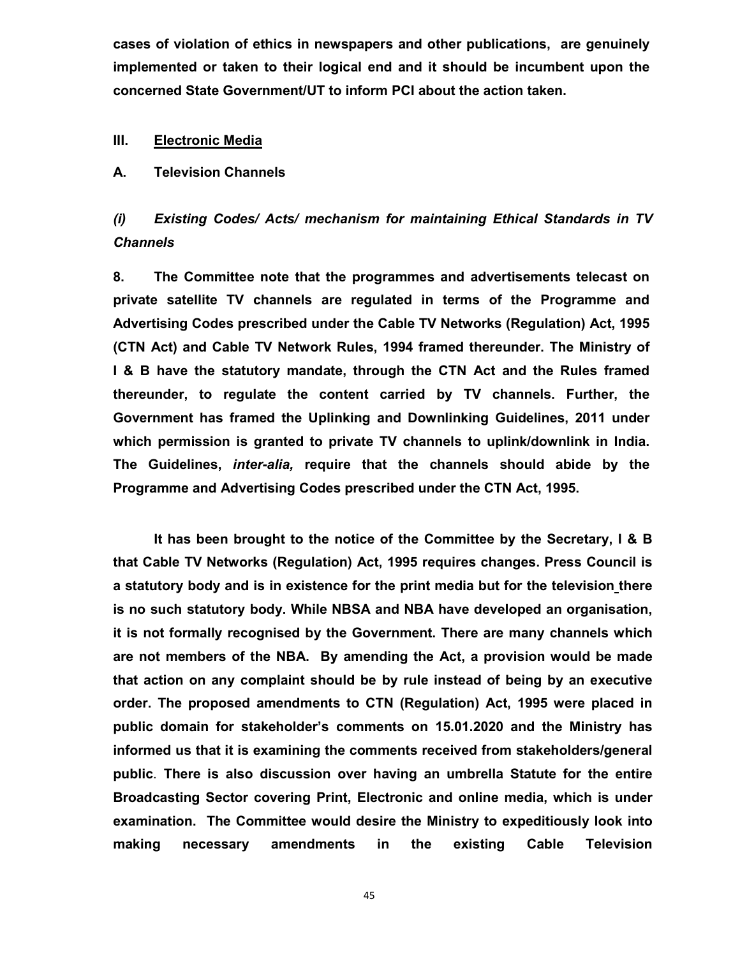**cases of violation of ethics in newspapers and other publications, are genuinely implemented or taken to their logical end and it should be incumbent upon the concerned State Government/UT to inform PCI about the action taken.**

### **III. Electronic Media**

#### **A. Television Channels**

*(i) Existing Codes/ Acts/ mechanism for maintaining Ethical Standards in TV Channels* 

**8. The Committee note that the programmes and advertisements telecast on private satellite TV channels are regulated in terms of the Programme and Advertising Codes prescribed under the Cable TV Networks (Regulation) Act, 1995 (CTN Act) and Cable TV Network Rules, 1994 framed thereunder. The Ministry of I & B have the statutory mandate, through the CTN Act and the Rules framed thereunder, to regulate the content carried by TV channels. Further, the Government has framed the Uplinking and Downlinking Guidelines, 2011 under which permission is granted to private TV channels to uplink/downlink in India. The Guidelines,** *inter-alia,* **require that the channels should abide by the Programme and Advertising Codes prescribed under the CTN Act, 1995.** 

**It has been brought to the notice of the Committee by the Secretary, I & B that Cable TV Networks (Regulation) Act, 1995 requires changes. Press Council is a statutory body and is in existence for the print media but for the television there is no such statutory body. While NBSA and NBA have developed an organisation, it is not formally recognised by the Government. There are many channels which are not members of the NBA. By amending the Act, a provision would be made that action on any complaint should be by rule instead of being by an executive order. The proposed amendments to CTN (Regulation) Act, 1995 were placed in public domain for stakeholder's comments on 15.01.2020 and the Ministry has informed us that it is examining the comments received from stakeholders/general public**. **There is also discussion over having an umbrella Statute for the entire Broadcasting Sector covering Print, Electronic and online media, which is under examination. The Committee would desire the Ministry to expeditiously look into making necessary amendments in the existing Cable Television**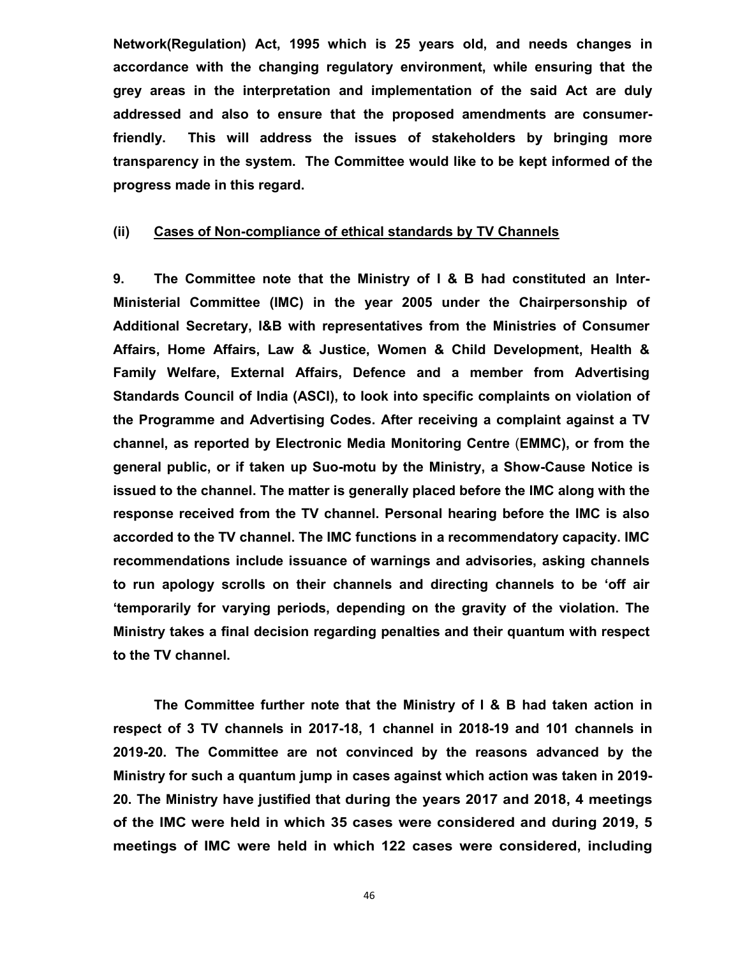**Network(Regulation) Act, 1995 which is 25 years old, and needs changes in accordance with the changing regulatory environment, while ensuring that the grey areas in the interpretation and implementation of the said Act are duly addressed and also to ensure that the proposed amendments are consumerfriendly. This will address the issues of stakeholders by bringing more transparency in the system. The Committee would like to be kept informed of the progress made in this regard.**

#### **(ii) Cases of Non-compliance of ethical standards by TV Channels**

**9. The Committee note that the Ministry of I & B had constituted an Inter-Ministerial Committee (IMC) in the year 2005 under the Chairpersonship of Additional Secretary, I&B with representatives from the Ministries of Consumer Affairs, Home Affairs, Law & Justice, Women & Child Development, Health & Family Welfare, External Affairs, Defence and a member from Advertising Standards Council of India (ASCI), to look into specific complaints on violation of the Programme and Advertising Codes. After receiving a complaint against a TV channel, as reported by Electronic Media Monitoring Centre** (**EMMC), or from the general public, or if taken up Suo-motu by the Ministry, a Show-Cause Notice is issued to the channel. The matter is generally placed before the IMC along with the response received from the TV channel. Personal hearing before the IMC is also accorded to the TV channel. The IMC functions in a recommendatory capacity. IMC recommendations include issuance of warnings and advisories, asking channels to run apology scrolls on their channels and directing channels to be 'off air 'temporarily for varying periods, depending on the gravity of the violation. The Ministry takes a final decision regarding penalties and their quantum with respect to the TV channel.** 

**The Committee further note that the Ministry of I & B had taken action in respect of 3 TV channels in 2017-18, 1 channel in 2018-19 and 101 channels in 2019-20. The Committee are not convinced by the reasons advanced by the Ministry for such a quantum jump in cases against which action was taken in 2019- 20. The Ministry have justified that during the years 2017 and 2018, 4 meetings of the IMC were held in which 35 cases were considered and during 2019, 5 meetings of IMC were held in which 122 cases were considered, including**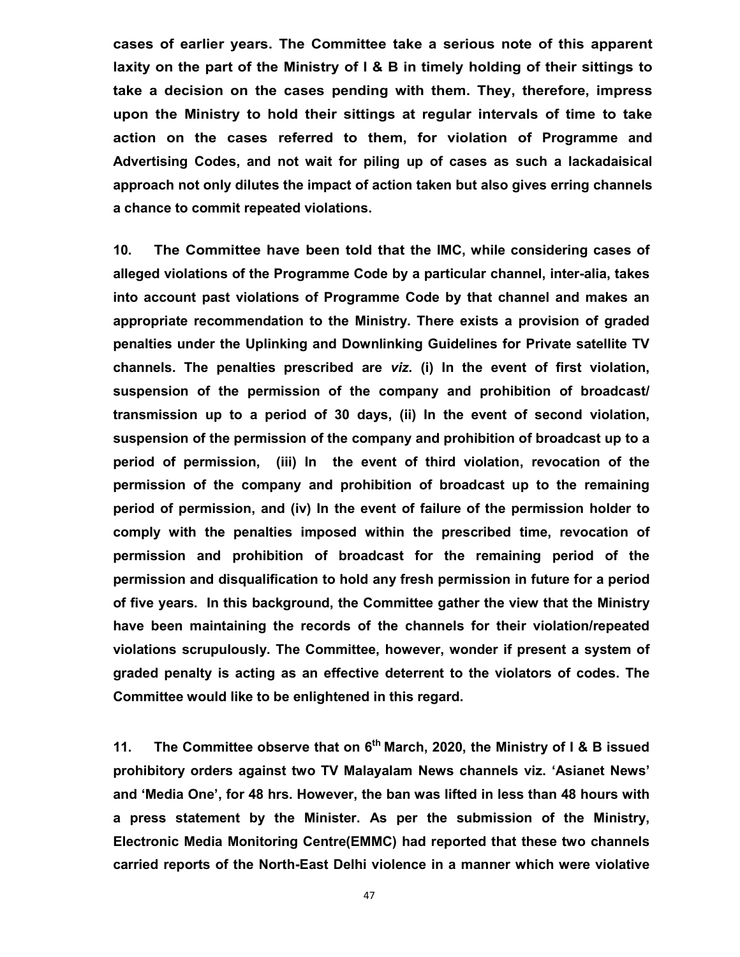**cases of earlier years. The Committee take a serious note of this apparent laxity on the part of the Ministry of I & B in timely holding of their sittings to take a decision on the cases pending with them. They, therefore, impress upon the Ministry to hold their sittings at regular intervals of time to take action on the cases referred to them, for violation of Programme and Advertising Codes, and not wait for piling up of cases as such a lackadaisical approach not only dilutes the impact of action taken but also gives erring channels a chance to commit repeated violations.** 

**10. The Committee have been told that the IMC, while considering cases of alleged violations of the Programme Code by a particular channel, inter-alia, takes into account past violations of Programme Code by that channel and makes an appropriate recommendation to the Ministry. There exists a provision of graded penalties under the Uplinking and Downlinking Guidelines for Private satellite TV channels. The penalties prescribed are** *viz.* **(i) In the event of first violation, suspension of the permission of the company and prohibition of broadcast/ transmission up to a period of 30 days, (ii) In the event of second violation, suspension of the permission of the company and prohibition of broadcast up to a period of permission, (iii) In the event of third violation, revocation of the permission of the company and prohibition of broadcast up to the remaining period of permission, and (iv) In the event of failure of the permission holder to comply with the penalties imposed within the prescribed time, revocation of permission and prohibition of broadcast for the remaining period of the permission and disqualification to hold any fresh permission in future for a period of five years. In this background, the Committee gather the view that the Ministry have been maintaining the records of the channels for their violation/repeated violations scrupulously. The Committee, however, wonder if present a system of graded penalty is acting as an effective deterrent to the violators of codes. The Committee would like to be enlightened in this regard.**

**11. The Committee observe that on 6th March, 2020, the Ministry of I & B issued prohibitory orders against two TV Malayalam News channels viz. 'Asianet News' and 'Media One', for 48 hrs. However, the ban was lifted in less than 48 hours with a press statement by the Minister. As per the submission of the Ministry, Electronic Media Monitoring Centre(EMMC) had reported that these two channels carried reports of the North-East Delhi violence in a manner which were violative**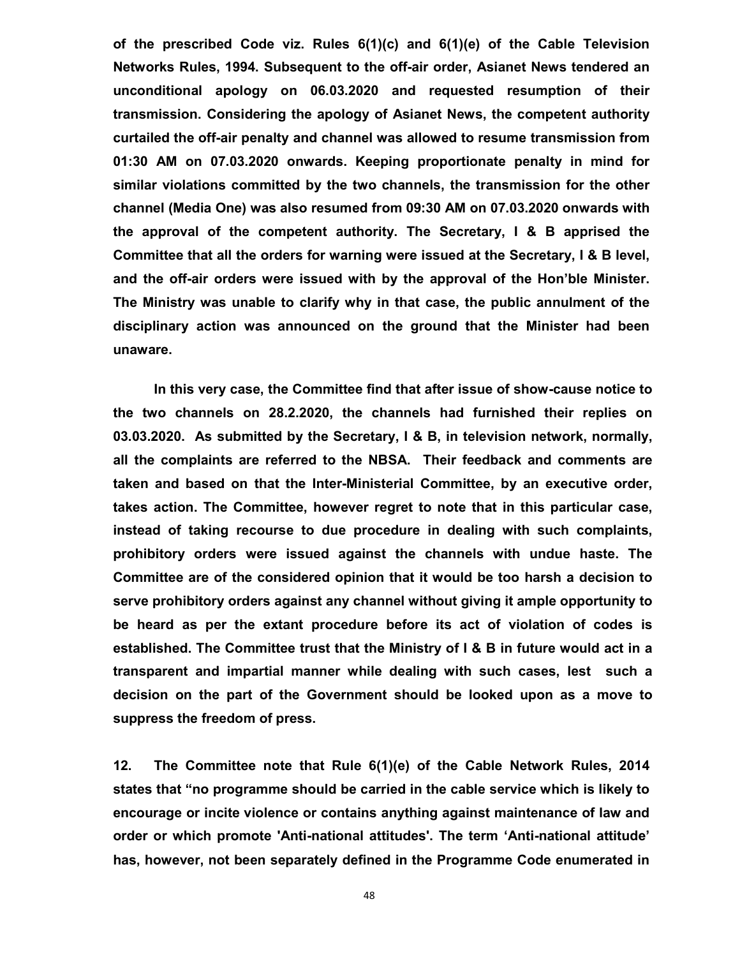**of the prescribed Code viz. Rules 6(1)(c) and 6(1)(e) of the Cable Television Networks Rules, 1994. Subsequent to the off-air order, Asianet News tendered an unconditional apology on 06.03.2020 and requested resumption of their transmission. Considering the apology of Asianet News, the competent authority curtailed the off-air penalty and channel was allowed to resume transmission from 01:30 AM on 07.03.2020 onwards. Keeping proportionate penalty in mind for similar violations committed by the two channels, the transmission for the other channel (Media One) was also resumed from 09:30 AM on 07.03.2020 onwards with the approval of the competent authority. The Secretary, I & B apprised the Committee that all the orders for warning were issued at the Secretary, I & B level, and the off-air orders were issued with by the approval of the Hon'ble Minister. The Ministry was unable to clarify why in that case, the public annulment of the disciplinary action was announced on the ground that the Minister had been unaware.**

**In this very case, the Committee find that after issue of show-cause notice to the two channels on 28.2.2020, the channels had furnished their replies on 03.03.2020. As submitted by the Secretary, I & B, in television network, normally, all the complaints are referred to the NBSA. Their feedback and comments are taken and based on that the Inter-Ministerial Committee, by an executive order, takes action. The Committee, however regret to note that in this particular case, instead of taking recourse to due procedure in dealing with such complaints, prohibitory orders were issued against the channels with undue haste. The Committee are of the considered opinion that it would be too harsh a decision to serve prohibitory orders against any channel without giving it ample opportunity to be heard as per the extant procedure before its act of violation of codes is established. The Committee trust that the Ministry of I & B in future would act in a transparent and impartial manner while dealing with such cases, lest such a decision on the part of the Government should be looked upon as a move to suppress the freedom of press.**

**12. The Committee note that Rule 6(1)(e) of the Cable Network Rules, 2014 states that "no programme should be carried in the cable service which is likely to encourage or incite violence or contains anything against maintenance of law and order or which promote 'Anti-national attitudes'. The term 'Anti-national attitude' has, however, not been separately defined in the Programme Code enumerated in**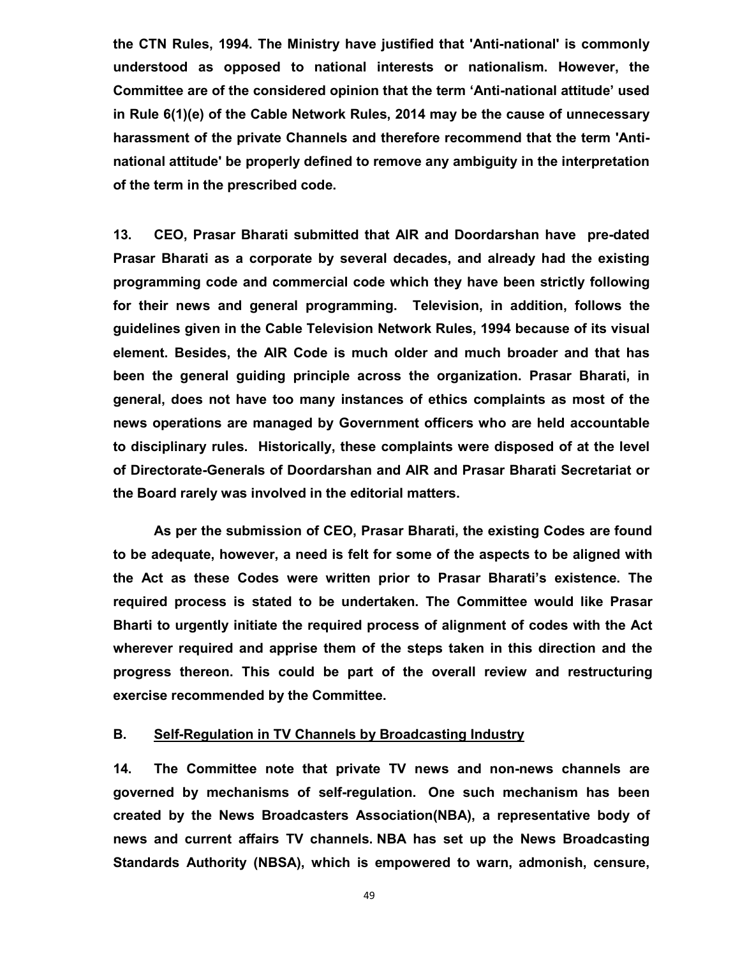**the CTN Rules, 1994. The Ministry have justified that 'Anti-national' is commonly understood as opposed to national interests or nationalism. However, the Committee are of the considered opinion that the term 'Anti-national attitude' used in Rule 6(1)(e) of the Cable Network Rules, 2014 may be the cause of unnecessary harassment of the private Channels and therefore recommend that the term 'Antinational attitude' be properly defined to remove any ambiguity in the interpretation of the term in the prescribed code.**

**13. CEO, Prasar Bharati submitted that AlR and Doordarshan have pre-dated Prasar Bharati as a corporate by several decades, and already had the existing programming code and commercial code which they have been strictly following for their news and general programming. Television, in addition, follows the guidelines given in the Cable Television Network Rules, 1994 because of its visual element. Besides, the AIR Code is much older and much broader and that has been the general guiding principle across the organization. Prasar Bharati, in general, does not have too many instances of ethics complaints as most of the news operations are managed by Government officers who are held accountable to disciplinary rules. Historically, these complaints were disposed of at the level of Directorate-Generals of Doordarshan and AIR and Prasar Bharati Secretariat or the Board rarely was involved in the editorial matters.** 

**As per the submission of CEO, Prasar Bharati, the existing Codes are found to be adequate, however, a need is felt for some of the aspects to be aligned with the Act as these Codes were written prior to Prasar Bharati's existence. The required process is stated to be undertaken. The Committee would like Prasar Bharti to urgently initiate the required process of alignment of codes with the Act wherever required and apprise them of the steps taken in this direction and the progress thereon. This could be part of the overall review and restructuring exercise recommended by the Committee.** 

#### **B. Self-Regulation in TV Channels by Broadcasting Industry**

**14. The Committee note that private TV news and non-news channels are governed by mechanisms of self-regulation. One such mechanism has been created by the News Broadcasters Association(NBA), a representative body of news and current affairs TV channels. NBA has set up the News Broadcasting Standards Authority (NBSA), which is empowered to warn, admonish, censure,**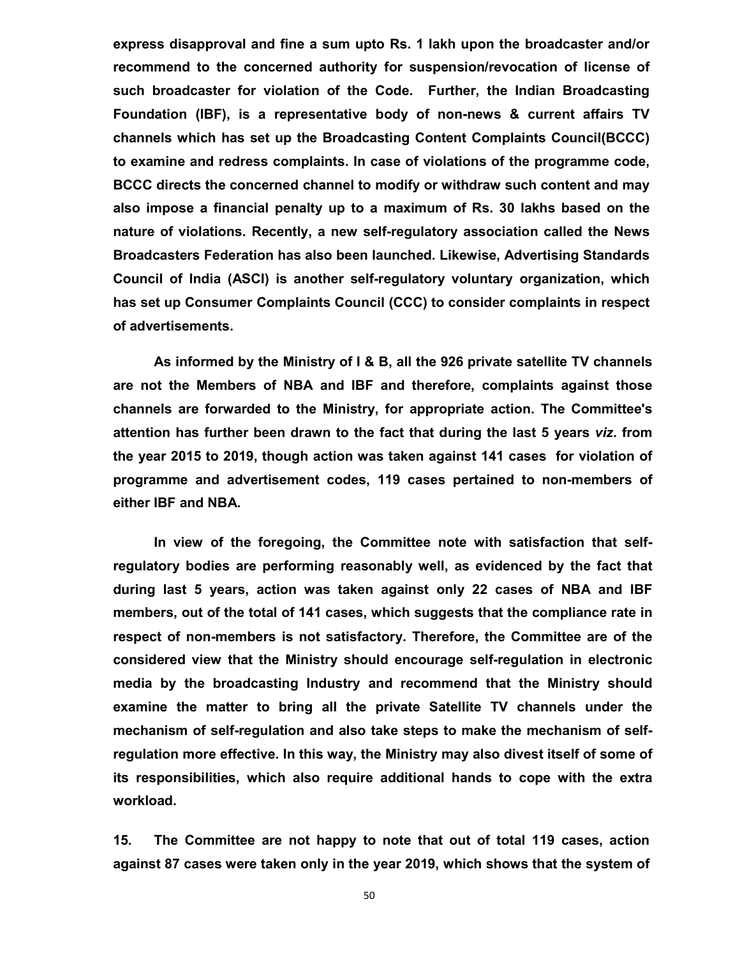**express disapproval and fine a sum upto Rs. 1 lakh upon the broadcaster and/or recommend to the concerned authority for suspension/revocation of license of such broadcaster for violation of the Code. Further, the Indian Broadcasting Foundation (IBF), is a representative body of non-news & current affairs TV channels which has set up the Broadcasting Content Complaints Council(BCCC) to examine and redress complaints. In case of violations of the programme code, BCCC directs the concerned channel to modify or withdraw such content and may also impose a financial penalty up to a maximum of Rs. 30 lakhs based on the nature of violations. Recently, a new self-regulatory association called the News Broadcasters Federation has also been launched. Likewise, Advertising Standards Council of India (ASCI) is another self-regulatory voluntary organization, which has set up Consumer Complaints Council (CCC) to consider complaints in respect of advertisements.** 

**As informed by the Ministry of I & B, all the 926 private satellite TV channels are not the Members of NBA and IBF and therefore, complaints against those channels are forwarded to the Ministry, for appropriate action. The Committee's attention has further been drawn to the fact that during the last 5 years** *viz***. from the year 2015 to 2019, though action was taken against 141 cases for violation of programme and advertisement codes, 119 cases pertained to non-members of either IBF and NBA.** 

**In view of the foregoing, the Committee note with satisfaction that selfregulatory bodies are performing reasonably well, as evidenced by the fact that during last 5 years, action was taken against only 22 cases of NBA and IBF members, out of the total of 141 cases, which suggests that the compliance rate in respect of non-members is not satisfactory. Therefore, the Committee are of the considered view that the Ministry should encourage self-regulation in electronic media by the broadcasting Industry and recommend that the Ministry should examine the matter to bring all the private Satellite TV channels under the mechanism of self-regulation and also take steps to make the mechanism of selfregulation more effective. In this way, the Ministry may also divest itself of some of its responsibilities, which also require additional hands to cope with the extra workload.**

**15. The Committee are not happy to note that out of total 119 cases, action against 87 cases were taken only in the year 2019, which shows that the system of**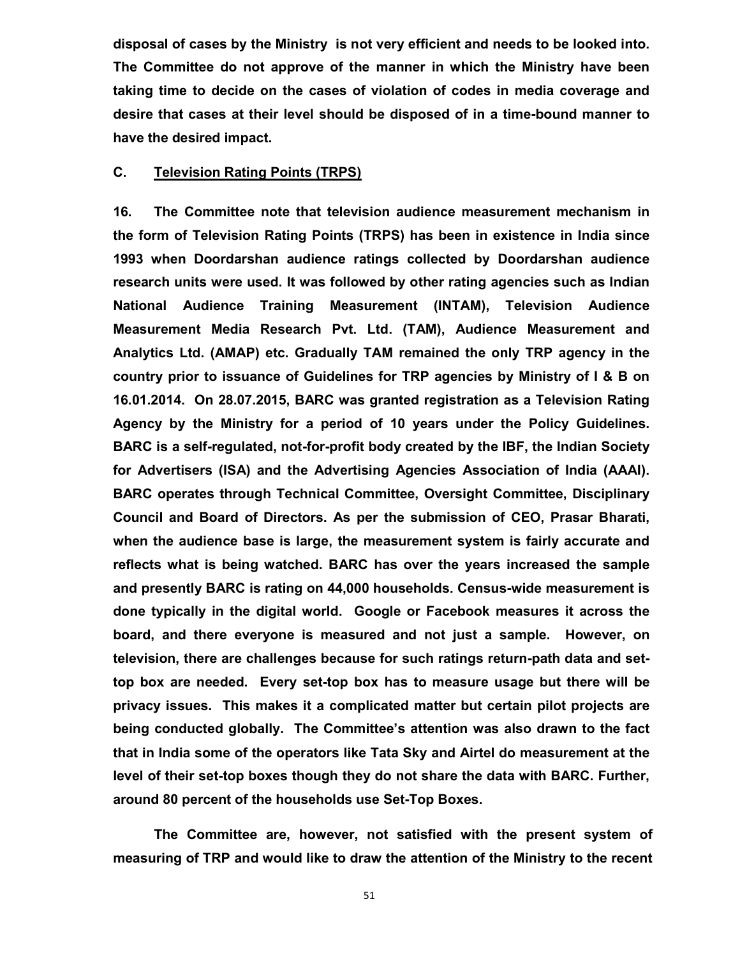**disposal of cases by the Ministry is not very efficient and needs to be looked into. The Committee do not approve of the manner in which the Ministry have been taking time to decide on the cases of violation of codes in media coverage and desire that cases at their level should be disposed of in a time-bound manner to have the desired impact.**

## **C. Television Rating Points (TRPS)**

**16. The Committee note that television audience measurement mechanism in the form of Television Rating Points (TRPS) has been in existence in India since 1993 when Doordarshan audience ratings collected by Doordarshan audience research units were used. It was followed by other rating agencies such as Indian National Audience Training Measurement (INTAM), Television Audience Measurement Media Research Pvt. Ltd. (TAM), Audience Measurement and Analytics Ltd. (AMAP) etc. Gradually TAM remained the only TRP agency in the country prior to issuance of Guidelines for TRP agencies by Ministry of I & B on 16.01.2014. On 28.07.2015, BARC was granted registration as a Television Rating Agency by the Ministry for a period of 10 years under the Policy Guidelines. BARC is a self-regulated, not-for-profit body created by the IBF, the Indian Society for Advertisers (ISA) and the Advertising Agencies Association of India (AAAI). BARC operates through Technical Committee, Oversight Committee, Disciplinary Council and Board of Directors. As per the submission of CEO, Prasar Bharati, when the audience base is large, the measurement system is fairly accurate and reflects what is being watched. BARC has over the years increased the sample and presently BARC is rating on 44,000 households. Census-wide measurement is done typically in the digital world. Google or Facebook measures it across the board, and there everyone is measured and not just a sample. However, on television, there are challenges because for such ratings return-path data and settop box are needed. Every set-top box has to measure usage but there will be privacy issues. This makes it a complicated matter but certain pilot projects are being conducted globally. The Committee's attention was also drawn to the fact that in India some of the operators like Tata Sky and Airtel do measurement at the level of their set-top boxes though they do not share the data with BARC. Further, around 80 percent of the households use Set-Top Boxes.**

**The Committee are, however, not satisfied with the present system of measuring of TRP and would like to draw the attention of the Ministry to the recent**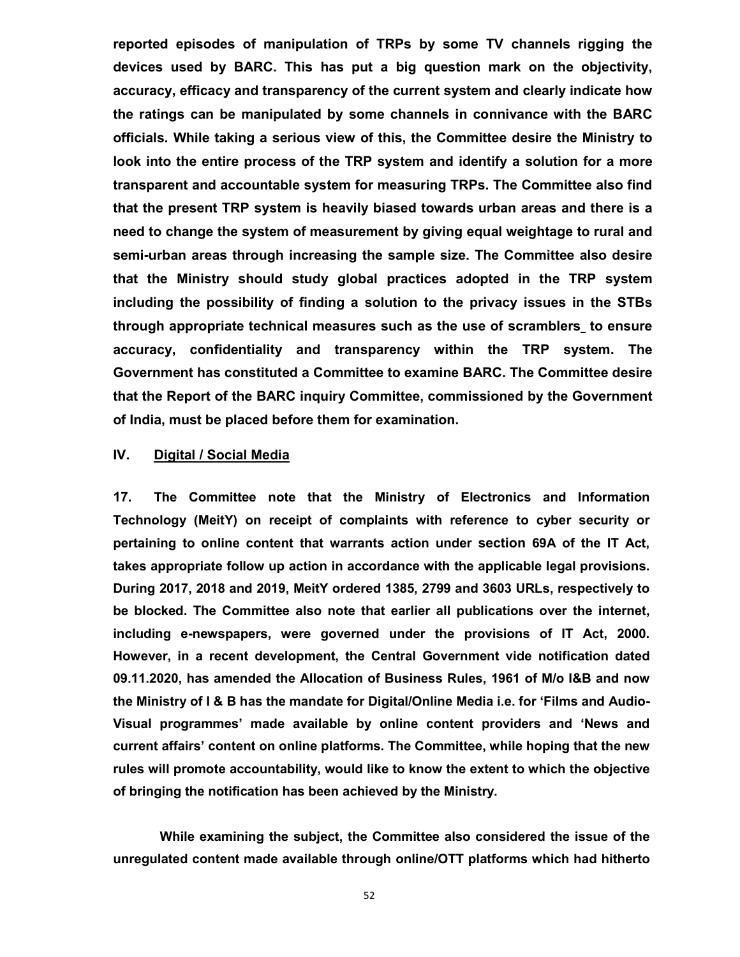**reported episodes of manipulation of TRPs by some TV channels rigging the devices used by BARC. This has put a big question mark on the objectivity, accuracy, efficacy and transparency of the current system and clearly indicate how the ratings can be manipulated by some channels in connivance with the BARC officials. While taking a serious view of this, the Committee desire the Ministry to look into the entire process of the TRP system and identify a solution for a more transparent and accountable system for measuring TRPs. The Committee also find that the present TRP system is heavily biased towards urban areas and there is a need to change the system of measurement by giving equal weightage to rural and semi-urban areas through increasing the sample size. The Committee also desire that the Ministry should study global practices adopted in the TRP system including the possibility of finding a solution to the privacy issues in the STBs through appropriate technical measures such as the use of scramblers to ensure accuracy, confidentiality and transparency within the TRP system. The Government has constituted a Committee to examine BARC. The Committee desire that the Report of the BARC inquiry Committee, commissioned by the Government of India, must be placed before them for examination.** 

## **IV. Digital / Social Media**

**17. The Committee note that the Ministry of Electronics and Information Technology (MeitY) on receipt of complaints with reference to cyber security or pertaining to online content that warrants action under section 69A of the IT Act, takes appropriate follow up action in accordance with the applicable legal provisions. During 2017, 2018 and 2019, MeitY ordered 1385, 2799 and 3603 URLs, respectively to be blocked. The Committee also note that earlier all publications over the internet, including e-newspapers, were governed under the provisions of IT Act, 2000. However, in a recent development, the Central Government vide notification dated 09.11.2020, has amended the Allocation of Business Rules, 1961 of M/o I&B and now the Ministry of I & B has the mandate for Digital/Online Media i.e. for 'Films and Audio-Visual programmes' made available by online content providers and 'News and current affairs' content on online platforms. The Committee, while hoping that the new rules will promote accountability, would like to know the extent to which the objective of bringing the notification has been achieved by the Ministry.** 

 **While examining the subject, the Committee also considered the issue of the unregulated content made available through online/OTT platforms which had hitherto**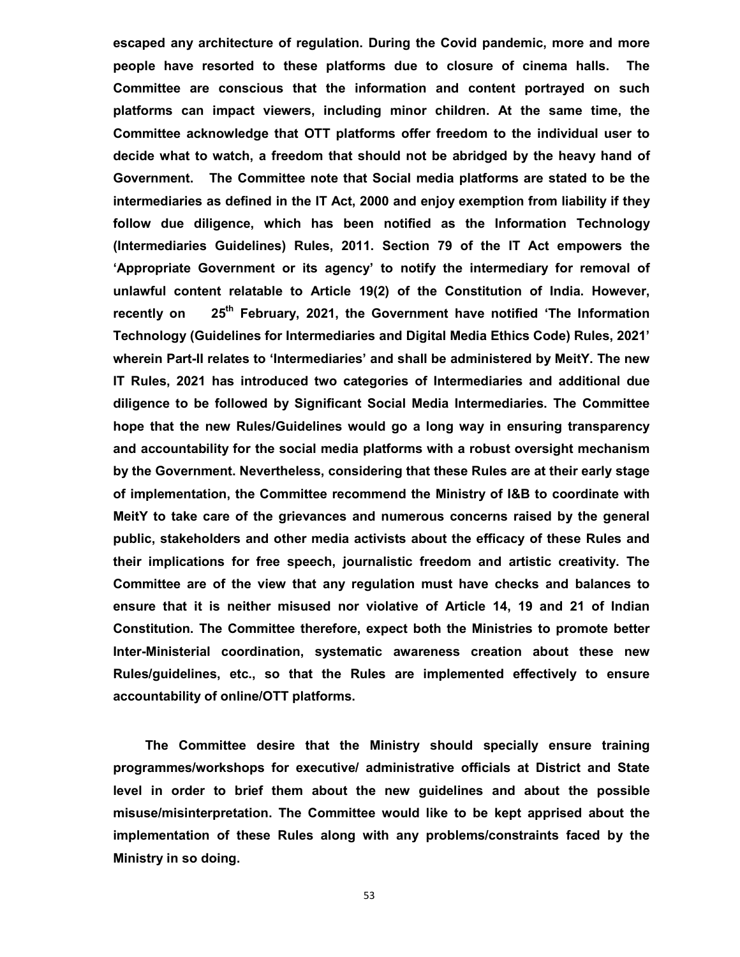**escaped any architecture of regulation. During the Covid pandemic, more and more people have resorted to these platforms due to closure of cinema halls. The Committee are conscious that the information and content portrayed on such platforms can impact viewers, including minor children. At the same time, the Committee acknowledge that OTT platforms offer freedom to the individual user to decide what to watch, a freedom that should not be abridged by the heavy hand of Government. The Committee note that Social media platforms are stated to be the intermediaries as defined in the IT Act, 2000 and enjoy exemption from liability if they follow due diligence, which has been notified as the Information Technology (Intermediaries Guidelines) Rules, 2011. Section 79 of the IT Act empowers the 'Appropriate Government or its agency' to notify the intermediary for removal of unlawful content relatable to Article 19(2) of the Constitution of India. However, recently on 25th February, 2021, the Government have notified 'The Information Technology (Guidelines for Intermediaries and Digital Media Ethics Code) Rules, 2021' wherein Part-II relates to 'Intermediaries' and shall be administered by MeitY. The new IT Rules, 2021 has introduced two categories of Intermediaries and additional due diligence to be followed by Significant Social Media Intermediaries. The Committee hope that the new Rules/Guidelines would go a long way in ensuring transparency and accountability for the social media platforms with a robust oversight mechanism by the Government. Nevertheless, considering that these Rules are at their early stage of implementation, the Committee recommend the Ministry of I&B to coordinate with MeitY to take care of the grievances and numerous concerns raised by the general public, stakeholders and other media activists about the efficacy of these Rules and their implications for free speech, journalistic freedom and artistic creativity. The Committee are of the view that any regulation must have checks and balances to ensure that it is neither misused nor violative of Article 14, 19 and 21 of Indian Constitution. The Committee therefore, expect both the Ministries to promote better Inter-Ministerial coordination, systematic awareness creation about these new Rules/guidelines, etc., so that the Rules are implemented effectively to ensure accountability of online/OTT platforms.** 

**The Committee desire that the Ministry should specially ensure training programmes/workshops for executive/ administrative officials at District and State level in order to brief them about the new guidelines and about the possible misuse/misinterpretation. The Committee would like to be kept apprised about the implementation of these Rules along with any problems/constraints faced by the Ministry in so doing.**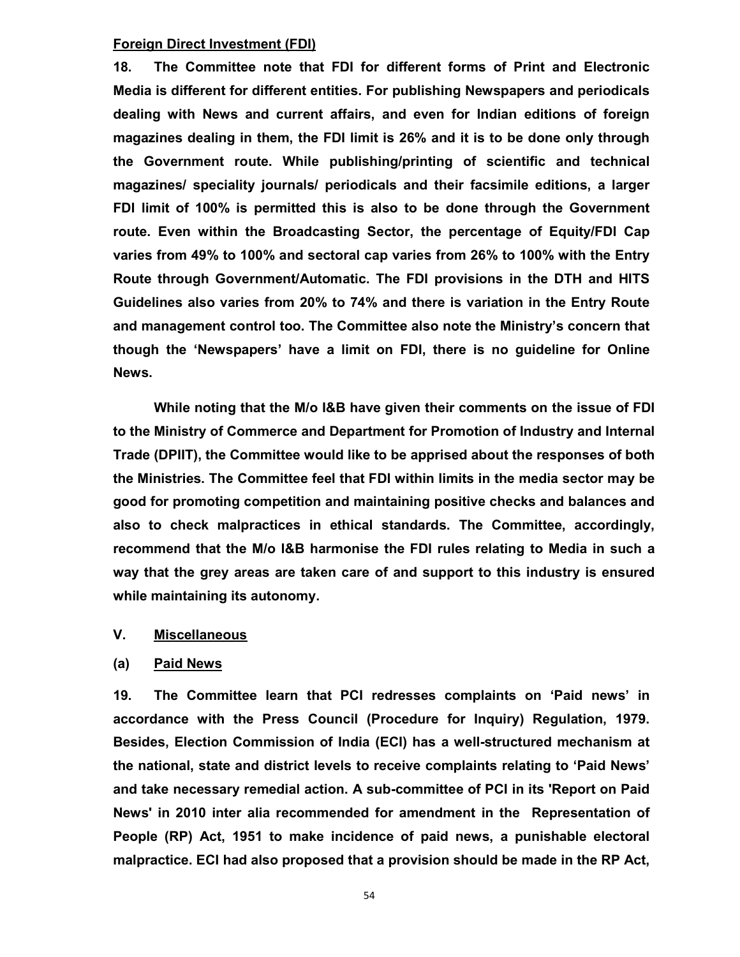#### **Foreign Direct Investment (FDI)**

**18. The Committee note that FDI for different forms of Print and Electronic Media is different for different entities. For publishing Newspapers and periodicals dealing with News and current affairs, and even for Indian editions of foreign magazines dealing in them, the FDI limit is 26% and it is to be done only through the Government route. While publishing/printing of scientific and technical magazines/ speciality journals/ periodicals and their facsimile editions, a larger FDI limit of 100% is permitted this is also to be done through the Government route. Even within the Broadcasting Sector, the percentage of Equity/FDI Cap varies from 49% to 100% and sectoral cap varies from 26% to 100% with the Entry Route through Government/Automatic. The FDI provisions in the DTH and HITS Guidelines also varies from 20% to 74% and there is variation in the Entry Route and management control too. The Committee also note the Ministry's concern that though the 'Newspapers' have a limit on FDI, there is no guideline for Online News.** 

**While noting that the M/o I&B have given their comments on the issue of FDI to the Ministry of Commerce and Department for Promotion of Industry and Internal Trade (DPIIT), the Committee would like to be apprised about the responses of both the Ministries. The Committee feel that FDI within limits in the media sector may be good for promoting competition and maintaining positive checks and balances and also to check malpractices in ethical standards. The Committee, accordingly, recommend that the M/o I&B harmonise the FDI rules relating to Media in such a way that the grey areas are taken care of and support to this industry is ensured while maintaining its autonomy.**

### **V. Miscellaneous**

### **(a) Paid News**

**19. The Committee learn that PCI redresses complaints on 'Paid news' in accordance with the Press Council (Procedure for Inquiry) Regulation, 1979. Besides, Election Commission of India (ECI) has a well-structured mechanism at the national, state and district levels to receive complaints relating to 'Paid News' and take necessary remedial action. A sub-committee of PCI in its 'Report on Paid News' in 2010 inter alia recommended for amendment in the Representation of People (RP) Act, 1951 to make incidence of paid news, a punishable electoral malpractice. ECI had also proposed that a provision should be made in the RP Act,**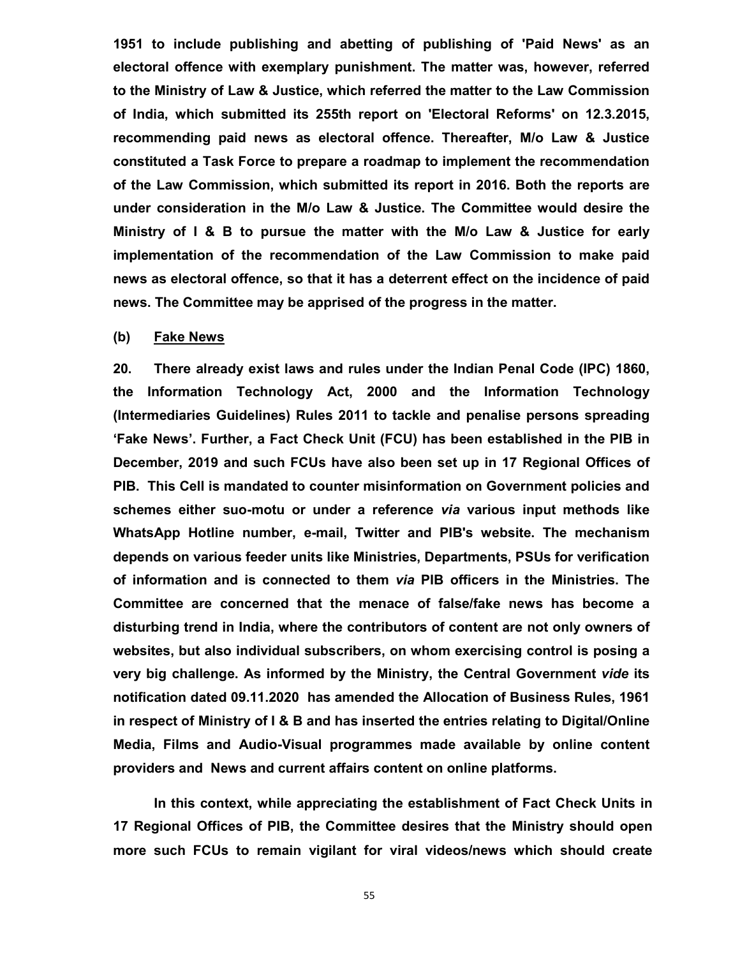**1951 to include publishing and abetting of publishing of 'Paid News' as an electoral offence with exemplary punishment. The matter was, however, referred to the Ministry of Law & Justice, which referred the matter to the Law Commission of India, which submitted its 255th report on 'Electoral Reforms' on 12.3.2015, recommending paid news as electoral offence. Thereafter, M/o Law & Justice constituted a Task Force to prepare a roadmap to implement the recommendation of the Law Commission, which submitted its report in 2016. Both the reports are under consideration in the M/o Law & Justice. The Committee would desire the Ministry of I & B to pursue the matter with the M/o Law & Justice for early implementation of the recommendation of the Law Commission to make paid news as electoral offence, so that it has a deterrent effect on the incidence of paid news. The Committee may be apprised of the progress in the matter.**

#### **(b) Fake News**

**20. There already exist laws and rules under the Indian Penal Code (IPC) 1860, the Information Technology Act, 2000 and the Information Technology (Intermediaries Guidelines) Rules 2011 to tackle and penalise persons spreading 'Fake News'. Further, a Fact Check Unit (FCU) has been established in the PIB in December, 2019 and such FCUs have also been set up in 17 Regional Offices of PIB. This Cell is mandated to counter misinformation on Government policies and schemes either suo-motu or under a reference** *via* **various input methods like WhatsApp Hotline number, e-mail, Twitter and PIB's website. The mechanism depends on various feeder units like Ministries, Departments, PSUs for verification of information and is connected to them** *via* **PIB officers in the Ministries. The Committee are concerned that the menace of false/fake news has become a disturbing trend in India, where the contributors of content are not only owners of websites, but also individual subscribers, on whom exercising control is posing a very big challenge. As informed by the Ministry, the Central Government** *vide* **its notification dated 09.11.2020 has amended the Allocation of Business Rules, 1961 in respect of Ministry of I & B and has inserted the entries relating to Digital/Online Media, Films and Audio-Visual programmes made available by online content providers and News and current affairs content on online platforms.**

**In this context, while appreciating the establishment of Fact Check Units in 17 Regional Offices of PIB, the Committee desires that the Ministry should open more such FCUs to remain vigilant for viral videos/news which should create**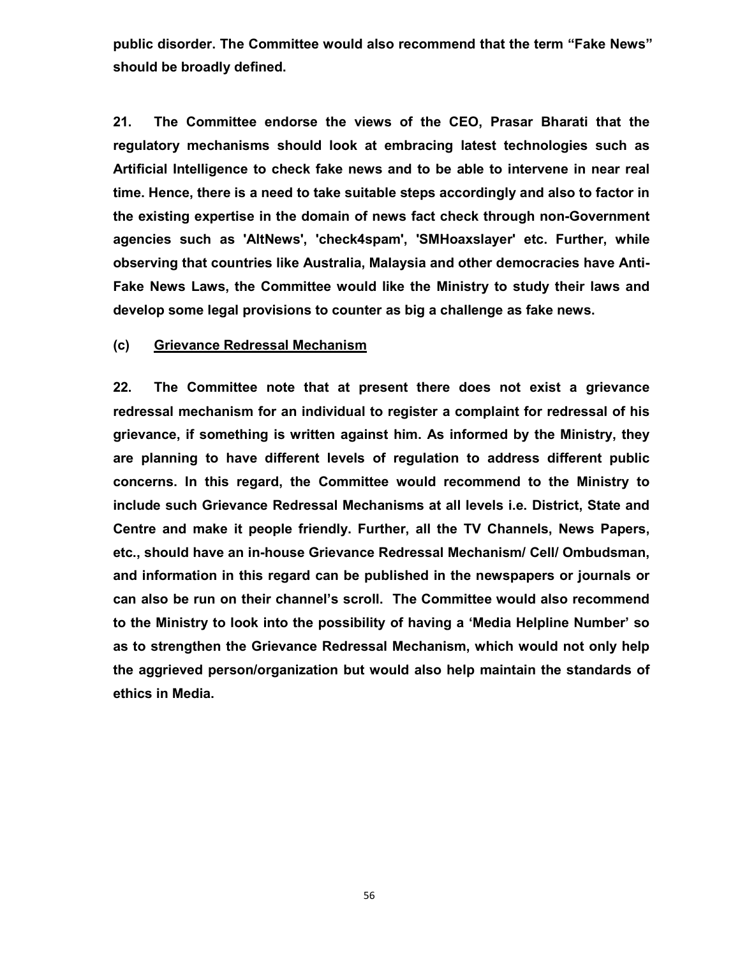**public disorder. The Committee would also recommend that the term "Fake News" should be broadly defined.** 

**21. The Committee endorse the views of the CEO, Prasar Bharati that the regulatory mechanisms should look at embracing latest technologies such as Artificial Intelligence to check fake news and to be able to intervene in near real time. Hence, there is a need to take suitable steps accordingly and also to factor in the existing expertise in the domain of news fact check through non-Government agencies such as 'AltNews', 'check4spam', 'SMHoaxslayer' etc. Further, while observing that countries like Australia, Malaysia and other democracies have Anti-Fake News Laws, the Committee would like the Ministry to study their laws and develop some legal provisions to counter as big a challenge as fake news.**

### **(c) Grievance Redressal Mechanism**

**22. The Committee note that at present there does not exist a grievance redressal mechanism for an individual to register a complaint for redressal of his grievance, if something is written against him. As informed by the Ministry, they are planning to have different levels of regulation to address different public concerns. In this regard, the Committee would recommend to the Ministry to include such Grievance Redressal Mechanisms at all levels i.e. District, State and Centre and make it people friendly. Further, all the TV Channels, News Papers, etc., should have an in-house Grievance Redressal Mechanism/ Cell/ Ombudsman, and information in this regard can be published in the newspapers or journals or can also be run on their channel's scroll. The Committee would also recommend to the Ministry to look into the possibility of having a 'Media Helpline Number' so as to strengthen the Grievance Redressal Mechanism, which would not only help the aggrieved person/organization but would also help maintain the standards of ethics in Media.**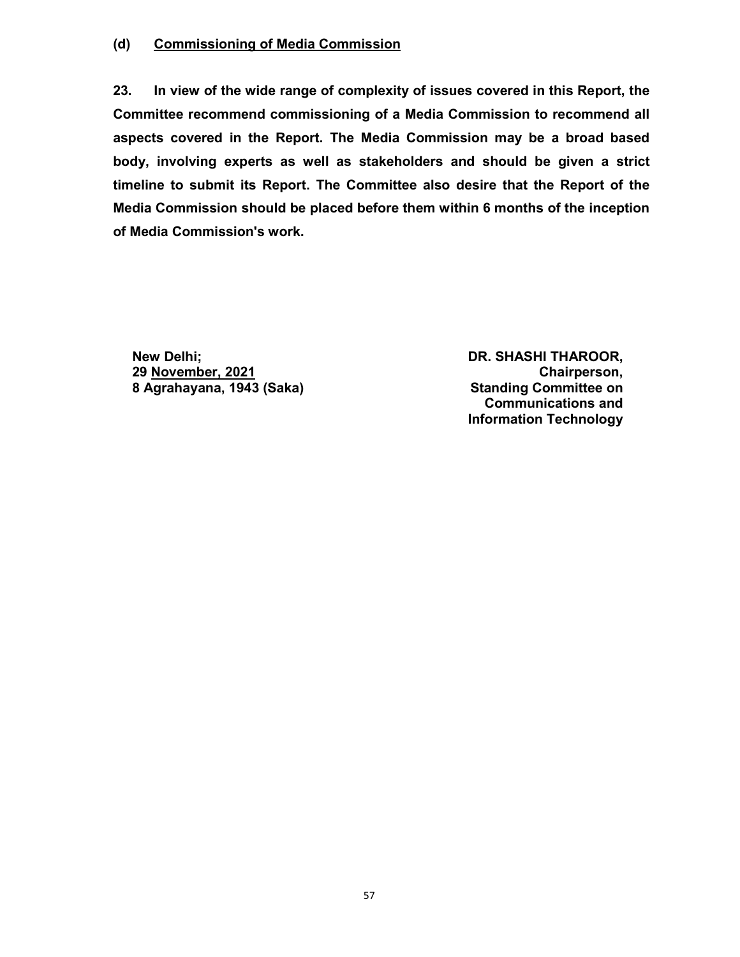## **(d) Commissioning of Media Commission**

**23. In view of the wide range of complexity of issues covered in this Report, the Committee recommend commissioning of a Media Commission to recommend all aspects covered in the Report. The Media Commission may be a broad based body, involving experts as well as stakeholders and should be given a strict timeline to submit its Report. The Committee also desire that the Report of the Media Commission should be placed before them within 6 months of the inception of Media Commission's work.** 

 **New Delhi; DR. SHASHI THAROOR, 29 November, 2021 Chairperson, 8 Agrahayana, 1943 (Saka)** 

**Communications and Information Technology**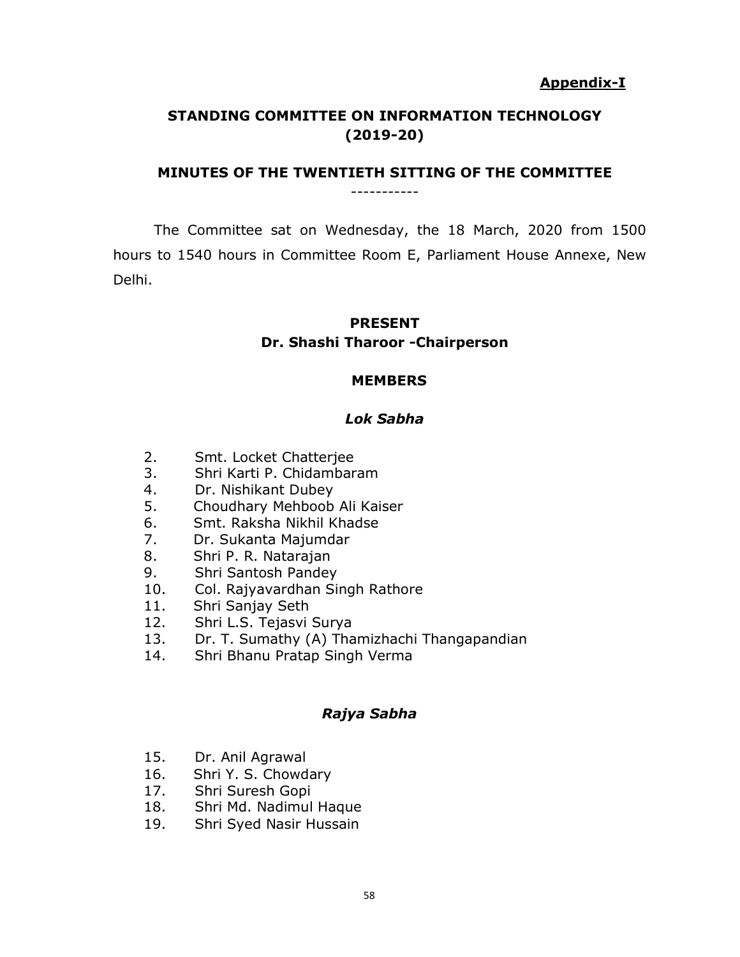## **Appendix-I**

## **STANDING COMMITTEE ON INFORMATION TECHNOLOGY (2019-20)**

#### **MINUTES OF THE TWENTIETH SITTING OF THE COMMITTEE** -----------

The Committee sat on Wednesday, the 18 March, 2020 from 1500 hours to 1540 hours in Committee Room E, Parliament House Annexe, New Delhi.

## **PRESENT Dr. Shashi Tharoor -Chairperson**

## **MEMBERS**

## *Lok Sabha*

- 2. Smt. Locket Chatterjee
- 3. Shri Karti P. Chidambaram
- 4. Dr. Nishikant Dubey
- 5. Choudhary Mehboob Ali Kaiser
- 6. Smt. Raksha Nikhil Khadse
- 7. Dr. Sukanta Majumdar
- 8. Shri P. R. Natarajan
- 9. Shri Santosh Pandey
- 10. Col. Rajyavardhan Singh Rathore
- 11. Shri Sanjay Seth
- 12. Shri L.S. Tejasvi Surya
- 13. Dr. T. Sumathy (A) Thamizhachi Thangapandian
- 14. Shri Bhanu Pratap Singh Verma

## *Rajya Sabha*

- 15. Dr. Anil Agrawal
- 16. Shri Y. S. Chowdary
- 17. Shri Suresh Gopi
- 18. Shri Md. Nadimul Haque
- 19. Shri Syed Nasir Hussain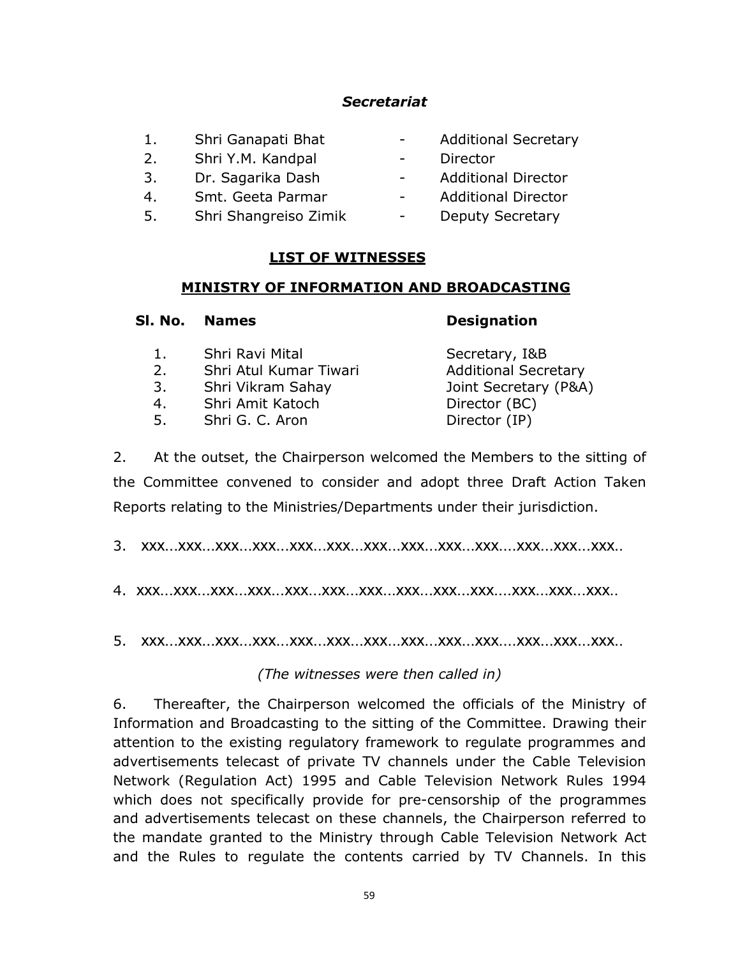## *Secretariat*

- 1. Shri Ganapati Bhat Additional Secretary
- 2. Shri Y.M. Kandpal Director
- 3. Dr. Sagarika Dash Additional Director
- 4. Smt. Geeta Parmar The Additional Director
- 5. Shri Shangreiso Zimik Deputy Secretary
- 
- -
- 
- 

## **LIST OF WITNESSES**

## **MINISTRY OF INFORMATION AND BROADCASTING**

|                            | Sl. No. Names                                                                                         | <b>Designation</b>                                                                                       |
|----------------------------|-------------------------------------------------------------------------------------------------------|----------------------------------------------------------------------------------------------------------|
| 1.<br>2.<br>3.<br>4.<br>5. | Shri Ravi Mital<br>Shri Atul Kumar Tiwari<br>Shri Vikram Sahay<br>Shri Amit Katoch<br>Shri G. C. Aron | Secretary, I&B<br><b>Additional Secretary</b><br>Joint Secretary (P&A)<br>Director (BC)<br>Director (IP) |
|                            |                                                                                                       |                                                                                                          |

2. At the outset, the Chairperson welcomed the Members to the sitting of the Committee convened to consider and adopt three Draft Action Taken Reports relating to the Ministries/Departments under their jurisdiction.

3. xxx...xxx...xxx...xxx...xxx...xxx...xxx...xxx...xxx...xxx....xxx...xxx...xxx..

4. xxx...xxx...xxx...xxx...xxx...xxx...xxx...xxx...xxx...xxx....xxx...xxx...xxx..

5. xxx...xxx...xxx...xxx...xxx...xxx...xxx...xxx...xxx...xxx....xxx...xxx...xxx..

*(The witnesses were then called in)*

6. Thereafter, the Chairperson welcomed the officials of the Ministry of Information and Broadcasting to the sitting of the Committee. Drawing their attention to the existing regulatory framework to regulate programmes and advertisements telecast of private TV channels under the Cable Television Network (Regulation Act) 1995 and Cable Television Network Rules 1994 which does not specifically provide for pre-censorship of the programmes and advertisements telecast on these channels, the Chairperson referred to the mandate granted to the Ministry through Cable Television Network Act and the Rules to regulate the contents carried by TV Channels. In this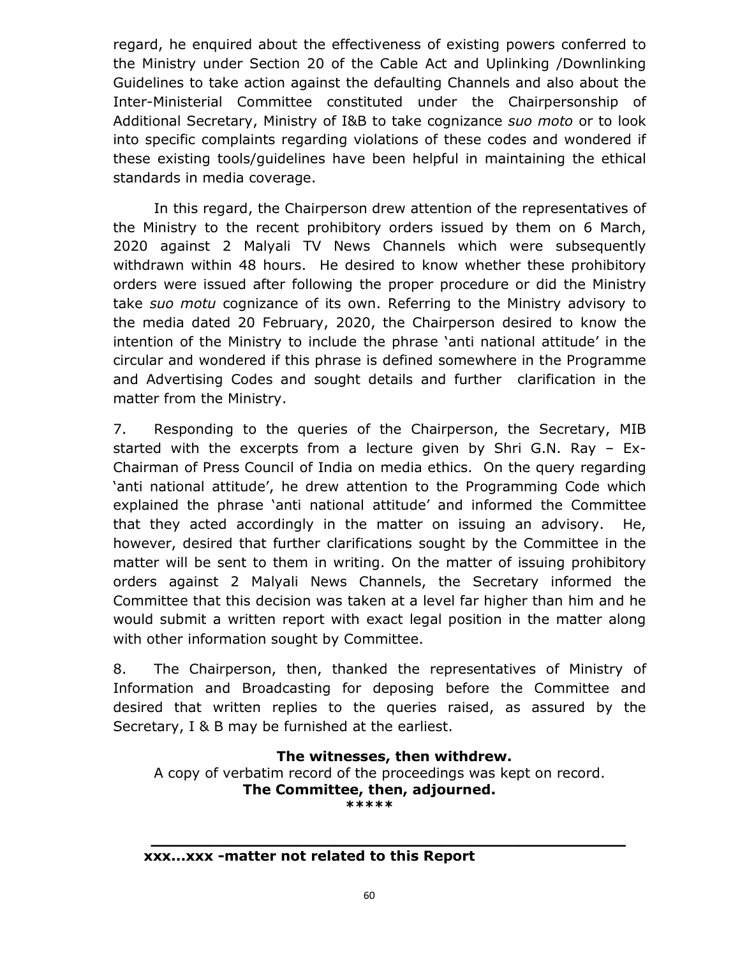regard, he enquired about the effectiveness of existing powers conferred to the Ministry under Section 20 of the Cable Act and Uplinking /Downlinking Guidelines to take action against the defaulting Channels and also about the Inter-Ministerial Committee constituted under the Chairpersonship of Additional Secretary, Ministry of I&B to take cognizance *suo moto* or to look into specific complaints regarding violations of these codes and wondered if these existing tools/guidelines have been helpful in maintaining the ethical standards in media coverage.

In this regard, the Chairperson drew attention of the representatives of the Ministry to the recent prohibitory orders issued by them on 6 March, 2020 against 2 Malyali TV News Channels which were subsequently withdrawn within 48 hours. He desired to know whether these prohibitory orders were issued after following the proper procedure or did the Ministry take *suo motu* cognizance of its own. Referring to the Ministry advisory to the media dated 20 February, 2020, the Chairperson desired to know the intention of the Ministry to include the phrase 'anti national attitude' in the circular and wondered if this phrase is defined somewhere in the Programme and Advertising Codes and sought details and further clarification in the matter from the Ministry.

7. Responding to the queries of the Chairperson, the Secretary, MIB started with the excerpts from a lecture given by Shri G.N. Ray – Ex-Chairman of Press Council of India on media ethics. On the query regarding 'anti national attitude', he drew attention to the Programming Code which explained the phrase 'anti national attitude' and informed the Committee that they acted accordingly in the matter on issuing an advisory. He, however, desired that further clarifications sought by the Committee in the matter will be sent to them in writing. On the matter of issuing prohibitory orders against 2 Malyali News Channels, the Secretary informed the Committee that this decision was taken at a level far higher than him and he would submit a written report with exact legal position in the matter along with other information sought by Committee.

8. The Chairperson, then, thanked the representatives of Ministry of Information and Broadcasting for deposing before the Committee and desired that written replies to the queries raised, as assured by the Secretary, I & B may be furnished at the earliest.

# **The witnesses, then withdrew.**

**\_\_\_\_\_\_\_\_\_\_\_\_\_\_\_\_\_\_\_\_\_\_\_\_\_\_\_\_\_\_\_\_\_\_\_\_\_\_\_\_\_\_\_\_\_\_\_\_\_**

A copy of verbatim record of the proceedings was kept on record. **The Committee, then, adjourned. \*\*\*\*\***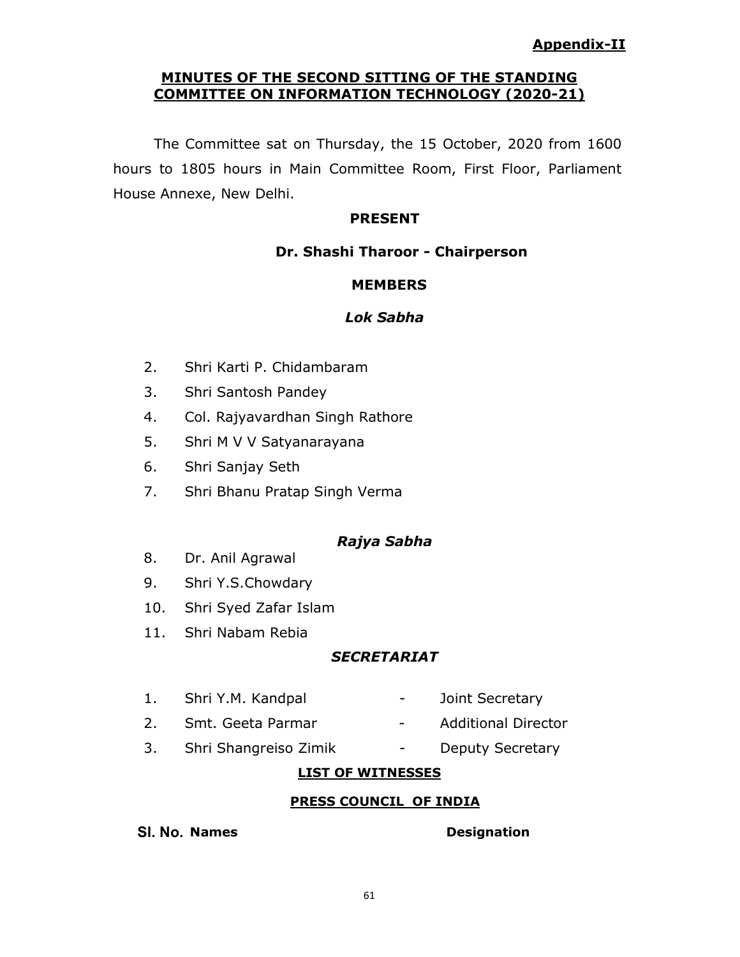## **MINUTES OF THE SECOND SITTING OF THE STANDING COMMITTEE ON INFORMATION TECHNOLOGY (2020-21)**

The Committee sat on Thursday, the 15 October, 2020 from 1600 hours to 1805 hours in Main Committee Room, First Floor, Parliament House Annexe, New Delhi.

## **PRESENT**

## **Dr. Shashi Tharoor - Chairperson**

## **MEMBERS**

## *Lok Sabha*

- 2. Shri Karti P. Chidambaram
- 3. Shri Santosh Pandey
- 4. Col. Rajyavardhan Singh Rathore
- 5. Shri M V V Satyanarayana
- 6. Shri Sanjay Seth
- 7. Shri Bhanu Pratap Singh Verma

## *Rajya Sabha*

- 8. Dr. Anil Agrawal
- 9. Shri Y.S.Chowdary
- 10. Shri Syed Zafar Islam
- 11. Shri Nabam Rebia

## *SECRETARIAT*

- 1. Shri Y.M. Kandpal Joint Secretary
- 2. Smt. Geeta Parmar The Additional Director
- 3. Shri Shangreiso Zimik Deputy Secretary

## **LIST OF WITNESSES**

## **PRESS COUNCIL OF INDIA**

**Sl. No. Names Designation**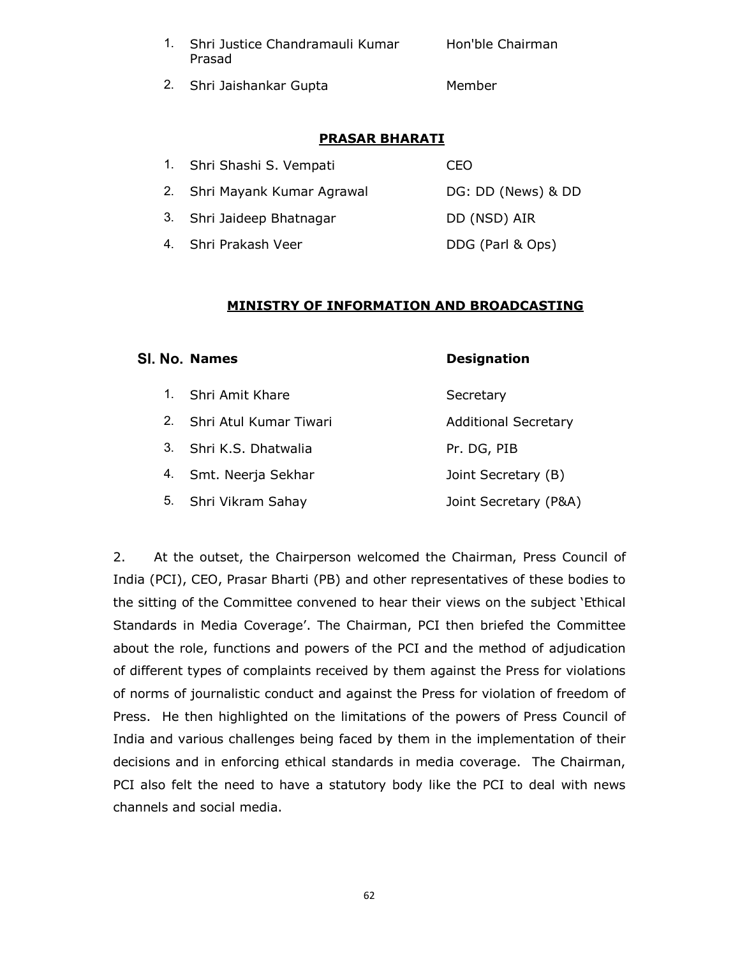| 1. Shri Justice Chandramauli Kumar | Hon'ble Chairman |
|------------------------------------|------------------|
| Prasad                             |                  |

2. Shri Jaishankar Gupta Member

## **PRASAR BHARATI**

| 1. Shri Shashi S. Vempati    | CEO                |
|------------------------------|--------------------|
| 2. Shri Mayank Kumar Agrawal | DG: DD (News) & DD |
| 3. Shri Jaideep Bhatnagar    | DD (NSD) AIR       |
| 4. Shri Prakash Veer         | DDG (Parl & Ops)   |

#### **MINISTRY OF INFORMATION AND BROADCASTING**

#### **Sl. No. Names Designation**

- 1. Shri Amit Khare Secretary 2. Shri Atul Kumar Tiwari **Additional Secretary** 3. Shri K.S. Dhatwalia Pr. DG, PIB
- 4. Smt. Neerja Sekhar Joint Secretary (B)
- 5. Shri Vikram Sahay Joint Secretary (P&A)

2. At the outset, the Chairperson welcomed the Chairman, Press Council of India (PCI), CEO, Prasar Bharti (PB) and other representatives of these bodies to the sitting of the Committee convened to hear their views on the subject 'Ethical Standards in Media Coverage'. The Chairman, PCI then briefed the Committee about the role, functions and powers of the PCI and the method of adjudication of different types of complaints received by them against the Press for violations of norms of journalistic conduct and against the Press for violation of freedom of Press. He then highlighted on the limitations of the powers of Press Council of India and various challenges being faced by them in the implementation of their decisions and in enforcing ethical standards in media coverage. The Chairman, PCI also felt the need to have a statutory body like the PCI to deal with news channels and social media.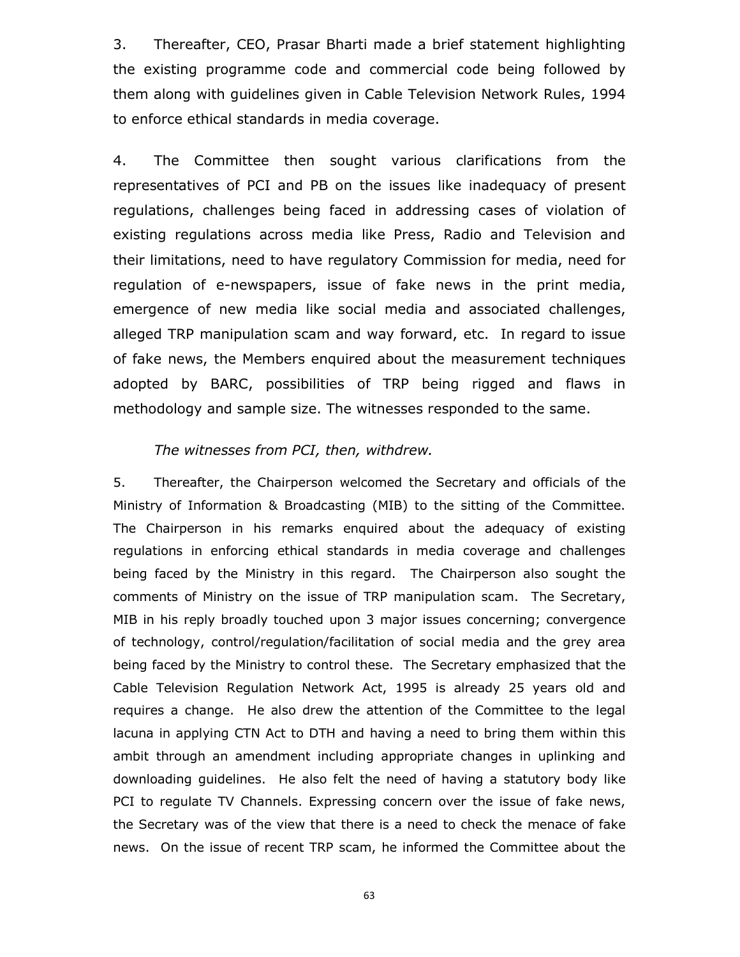3. Thereafter, CEO, Prasar Bharti made a brief statement highlighting the existing programme code and commercial code being followed by them along with guidelines given in Cable Television Network Rules, 1994 to enforce ethical standards in media coverage.

4. The Committee then sought various clarifications from the representatives of PCI and PB on the issues like inadequacy of present regulations, challenges being faced in addressing cases of violation of existing regulations across media like Press, Radio and Television and their limitations, need to have regulatory Commission for media, need for regulation of e-newspapers, issue of fake news in the print media, emergence of new media like social media and associated challenges, alleged TRP manipulation scam and way forward, etc. In regard to issue of fake news, the Members enquired about the measurement techniques adopted by BARC, possibilities of TRP being rigged and flaws in methodology and sample size. The witnesses responded to the same.

## *The witnesses from PCI, then, withdrew.*

5. Thereafter, the Chairperson welcomed the Secretary and officials of the Ministry of Information & Broadcasting (MIB) to the sitting of the Committee. The Chairperson in his remarks enquired about the adequacy of existing regulations in enforcing ethical standards in media coverage and challenges being faced by the Ministry in this regard. The Chairperson also sought the comments of Ministry on the issue of TRP manipulation scam. The Secretary, MIB in his reply broadly touched upon 3 major issues concerning; convergence of technology, control/regulation/facilitation of social media and the grey area being faced by the Ministry to control these. The Secretary emphasized that the Cable Television Regulation Network Act, 1995 is already 25 years old and requires a change. He also drew the attention of the Committee to the legal lacuna in applying CTN Act to DTH and having a need to bring them within this ambit through an amendment including appropriate changes in uplinking and downloading guidelines. He also felt the need of having a statutory body like PCI to regulate TV Channels. Expressing concern over the issue of fake news, the Secretary was of the view that there is a need to check the menace of fake news. On the issue of recent TRP scam, he informed the Committee about the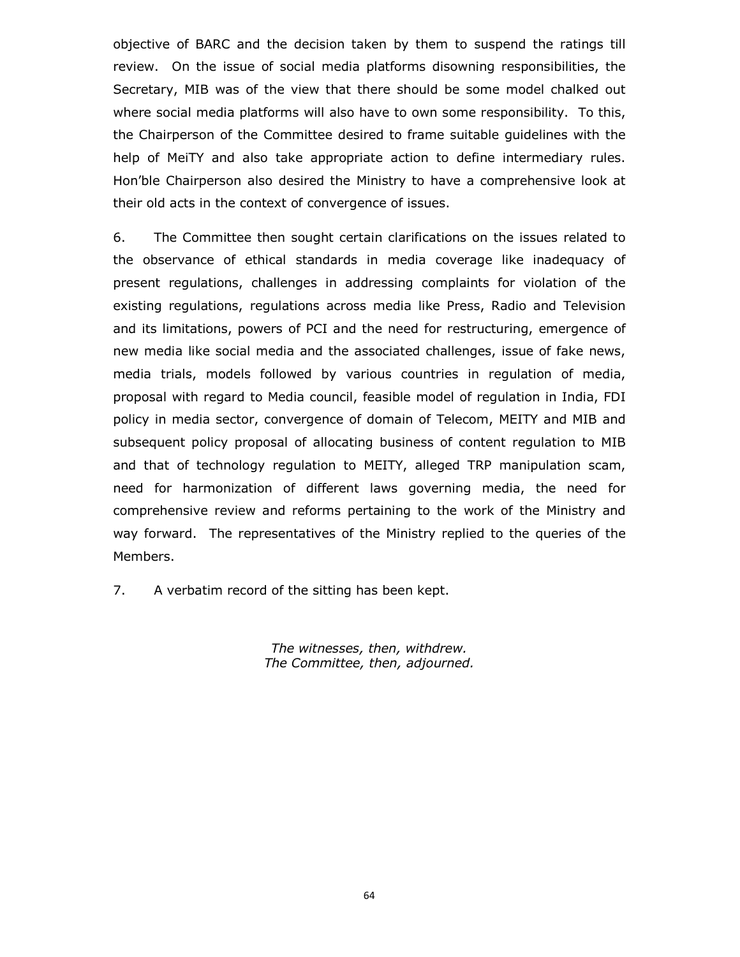objective of BARC and the decision taken by them to suspend the ratings till review. On the issue of social media platforms disowning responsibilities, the Secretary, MIB was of the view that there should be some model chalked out where social media platforms will also have to own some responsibility. To this, the Chairperson of the Committee desired to frame suitable guidelines with the help of MeiTY and also take appropriate action to define intermediary rules. Hon'ble Chairperson also desired the Ministry to have a comprehensive look at their old acts in the context of convergence of issues.

6. The Committee then sought certain clarifications on the issues related to the observance of ethical standards in media coverage like inadequacy of present regulations, challenges in addressing complaints for violation of the existing regulations, regulations across media like Press, Radio and Television and its limitations, powers of PCI and the need for restructuring, emergence of new media like social media and the associated challenges, issue of fake news, media trials, models followed by various countries in regulation of media, proposal with regard to Media council, feasible model of regulation in India, FDI policy in media sector, convergence of domain of Telecom, MEITY and MIB and subsequent policy proposal of allocating business of content regulation to MIB and that of technology regulation to MEITY, alleged TRP manipulation scam, need for harmonization of different laws governing media, the need for comprehensive review and reforms pertaining to the work of the Ministry and way forward. The representatives of the Ministry replied to the queries of the Members.

7. A verbatim record of the sitting has been kept.

*The witnesses, then, withdrew. The Committee, then, adjourned.*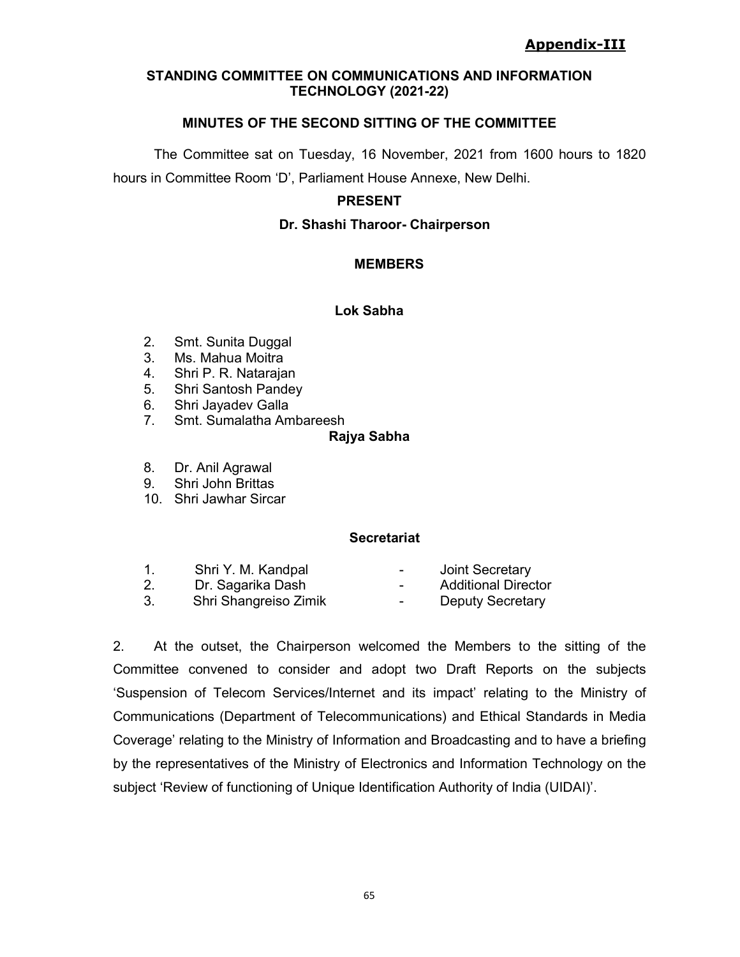## **STANDING COMMITTEE ON COMMUNICATIONS AND INFORMATION TECHNOLOGY (2021-22)**

## **MINUTES OF THE SECOND SITTING OF THE COMMITTEE**

The Committee sat on Tuesday, 16 November, 2021 from 1600 hours to 1820 hours in Committee Room 'D', Parliament House Annexe, New Delhi.

## **PRESENT**

## **Dr. Shashi Tharoor- Chairperson**

## **MEMBERS**

## **Lok Sabha**

- 2. Smt. Sunita Duggal
- 3. Ms. Mahua Moitra
- 4. Shri P. R. Natarajan
- 5. Shri Santosh Pandey
- 
- 6. Shri Jayadev Galla<br>7. Smt. Sumalatha An Smt. Sumalatha Ambareesh

## **Rajya Sabha**

- 8. Dr. Anil Agrawal
- 9. Shri John Brittas
- 10. Shri Jawhar Sircar

## **Secretariat**

1. Shri Y. M. Kandpal **-** Joint Secretary 2. Dr. Sagarika Dash - Additional Director 3. Shri Shangreiso Zimik - Deputy Secretary

2. At the outset, the Chairperson welcomed the Members to the sitting of the Committee convened to consider and adopt two Draft Reports on the subjects 'Suspension of Telecom Services/Internet and its impact' relating to the Ministry of Communications (Department of Telecommunications) and Ethical Standards in Media Coverage' relating to the Ministry of Information and Broadcasting and to have a briefing by the representatives of the Ministry of Electronics and Information Technology on the subject 'Review of functioning of Unique Identification Authority of India (UIDAI)'.